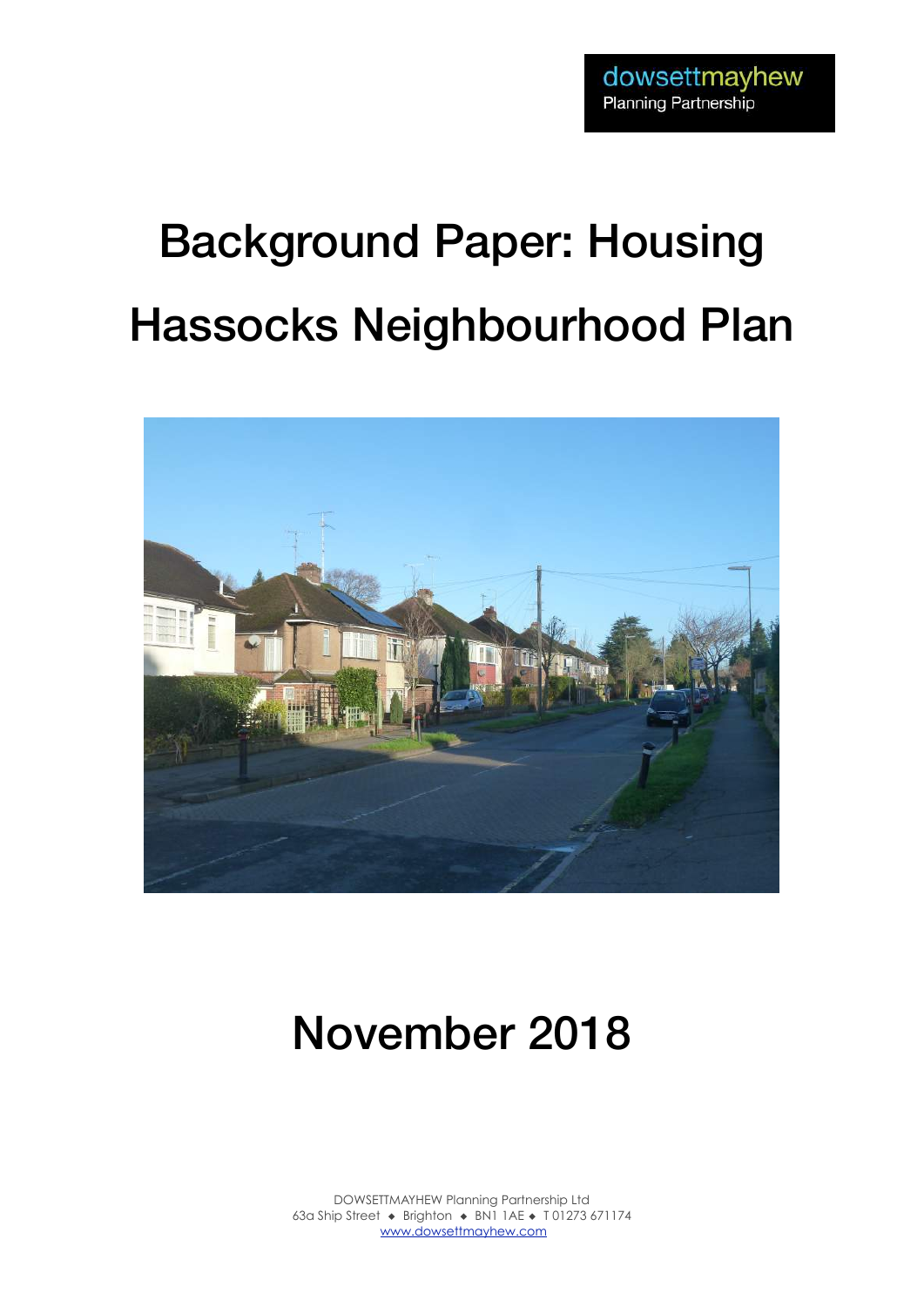# Background Paper: Housing Hassocks Neighbourhood Plan



# November 2018

DOWSETTMAYHEW Planning Partnership Ltd 63a Ship Street ◆ Brighton ◆ BN1 1AE ◆ T 01273 671174 www.dowsettmayhew.com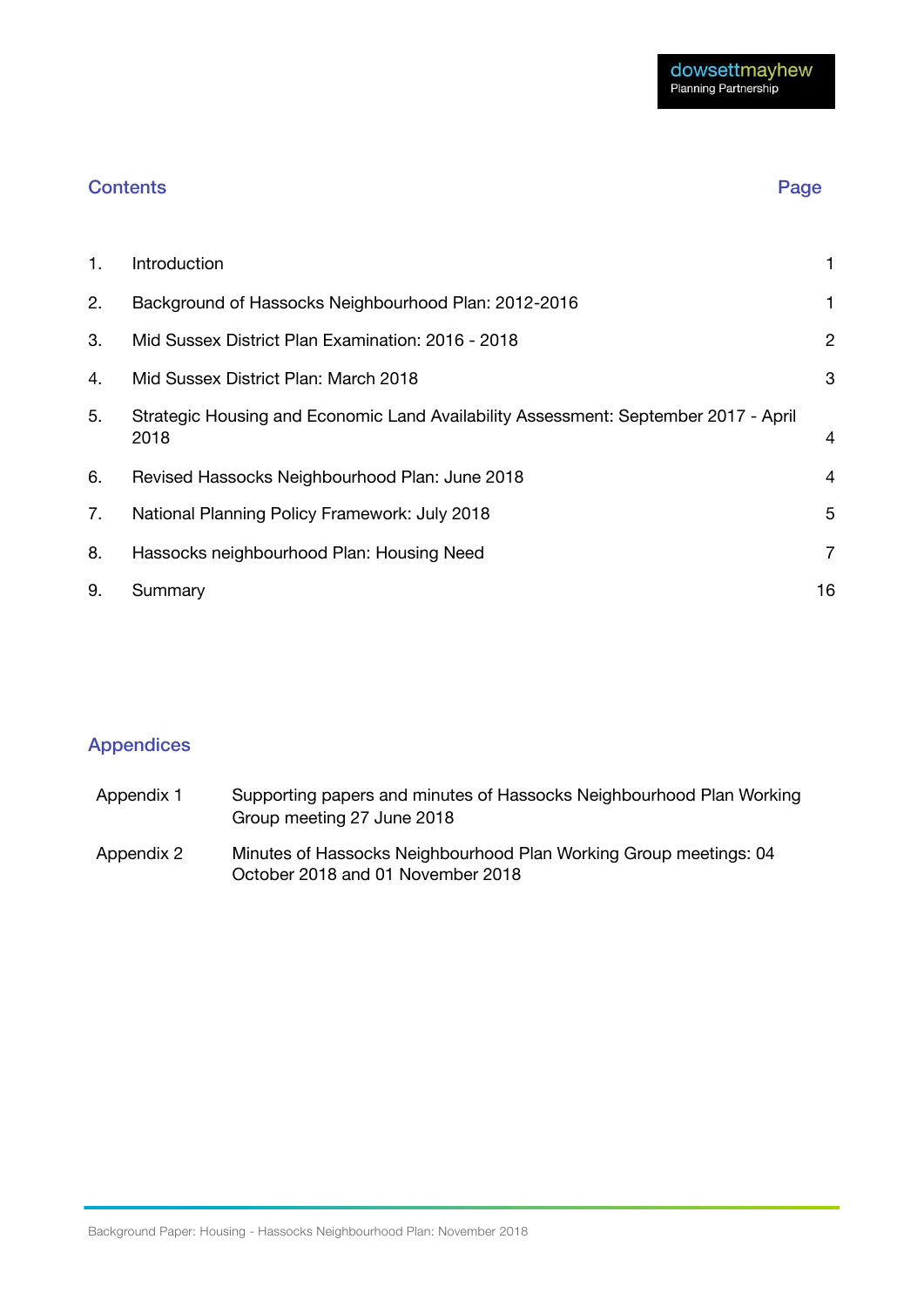#### Contents Page 2014

| 1. | Introduction                                                                                | 1              |
|----|---------------------------------------------------------------------------------------------|----------------|
| 2. | Background of Hassocks Neighbourhood Plan: 2012-2016                                        | 1              |
| 3. | Mid Sussex District Plan Examination: 2016 - 2018                                           | $\overline{2}$ |
| 4. | Mid Sussex District Plan: March 2018                                                        | 3              |
| 5. | Strategic Housing and Economic Land Availability Assessment: September 2017 - April<br>2018 | $\overline{4}$ |
| 6. | Revised Hassocks Neighbourhood Plan: June 2018                                              | 4              |
| 7. | National Planning Policy Framework: July 2018                                               | 5              |
| 8. | Hassocks neighbourhood Plan: Housing Need                                                   | 7              |
| 9. | Summary                                                                                     | 16             |

### Appendices

| Appendix 1 | Supporting papers and minutes of Hassocks Neighbourhood Plan Working<br>Group meeting 27 June 2018     |
|------------|--------------------------------------------------------------------------------------------------------|
| Appendix 2 | Minutes of Hassocks Neighbourhood Plan Working Group meetings: 04<br>October 2018 and 01 November 2018 |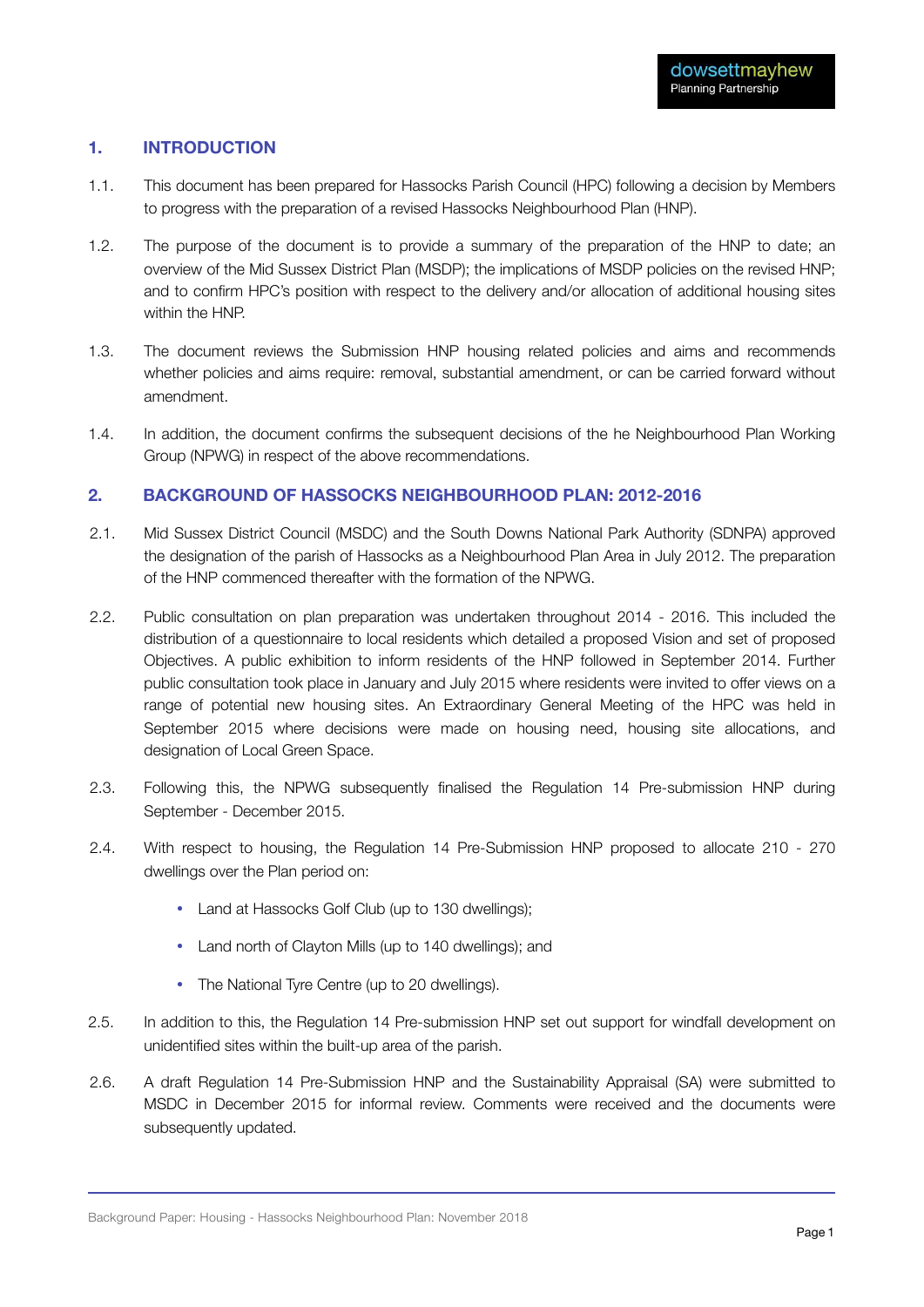#### **1. INTRODUCTION**

- 1.1. This document has been prepared for Hassocks Parish Council (HPC) following a decision by Members to progress with the preparation of a revised Hassocks Neighbourhood Plan (HNP).
- 1.2. The purpose of the document is to provide a summary of the preparation of the HNP to date; an overview of the Mid Sussex District Plan (MSDP); the implications of MSDP policies on the revised HNP; and to confirm HPC's position with respect to the delivery and/or allocation of additional housing sites within the HNP.
- 1.3. The document reviews the Submission HNP housing related policies and aims and recommends whether policies and aims require: removal, substantial amendment, or can be carried forward without amendment.
- 1.4. In addition, the document confirms the subsequent decisions of the he Neighbourhood Plan Working Group (NPWG) in respect of the above recommendations.

#### **2. BACKGROUND OF HASSOCKS NEIGHBOURHOOD PLAN: 2012-2016**

- 2.1. Mid Sussex District Council (MSDC) and the South Downs National Park Authority (SDNPA) approved the designation of the parish of Hassocks as a Neighbourhood Plan Area in July 2012. The preparation of the HNP commenced thereafter with the formation of the NPWG.
- 2.2. Public consultation on plan preparation was undertaken throughout 2014 2016. This included the distribution of a questionnaire to local residents which detailed a proposed Vision and set of proposed Objectives. A public exhibition to inform residents of the HNP followed in September 2014. Further public consultation took place in January and July 2015 where residents were invited to offer views on a range of potential new housing sites. An Extraordinary General Meeting of the HPC was held in September 2015 where decisions were made on housing need, housing site allocations, and designation of Local Green Space.
- 2.3. Following this, the NPWG subsequently finalised the Regulation 14 Pre-submission HNP during September - December 2015.
- 2.4. With respect to housing, the Regulation 14 Pre-Submission HNP proposed to allocate 210 270 dwellings over the Plan period on:
	- Land at Hassocks Golf Club (up to 130 dwellings);
	- Land north of Clayton Mills (up to 140 dwellings); and
	- The National Tyre Centre (up to 20 dwellings).
- 2.5. In addition to this, the Regulation 14 Pre-submission HNP set out support for windfall development on unidentified sites within the built-up area of the parish.
- 2.6. A draft Regulation 14 Pre-Submission HNP and the Sustainability Appraisal (SA) were submitted to MSDC in December 2015 for informal review. Comments were received and the documents were subsequently updated.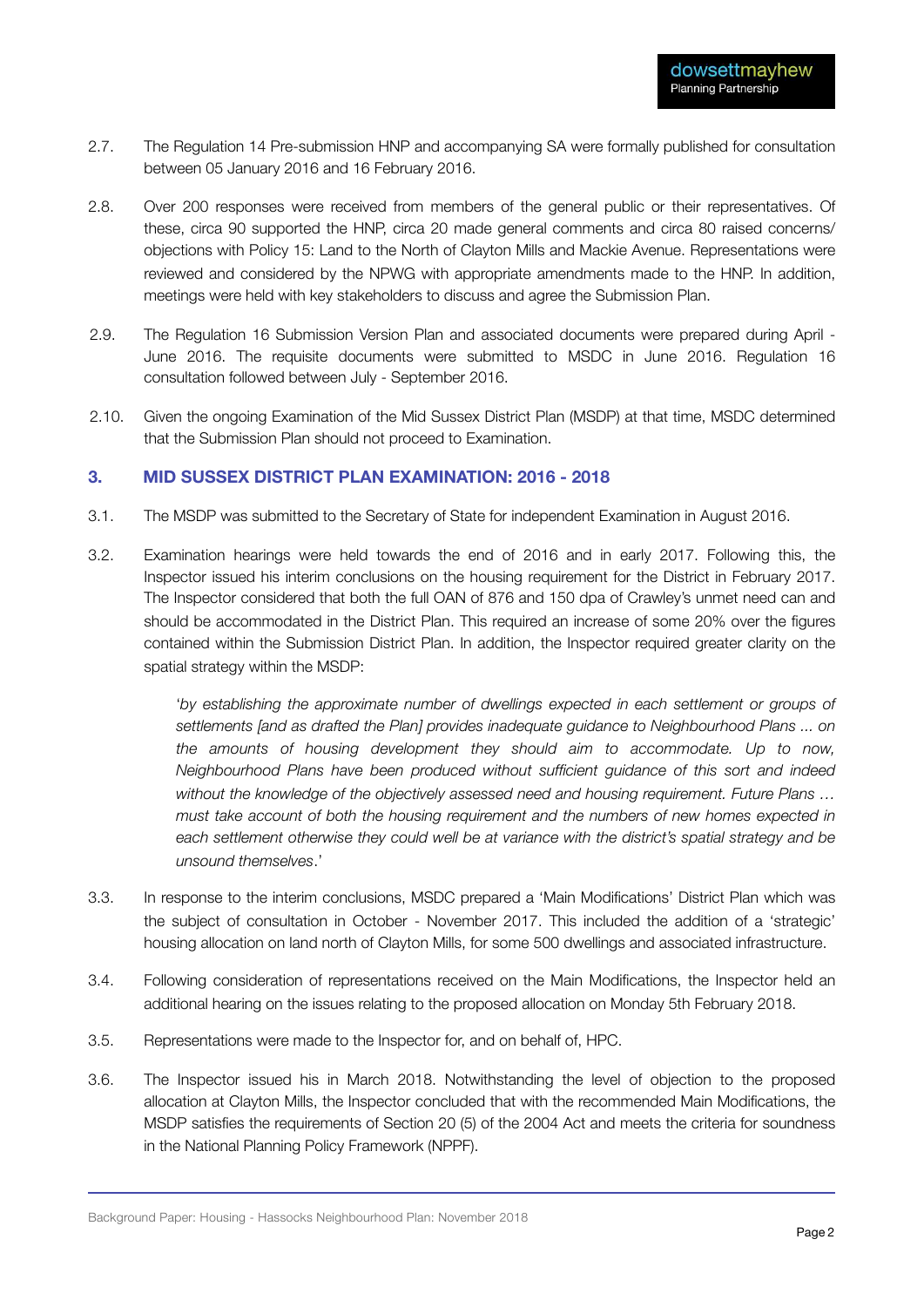- 2.7. The Regulation 14 Pre-submission HNP and accompanying SA were formally published for consultation between 05 January 2016 and 16 February 2016.
- 2.8. Over 200 responses were received from members of the general public or their representatives. Of these, circa 90 supported the HNP, circa 20 made general comments and circa 80 raised concerns/ objections with Policy 15: Land to the North of Clayton Mills and Mackie Avenue. Representations were reviewed and considered by the NPWG with appropriate amendments made to the HNP. In addition, meetings were held with key stakeholders to discuss and agree the Submission Plan.
- 2.9. The Regulation 16 Submission Version Plan and associated documents were prepared during April June 2016. The requisite documents were submitted to MSDC in June 2016. Regulation 16 consultation followed between July - September 2016.
- 2.10. Given the ongoing Examination of the Mid Sussex District Plan (MSDP) at that time, MSDC determined that the Submission Plan should not proceed to Examination.

#### **3. MID SUSSEX DISTRICT PLAN EXAMINATION: 2016 - 2018**

- 3.1. The MSDP was submitted to the Secretary of State for independent Examination in August 2016.
- 3.2. Examination hearings were held towards the end of 2016 and in early 2017. Following this, the Inspector issued his interim conclusions on the housing requirement for the District in February 2017. The Inspector considered that both the full OAN of 876 and 150 dpa of Crawley's unmet need can and should be accommodated in the District Plan. This required an increase of some 20% over the figures contained within the Submission District Plan. In addition, the Inspector required greater clarity on the spatial strategy within the MSDP:

'by establishing the approximate number of dwellings expected in each settlement or groups of *settlements [and as drafted the Plan] provides inadequate guidance to Neighbourhood Plans ... on the amounts of housing development they should aim to accommodate. Up to now, Neighbourhood Plans have been produced without sufficient guidance of this sort and indeed without the knowledge of the objectively assessed need and housing requirement. Future Plans … must take account of both the housing requirement and the numbers of new homes expected in each settlement otherwise they could well be at variance with the district's spatial strategy and be unsound themselves*.'

- 3.3. In response to the interim conclusions, MSDC prepared a 'Main Modifications' District Plan which was the subject of consultation in October - November 2017. This included the addition of a 'strategic' housing allocation on land north of Clayton Mills, for some 500 dwellings and associated infrastructure.
- 3.4. Following consideration of representations received on the Main Modifications, the Inspector held an additional hearing on the issues relating to the proposed allocation on Monday 5th February 2018.
- 3.5. Representations were made to the Inspector for, and on behalf of, HPC.
- 3.6. The Inspector issued his in March 2018. Notwithstanding the level of objection to the proposed allocation at Clayton Mills, the Inspector concluded that with the recommended Main Modifications, the MSDP satisfies the requirements of Section 20 (5) of the 2004 Act and meets the criteria for soundness in the National Planning Policy Framework (NPPF).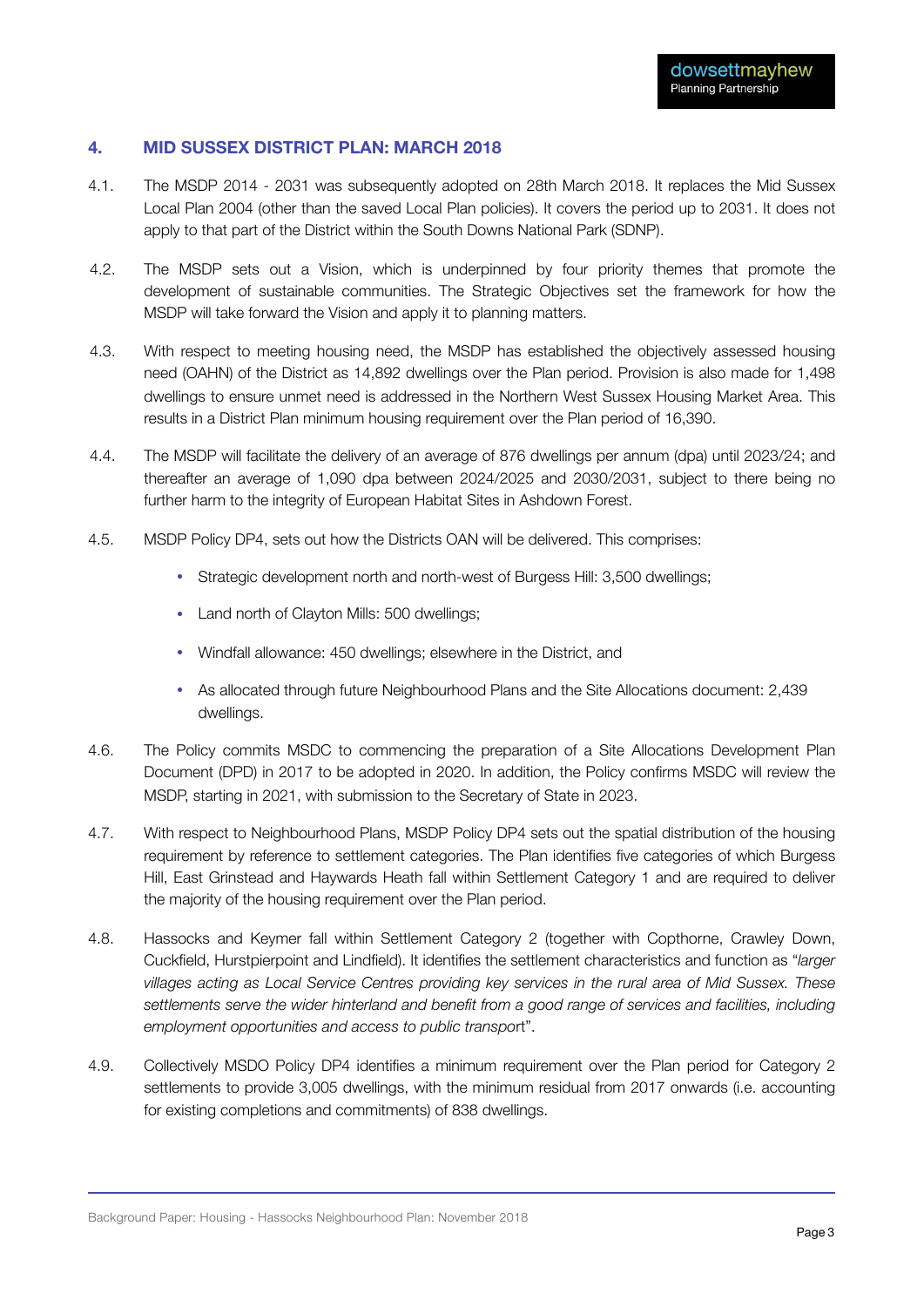#### **4. MID SUSSEX DISTRICT PLAN: MARCH 2018**

- 4.1. The MSDP 2014 2031 was subsequently adopted on 28th March 2018. It replaces the Mid Sussex Local Plan 2004 (other than the saved Local Plan policies). It covers the period up to 2031. It does not apply to that part of the District within the South Downs National Park (SDNP).
- 4.2. The MSDP sets out a Vision, which is underpinned by four priority themes that promote the development of sustainable communities. The Strategic Objectives set the framework for how the MSDP will take forward the Vision and apply it to planning matters.
- 4.3. With respect to meeting housing need, the MSDP has established the objectively assessed housing need (OAHN) of the District as 14,892 dwellings over the Plan period. Provision is also made for 1,498 dwellings to ensure unmet need is addressed in the Northern West Sussex Housing Market Area. This results in a District Plan minimum housing requirement over the Plan period of 16,390.
- 4.4. The MSDP will facilitate the delivery of an average of 876 dwellings per annum (dpa) until 2023/24; and thereafter an average of 1,090 dpa between 2024/2025 and 2030/2031, subject to there being no further harm to the integrity of European Habitat Sites in Ashdown Forest.
- 4.5. MSDP Policy DP4, sets out how the Districts OAN will be delivered. This comprises:
	- Strategic development north and north-west of Burgess Hill: 3,500 dwellings;
	- Land north of Clayton Mills: 500 dwellings;
	- Windfall allowance: 450 dwellings; elsewhere in the District, and
	- As allocated through future Neighbourhood Plans and the Site Allocations document: 2,439 dwellings.
- 4.6. The Policy commits MSDC to commencing the preparation of a Site Allocations Development Plan Document (DPD) in 2017 to be adopted in 2020. In addition, the Policy confirms MSDC will review the MSDP, starting in 2021, with submission to the Secretary of State in 2023.
- 4.7. With respect to Neighbourhood Plans, MSDP Policy DP4 sets out the spatial distribution of the housing requirement by reference to settlement categories. The Plan identifies five categories of which Burgess Hill, East Grinstead and Haywards Heath fall within Settlement Category 1 and are required to deliver the majority of the housing requirement over the Plan period.
- 4.8. Hassocks and Keymer fall within Settlement Category 2 (together with Copthorne, Crawley Down, Cuckfield, Hurstpierpoint and Lindfield). It identifies the settlement characteristics and function as "*larger villages acting as Local Service Centres providing key services in the rural area of Mid Sussex. These settlements serve the wider hinterland and benefit from a good range of services and facilities, including employment opportunities and access to public transpo*rt".
- 4.9. Collectively MSDO Policy DP4 identifies a minimum requirement over the Plan period for Category 2 settlements to provide 3,005 dwellings, with the minimum residual from 2017 onwards (i.e. accounting for existing completions and commitments) of 838 dwellings.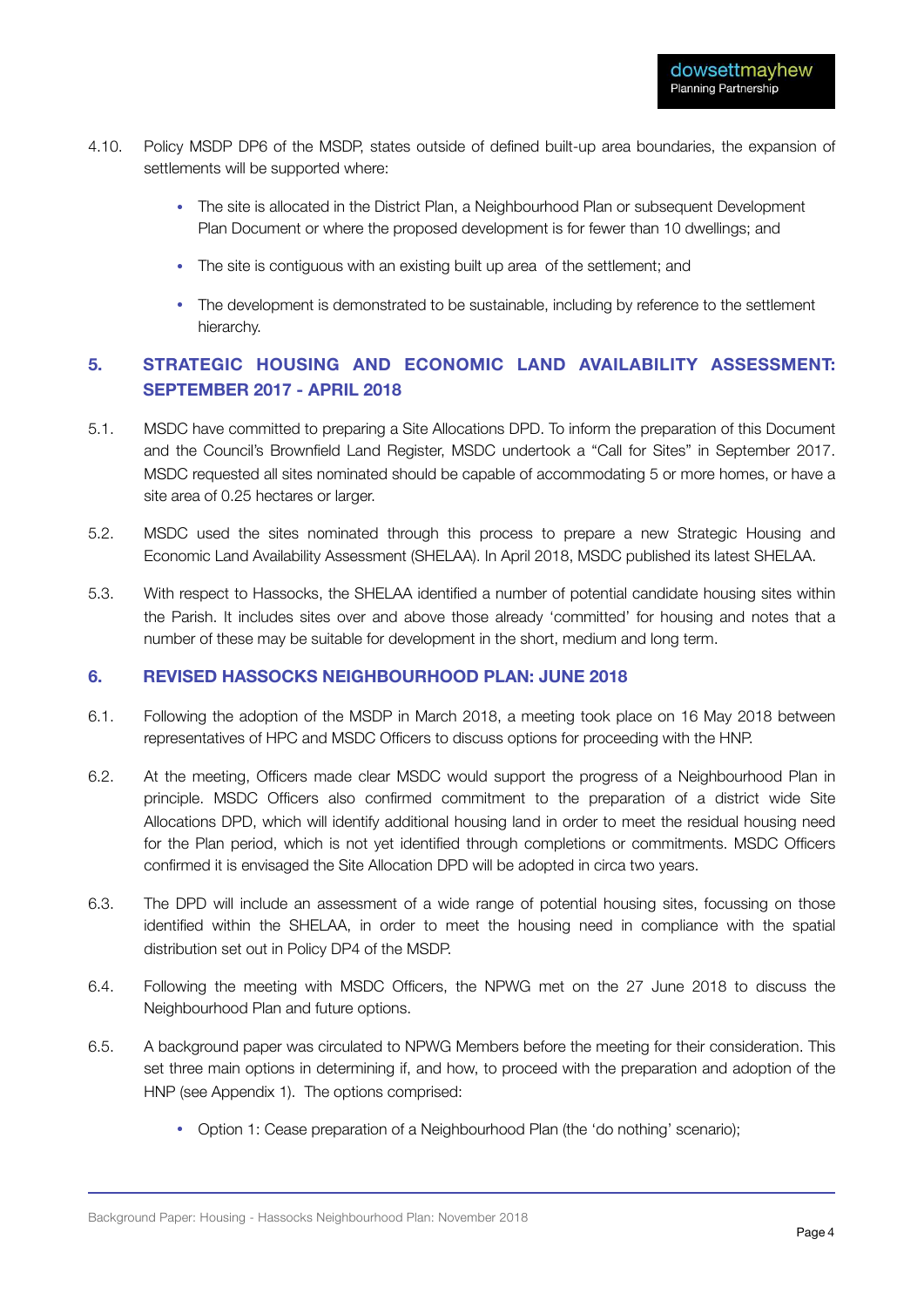- 4.10. Policy MSDP DP6 of the MSDP, states outside of defined built-up area boundaries, the expansion of settlements will be supported where:
	- The site is allocated in the District Plan, a Neighbourhood Plan or subsequent Development Plan Document or where the proposed development is for fewer than 10 dwellings; and
	- The site is contiguous with an existing built up area of the settlement; and
	- The development is demonstrated to be sustainable, including by reference to the settlement hierarchy.

#### **5. STRATEGIC HOUSING AND ECONOMIC LAND AVAILABILITY ASSESSMENT: SEPTEMBER 2017 - APRIL 2018**

- 5.1. MSDC have committed to preparing a Site Allocations DPD. To inform the preparation of this Document and the Council's Brownfield Land Register, MSDC undertook a "Call for Sites" in September 2017. MSDC requested all sites nominated should be capable of accommodating 5 or more homes, or have a site area of 0.25 hectares or larger.
- 5.2. MSDC used the sites nominated through this process to prepare a new Strategic Housing and Economic Land Availability Assessment (SHELAA). In April 2018, MSDC published its latest SHELAA.
- 5.3. With respect to Hassocks, the SHELAA identified a number of potential candidate housing sites within the Parish. It includes sites over and above those already 'committed' for housing and notes that a number of these may be suitable for development in the short, medium and long term.

#### **6. REVISED HASSOCKS NEIGHBOURHOOD PLAN: JUNE 2018**

- 6.1. Following the adoption of the MSDP in March 2018, a meeting took place on 16 May 2018 between representatives of HPC and MSDC Officers to discuss options for proceeding with the HNP.
- 6.2. At the meeting, Officers made clear MSDC would support the progress of a Neighbourhood Plan in principle. MSDC Officers also confirmed commitment to the preparation of a district wide Site Allocations DPD, which will identify additional housing land in order to meet the residual housing need for the Plan period, which is not yet identified through completions or commitments. MSDC Officers confirmed it is envisaged the Site Allocation DPD will be adopted in circa two years.
- 6.3. The DPD will include an assessment of a wide range of potential housing sites, focussing on those identified within the SHELAA, in order to meet the housing need in compliance with the spatial distribution set out in Policy DP4 of the MSDP.
- 6.4. Following the meeting with MSDC Officers, the NPWG met on the 27 June 2018 to discuss the Neighbourhood Plan and future options.
- 6.5. A background paper was circulated to NPWG Members before the meeting for their consideration. This set three main options in determining if, and how, to proceed with the preparation and adoption of the HNP (see Appendix 1). The options comprised:
	- Option 1: Cease preparation of a Neighbourhood Plan (the 'do nothing' scenario);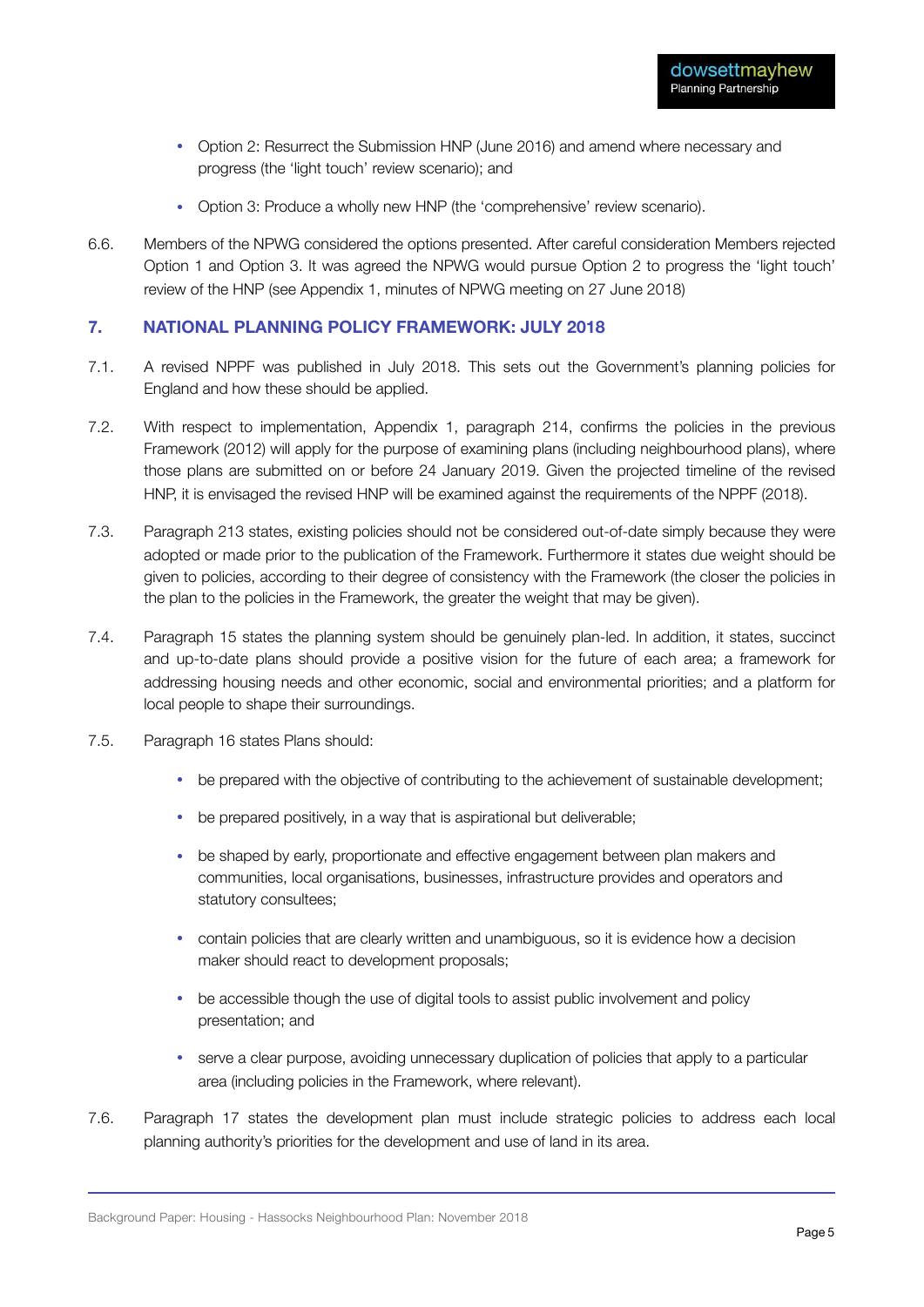- Option 2: Resurrect the Submission HNP (June 2016) and amend where necessary and progress (the 'light touch' review scenario); and
- Option 3: Produce a wholly new HNP (the 'comprehensive' review scenario).
- 6.6. Members of the NPWG considered the options presented. After careful consideration Members rejected Option 1 and Option 3. It was agreed the NPWG would pursue Option 2 to progress the 'light touch' review of the HNP (see Appendix 1, minutes of NPWG meeting on 27 June 2018)

#### **7. NATIONAL PLANNING POLICY FRAMEWORK: JULY 2018**

- 7.1. A revised NPPF was published in July 2018. This sets out the Government's planning policies for England and how these should be applied.
- 7.2. With respect to implementation, Appendix 1, paragraph 214, confirms the policies in the previous Framework (2012) will apply for the purpose of examining plans (including neighbourhood plans), where those plans are submitted on or before 24 January 2019. Given the projected timeline of the revised HNP, it is envisaged the revised HNP will be examined against the requirements of the NPPF (2018).
- 7.3. Paragraph 213 states, existing policies should not be considered out-of-date simply because they were adopted or made prior to the publication of the Framework. Furthermore it states due weight should be given to policies, according to their degree of consistency with the Framework (the closer the policies in the plan to the policies in the Framework, the greater the weight that may be given).
- 7.4. Paragraph 15 states the planning system should be genuinely plan-led. In addition, it states, succinct and up-to-date plans should provide a positive vision for the future of each area; a framework for addressing housing needs and other economic, social and environmental priorities; and a platform for local people to shape their surroundings.
- 7.5. Paragraph 16 states Plans should:
	- be prepared with the objective of contributing to the achievement of sustainable development;
	- be prepared positively, in a way that is aspirational but deliverable;
	- be shaped by early, proportionate and effective engagement between plan makers and communities, local organisations, businesses, infrastructure provides and operators and statutory consultees;
	- contain policies that are clearly written and unambiguous, so it is evidence how a decision maker should react to development proposals;
	- be accessible though the use of digital tools to assist public involvement and policy presentation; and
	- serve a clear purpose, avoiding unnecessary duplication of policies that apply to a particular area (including policies in the Framework, where relevant).
- 7.6. Paragraph 17 states the development plan must include strategic policies to address each local planning authority's priorities for the development and use of land in its area.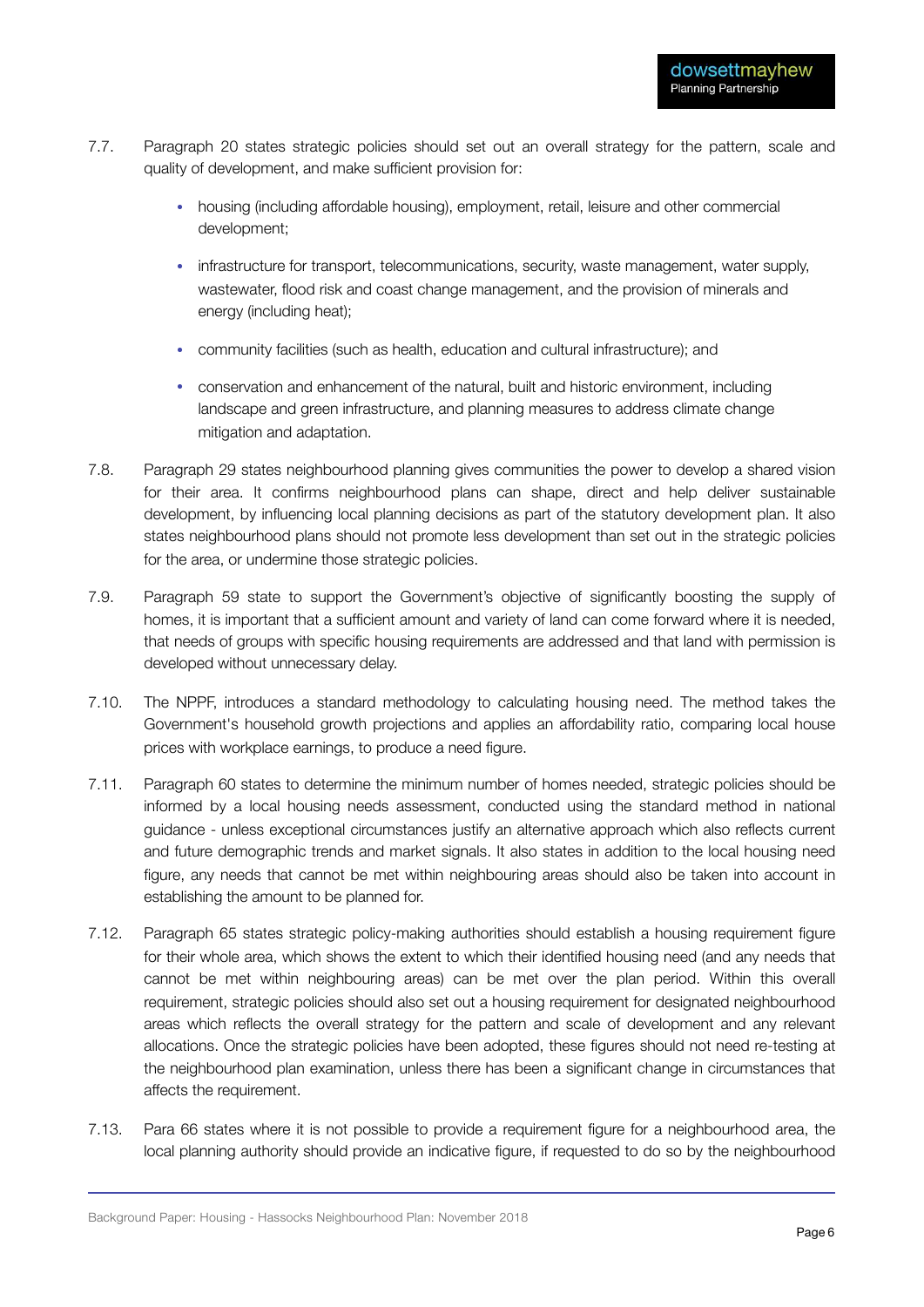- 7.7. Paragraph 20 states strategic policies should set out an overall strategy for the pattern, scale and quality of development, and make sufficient provision for:
	- housing (including affordable housing), employment, retail, leisure and other commercial development;
	- infrastructure for transport, telecommunications, security, waste management, water supply, wastewater, flood risk and coast change management, and the provision of minerals and energy (including heat);
	- community facilities (such as health, education and cultural infrastructure); and
	- conservation and enhancement of the natural, built and historic environment, including landscape and green infrastructure, and planning measures to address climate change mitigation and adaptation.
- 7.8. Paragraph 29 states neighbourhood planning gives communities the power to develop a shared vision for their area. It confirms neighbourhood plans can shape, direct and help deliver sustainable development, by influencing local planning decisions as part of the statutory development plan. It also states neighbourhood plans should not promote less development than set out in the strategic policies for the area, or undermine those strategic policies.
- 7.9. Paragraph 59 state to support the Government's objective of significantly boosting the supply of homes, it is important that a sufficient amount and variety of land can come forward where it is needed, that needs of groups with specific housing requirements are addressed and that land with permission is developed without unnecessary delay.
- 7.10. The NPPF, introduces a standard methodology to calculating housing need. The method takes the Government's household growth projections and applies an affordability ratio, comparing local house prices with workplace earnings, to produce a need figure.
- 7.11. Paragraph 60 states to determine the minimum number of homes needed, strategic policies should be informed by a local housing needs assessment, conducted using the standard method in national guidance - unless exceptional circumstances justify an alternative approach which also reflects current and future demographic trends and market signals. It also states in addition to the local housing need figure, any needs that cannot be met within neighbouring areas should also be taken into account in establishing the amount to be planned for.
- 7.12. Paragraph 65 states strategic policy-making authorities should establish a housing requirement figure for their whole area, which shows the extent to which their identified housing need (and any needs that cannot be met within neighbouring areas) can be met over the plan period. Within this overall requirement, strategic policies should also set out a housing requirement for designated neighbourhood areas which reflects the overall strategy for the pattern and scale of development and any relevant allocations. Once the strategic policies have been adopted, these figures should not need re-testing at the neighbourhood plan examination, unless there has been a significant change in circumstances that affects the requirement.
- 7.13. Para 66 states where it is not possible to provide a requirement figure for a neighbourhood area, the local planning authority should provide an indicative figure, if requested to do so by the neighbourhood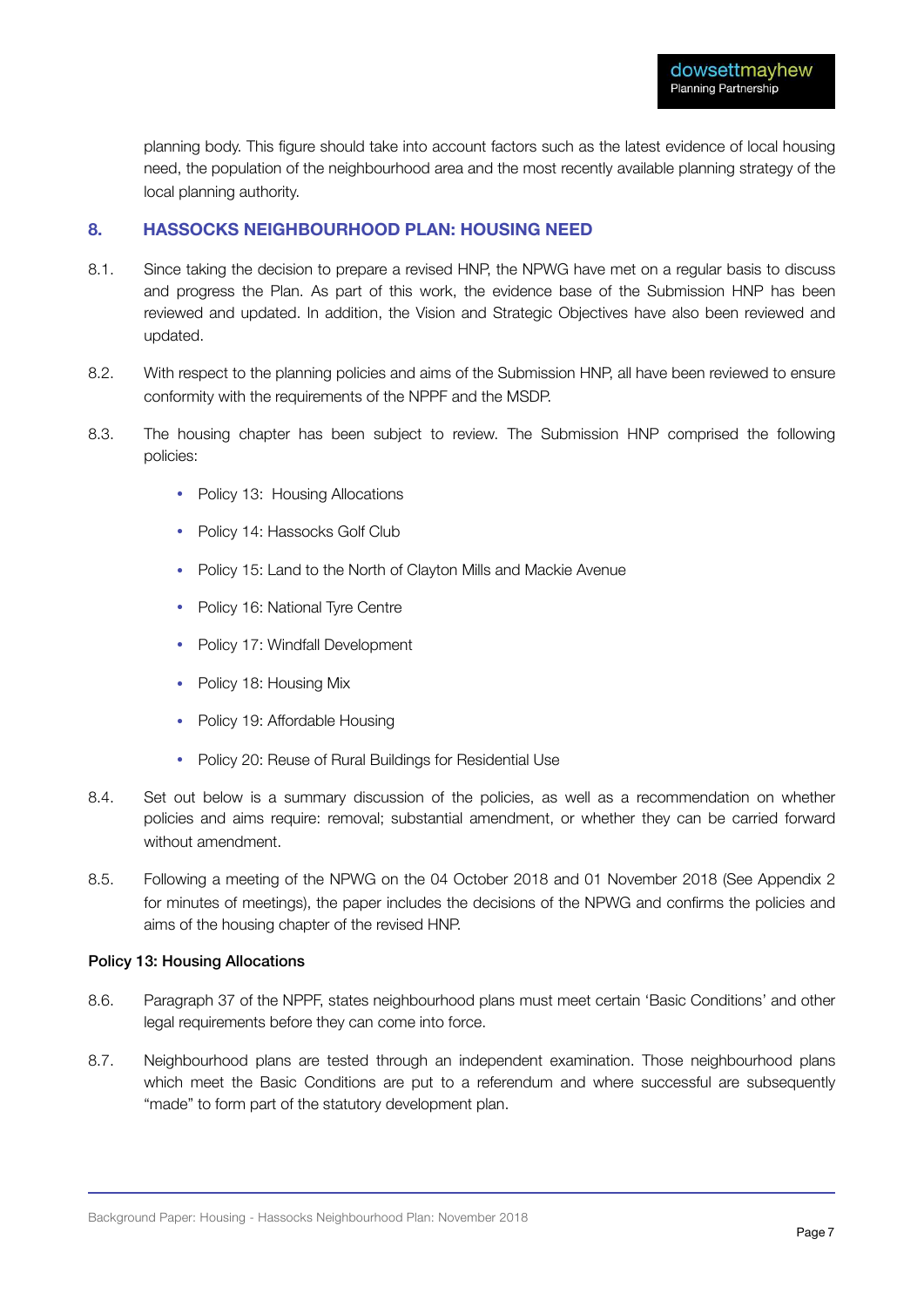planning body. This figure should take into account factors such as the latest evidence of local housing need, the population of the neighbourhood area and the most recently available planning strategy of the local planning authority.

#### **8. HASSOCKS NEIGHBOURHOOD PLAN: HOUSING NEED**

- 8.1. Since taking the decision to prepare a revised HNP, the NPWG have met on a regular basis to discuss and progress the Plan. As part of this work, the evidence base of the Submission HNP has been reviewed and updated. In addition, the Vision and Strategic Objectives have also been reviewed and updated.
- 8.2. With respect to the planning policies and aims of the Submission HNP, all have been reviewed to ensure conformity with the requirements of the NPPF and the MSDP.
- 8.3. The housing chapter has been subject to review. The Submission HNP comprised the following policies:
	- Policy 13: Housing Allocations
	- Policy 14: Hassocks Golf Club
	- Policy 15: Land to the North of Clayton Mills and Mackie Avenue
	- Policy 16: National Tyre Centre
	- Policy 17: Windfall Development
	- Policy 18: Housing Mix
	- Policy 19: Affordable Housing
	- Policy 20: Reuse of Rural Buildings for Residential Use
- 8.4. Set out below is a summary discussion of the policies, as well as a recommendation on whether policies and aims require: removal; substantial amendment, or whether they can be carried forward without amendment.
- 8.5. Following a meeting of the NPWG on the 04 October 2018 and 01 November 2018 (See Appendix 2 for minutes of meetings), the paper includes the decisions of the NPWG and confirms the policies and aims of the housing chapter of the revised HNP.

#### Policy 13: Housing Allocations

- 8.6. Paragraph 37 of the NPPF, states neighbourhood plans must meet certain 'Basic Conditions' and other legal requirements before they can come into force.
- 8.7. Neighbourhood plans are tested through an independent examination. Those neighbourhood plans which meet the Basic Conditions are put to a referendum and where successful are subsequently "made" to form part of the statutory development plan.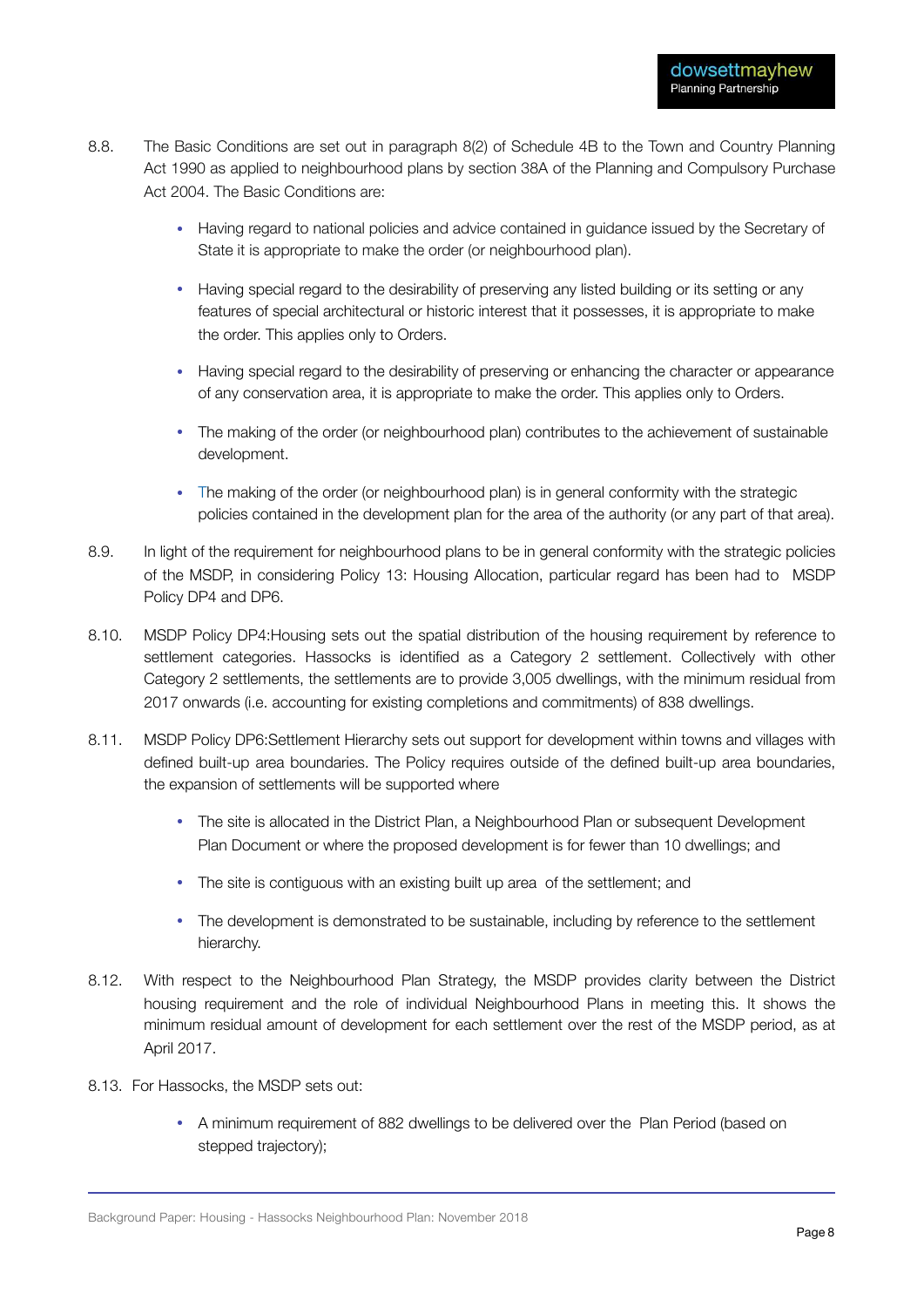- 8.8. The Basic Conditions are set out in paragraph 8(2) of Schedule 4B to the Town and Country Planning Act 1990 as applied to neighbourhood plans by section 38A of the Planning and Compulsory Purchase Act 2004. The Basic Conditions are:
	- Having regard to national policies and advice contained in guidance issued by the Secretary of State it is appropriate to make the order (or neighbourhood plan).
	- Having special regard to the desirability of preserving any listed building or its setting or any features of special architectural or historic interest that it possesses, it is appropriate to make the order. This applies only to Orders.
	- Having special regard to the desirability of preserving or enhancing the character or appearance of any conservation area, it is appropriate to make the order. This applies only to Orders.
	- The making of the order (or neighbourhood plan) contributes to the achievement of sustainable development.
	- The making of the order (or neighbourhood plan) is in general conformity with the strategic policies contained in the development plan for the area of the authority (or any part of that area).
- 8.9. In light of the requirement for neighbourhood plans to be in general conformity with the strategic policies of the MSDP, in considering Policy 13: Housing Allocation, particular regard has been had to MSDP Policy DP4 and DP6.
- 8.10. MSDP Policy DP4:Housing sets out the spatial distribution of the housing requirement by reference to settlement categories. Hassocks is identified as a Category 2 settlement. Collectively with other Category 2 settlements, the settlements are to provide 3,005 dwellings, with the minimum residual from 2017 onwards (i.e. accounting for existing completions and commitments) of 838 dwellings.
- 8.11. MSDP Policy DP6:Settlement Hierarchy sets out support for development within towns and villages with defined built-up area boundaries. The Policy requires outside of the defined built-up area boundaries, the expansion of settlements will be supported where
	- The site is allocated in the District Plan, a Neighbourhood Plan or subsequent Development Plan Document or where the proposed development is for fewer than 10 dwellings; and
	- The site is contiguous with an existing built up area of the settlement; and
	- The development is demonstrated to be sustainable, including by reference to the settlement hierarchy.
- 8.12. With respect to the Neighbourhood Plan Strategy, the MSDP provides clarity between the District housing requirement and the role of individual Neighbourhood Plans in meeting this. It shows the minimum residual amount of development for each settlement over the rest of the MSDP period, as at April 2017.
- 8.13. For Hassocks, the MSDP sets out:
	- A minimum requirement of 882 dwellings to be delivered over the Plan Period (based on stepped trajectory);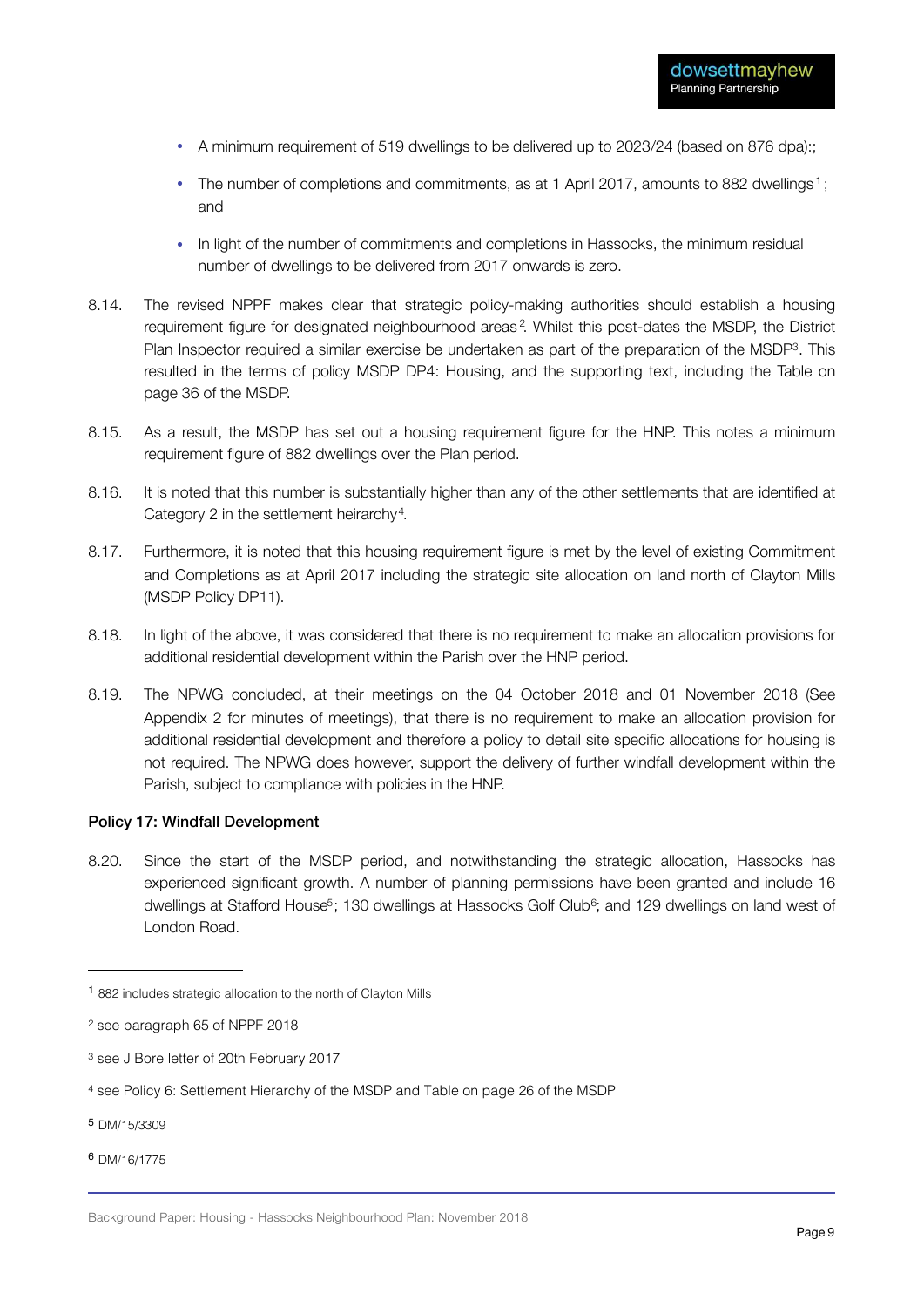- A minimum requirement of 519 dwellings to be delivered up to 2023/24 (based on 876 dpa):;
- The number of completions and commitments, as at 1 April 2017, amounts to 882 dwellings<sup>1</sup>; and
- In light of the number of commitments and completions in Hassocks, the minimum residual number of dwellings to be delivered from 2017 onwards is zero.
- 8.14. The revised NPPF makes clear that strategic policy-making authorities should establish a housing requirement figure for designated neighbourhood areas<sup>2</sup>. Whilst this post-dates the MSDP, the District Plan Inspector required a similar exercise be undertaken as part of the preparation of the MSDP<sup>3</sup>. This resulted in the terms of policy MSDP DP4: Housing, and the supporting text, including the Table on page 36 of the MSDP.
- 8.15. As a result, the MSDP has set out a housing requirement figure for the HNP. This notes a minimum requirement figure of 882 dwellings over the Plan period.
- 8.16. It is noted that this number is substantially higher than any of the other settlements that are identified at Category 2 in the settlement heirarchy<sup>4</sup>.
- 8.17. Furthermore, it is noted that this housing requirement figure is met by the level of existing Commitment and Completions as at April 2017 including the strategic site allocation on land north of Clayton Mills (MSDP Policy DP11).
- 8.18. In light of the above, it was considered that there is no requirement to make an allocation provisions for additional residential development within the Parish over the HNP period.
- 8.19. The NPWG concluded, at their meetings on the 04 October 2018 and 01 November 2018 (See Appendix 2 for minutes of meetings), that there is no requirement to make an allocation provision for additional residential development and therefore a policy to detail site specific allocations for housing is not required. The NPWG does however, support the delivery of further windfall development within the Parish, subject to compliance with policies in the HNP.

#### Policy 17: Windfall Development

8.20. Since the start of the MSDP period, and notwithstanding the strategic allocation, Hassocks has experienced significant growth. A number of planning permissions have been granted and include 16 dwellings at Stafford House<sup>5</sup>; 130 dwellings at Hassocks Golf Club<sup>6</sup>; and 129 dwellings on land west of London Road.

- <sup>5</sup> DM/15/3309
- <sup>6</sup> DM/16/1775

<sup>1</sup> 882 includes strategic allocation to the north of Clayton Mills

<sup>2</sup> see paragraph 65 of NPPF 2018

<sup>3</sup> see J Bore letter of 20th February 2017

<sup>4</sup> see Policy 6: Settlement Hierarchy of the MSDP and Table on page 26 of the MSDP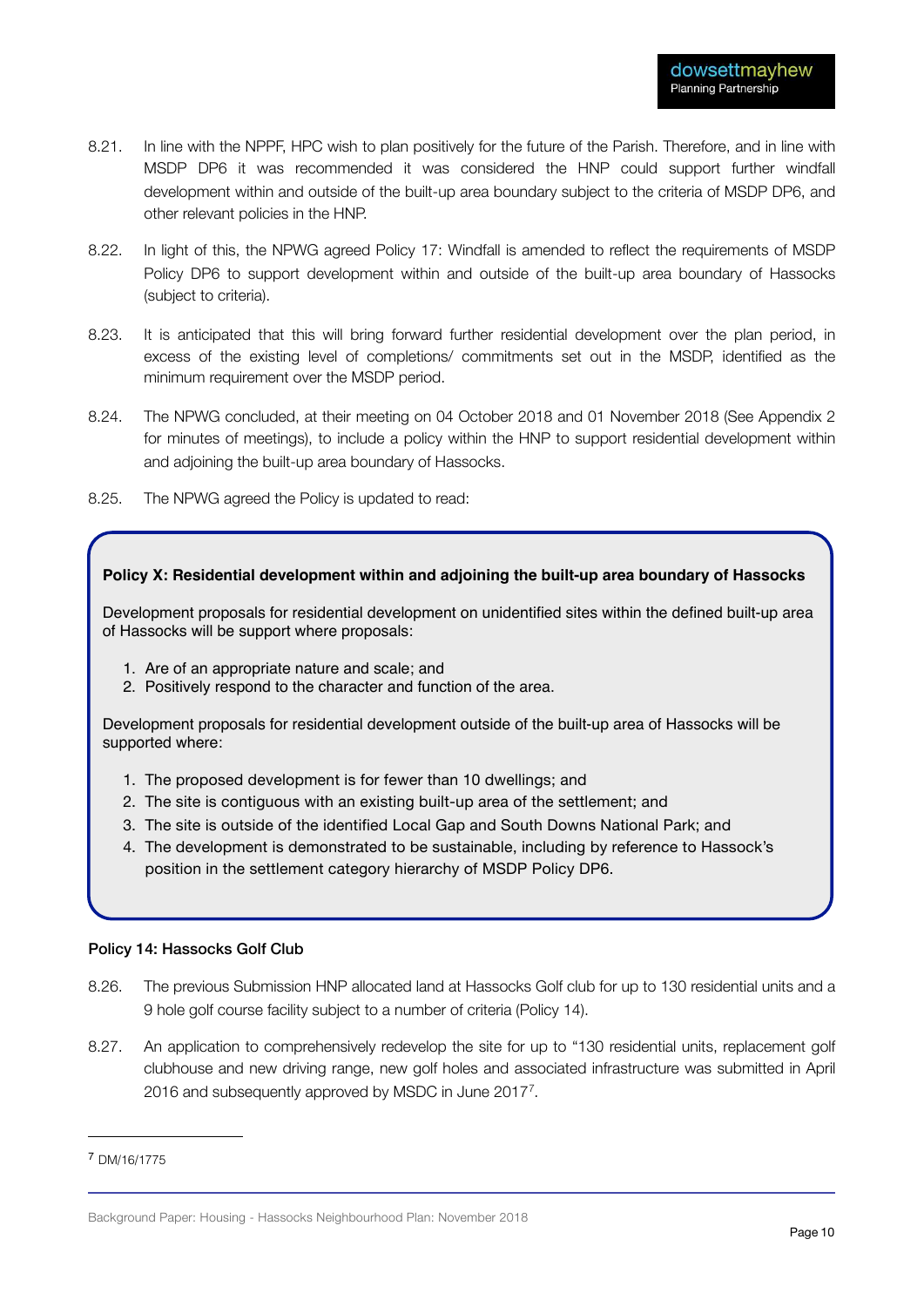- 8.21. In line with the NPPF, HPC wish to plan positively for the future of the Parish. Therefore, and in line with MSDP DP6 it was recommended it was considered the HNP could support further windfall development within and outside of the built-up area boundary subject to the criteria of MSDP DP6, and other relevant policies in the HNP.
- 8.22. In light of this, the NPWG agreed Policy 17: Windfall is amended to reflect the requirements of MSDP Policy DP6 to support development within and outside of the built-up area boundary of Hassocks (subject to criteria).
- 8.23. It is anticipated that this will bring forward further residential development over the plan period, in excess of the existing level of completions/ commitments set out in the MSDP, identified as the minimum requirement over the MSDP period.
- 8.24. The NPWG concluded, at their meeting on 04 October 2018 and 01 November 2018 (See Appendix 2 for minutes of meetings), to include a policy within the HNP to support residential development within and adjoining the built-up area boundary of Hassocks.
- 8.25. The NPWG agreed the Policy is updated to read:

#### **Policy X: Residential development within and adjoining the built-up area boundary of Hassocks**

Development proposals for residential development on unidentified sites within the defined built-up area of Hassocks will be support where proposals:

- 1. Are of an appropriate nature and scale; and
- 2. Positively respond to the character and function of the area.

Development proposals for residential development outside of the built-up area of Hassocks will be supported where:

- 1. The proposed development is for fewer than 10 dwellings; and
- 2. The site is contiguous with an existing built-up area of the settlement; and
- 3. The site is outside of the identified Local Gap and South Downs National Park; and
- 4. The development is demonstrated to be sustainable, including by reference to Hassock's position in the settlement category hierarchy of MSDP Policy DP6.

#### Policy 14: Hassocks Golf Club

- 8.26. The previous Submission HNP allocated land at Hassocks Golf club for up to 130 residential units and a 9 hole golf course facility subject to a number of criteria (Policy 14).
- 8.27. An application to comprehensively redevelop the site for up to "130 residential units, replacement golf clubhouse and new driving range, new golf holes and associated infrastructure was submitted in April 2016 and subsequently approved by MSDC in June 20177.

<sup>7</sup> DM/16/1775

Background Paper: Housing - Hassocks Neighbourhood Plan: November 2018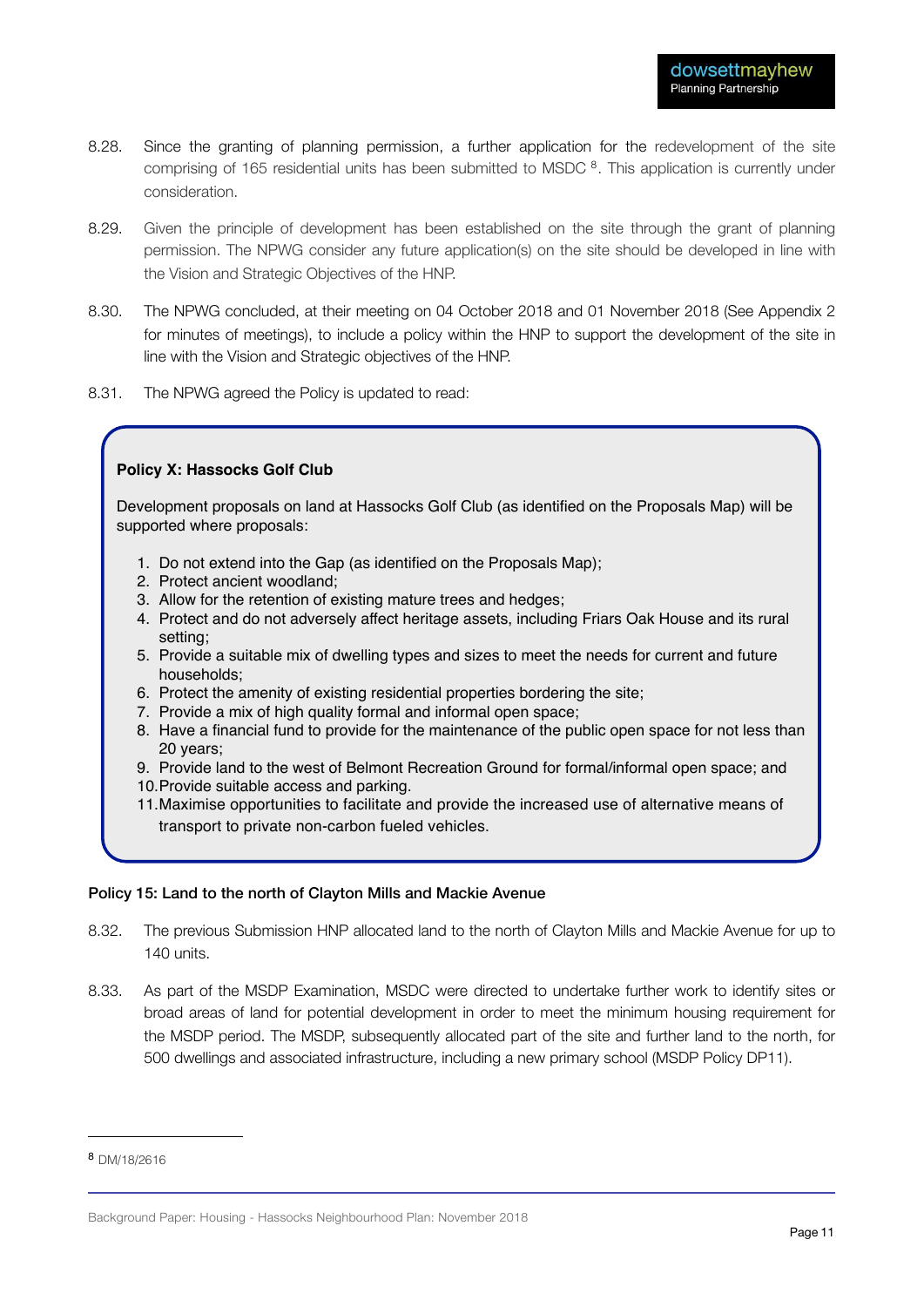- 8.28. Since the granting of planning permission, a further application for the redevelopment of the site comprising of 165 residential units has been submitted to MSDC<sup>8</sup>. This application is currently under consideration.
- 8.29. Given the principle of development has been established on the site through the grant of planning permission. The NPWG consider any future application(s) on the site should be developed in line with the Vision and Strategic Objectives of the HNP.
- 8.30. The NPWG concluded, at their meeting on 04 October 2018 and 01 November 2018 (See Appendix 2 for minutes of meetings), to include a policy within the HNP to support the development of the site in line with the Vision and Strategic objectives of the HNP.
- 8.31. The NPWG agreed the Policy is updated to read:

#### **Policy X: Hassocks Golf Club**

Development proposals on land at Hassocks Golf Club (as identified on the Proposals Map) will be supported where proposals:

- 1. Do not extend into the Gap (as identified on the Proposals Map);
- 2. Protect ancient woodland;
- 3. Allow for the retention of existing mature trees and hedges;
- 4. Protect and do not adversely affect heritage assets, including Friars Oak House and its rural setting;
- 5. Provide a suitable mix of dwelling types and sizes to meet the needs for current and future households;
- 6. Protect the amenity of existing residential properties bordering the site;
- 7. Provide a mix of high quality formal and informal open space;
- 8. Have a financial fund to provide for the maintenance of the public open space for not less than 20 years;
- 9. Provide land to the west of Belmont Recreation Ground for formal/informal open space; and
- 10.Provide suitable access and parking.
- 11.Maximise opportunities to facilitate and provide the increased use of alternative means of transport to private non-carbon fueled vehicles.

#### Policy 15: Land to the north of Clayton Mills and Mackie Avenue

- 8.32. The previous Submission HNP allocated land to the north of Clayton Mills and Mackie Avenue for up to 140 units.
- 8.33. As part of the MSDP Examination, MSDC were directed to undertake further work to identify sites or broad areas of land for potential development in order to meet the minimum housing requirement for the MSDP period. The MSDP, subsequently allocated part of the site and further land to the north, for 500 dwellings and associated infrastructure, including a new primary school (MSDP Policy DP11).

<sup>8</sup> DM/18/2616

Background Paper: Housing - Hassocks Neighbourhood Plan: November 2018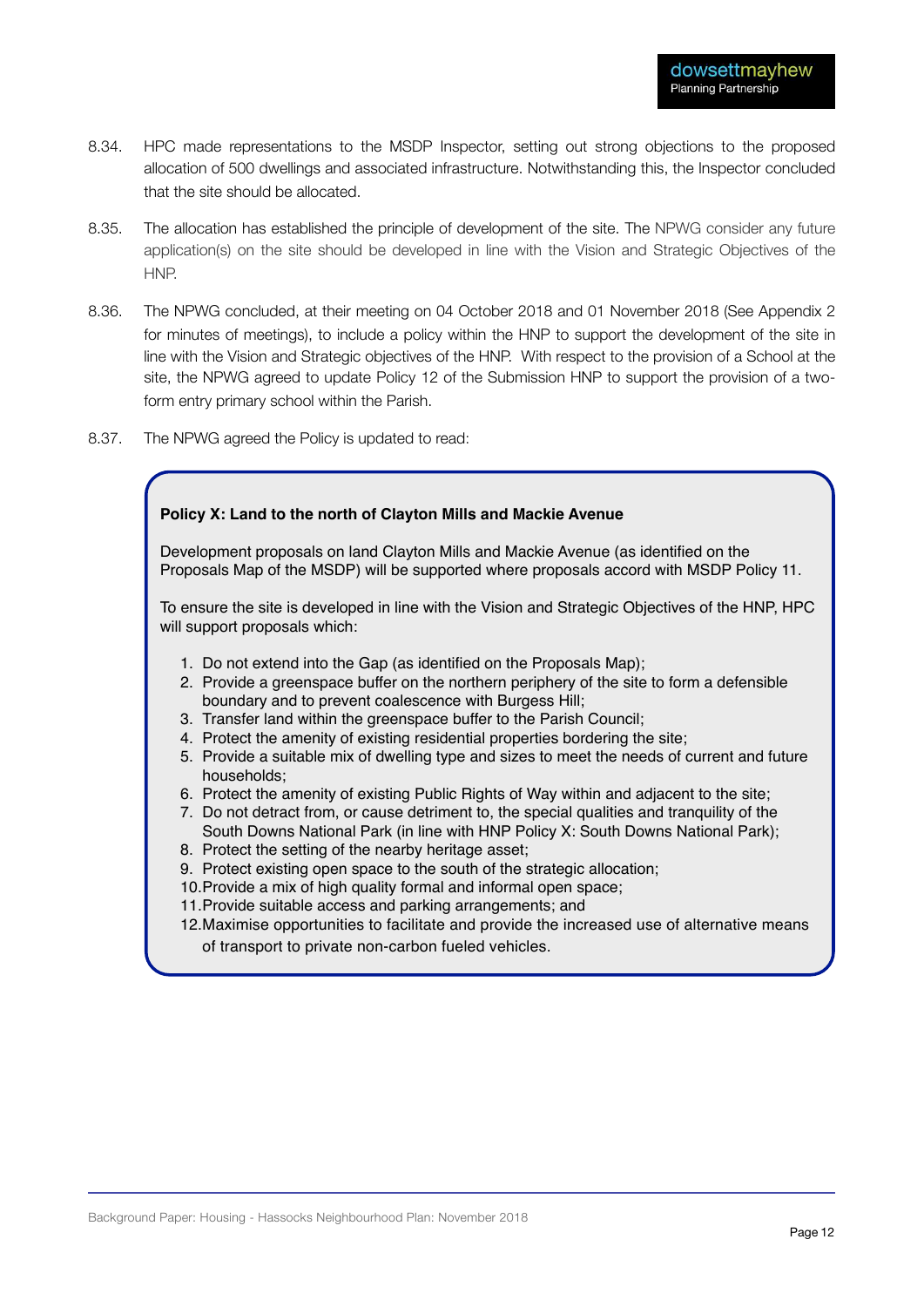- 8.34. HPC made representations to the MSDP Inspector, setting out strong objections to the proposed allocation of 500 dwellings and associated infrastructure. Notwithstanding this, the Inspector concluded that the site should be allocated.
- 8.35. The allocation has established the principle of development of the site. The NPWG consider any future application(s) on the site should be developed in line with the Vision and Strategic Objectives of the HNP.
- 8.36. The NPWG concluded, at their meeting on 04 October 2018 and 01 November 2018 (See Appendix 2 for minutes of meetings), to include a policy within the HNP to support the development of the site in line with the Vision and Strategic objectives of the HNP. With respect to the provision of a School at the site, the NPWG agreed to update Policy 12 of the Submission HNP to support the provision of a twoform entry primary school within the Parish.
- 8.37. The NPWG agreed the Policy is updated to read:

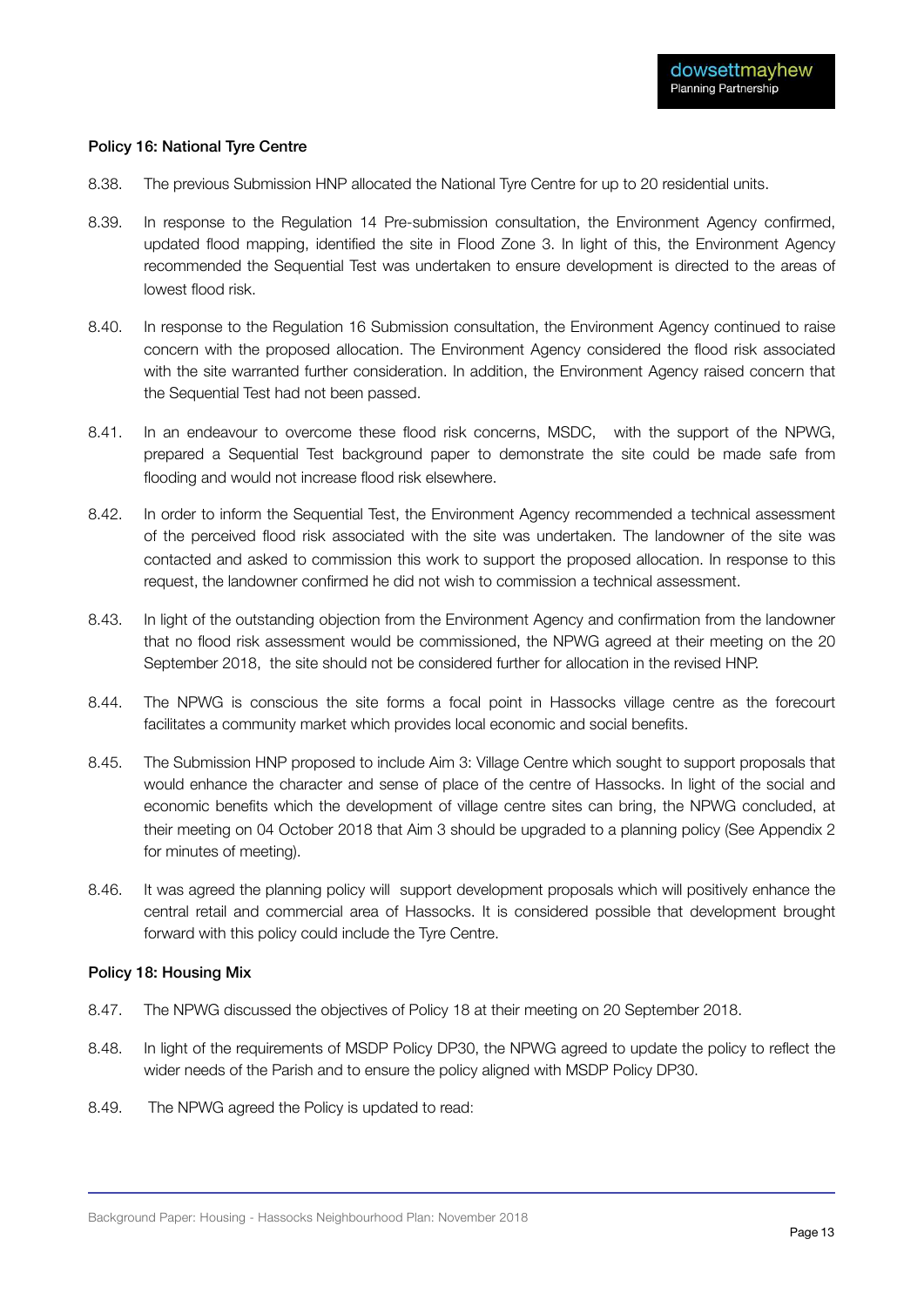#### Policy 16: National Tyre Centre

- 8.38. The previous Submission HNP allocated the National Tyre Centre for up to 20 residential units.
- 8.39. In response to the Regulation 14 Pre-submission consultation, the Environment Agency confirmed, updated flood mapping, identified the site in Flood Zone 3. In light of this, the Environment Agency recommended the Sequential Test was undertaken to ensure development is directed to the areas of lowest flood risk.
- 8.40. In response to the Regulation 16 Submission consultation, the Environment Agency continued to raise concern with the proposed allocation. The Environment Agency considered the flood risk associated with the site warranted further consideration. In addition, the Environment Agency raised concern that the Sequential Test had not been passed.
- 8.41. In an endeavour to overcome these flood risk concerns, MSDC, with the support of the NPWG, prepared a Sequential Test background paper to demonstrate the site could be made safe from flooding and would not increase flood risk elsewhere.
- 8.42. In order to inform the Sequential Test, the Environment Agency recommended a technical assessment of the perceived flood risk associated with the site was undertaken. The landowner of the site was contacted and asked to commission this work to support the proposed allocation. In response to this request, the landowner confirmed he did not wish to commission a technical assessment.
- 8.43. In light of the outstanding objection from the Environment Agency and confirmation from the landowner that no flood risk assessment would be commissioned, the NPWG agreed at their meeting on the 20 September 2018, the site should not be considered further for allocation in the revised HNP.
- 8.44. The NPWG is conscious the site forms a focal point in Hassocks village centre as the forecourt facilitates a community market which provides local economic and social benefits.
- 8.45. The Submission HNP proposed to include Aim 3: Village Centre which sought to support proposals that would enhance the character and sense of place of the centre of Hassocks. In light of the social and economic benefits which the development of village centre sites can bring, the NPWG concluded, at their meeting on 04 October 2018 that Aim 3 should be upgraded to a planning policy (See Appendix 2 for minutes of meeting).
- 8.46. It was agreed the planning policy will support development proposals which will positively enhance the central retail and commercial area of Hassocks. It is considered possible that development brought forward with this policy could include the Tyre Centre.

#### Policy 18: Housing Mix

- 8.47. The NPWG discussed the objectives of Policy 18 at their meeting on 20 September 2018.
- 8.48. In light of the requirements of MSDP Policy DP30, the NPWG agreed to update the policy to reflect the wider needs of the Parish and to ensure the policy aligned with MSDP Policy DP30.
- 8.49. The NPWG agreed the Policy is updated to read: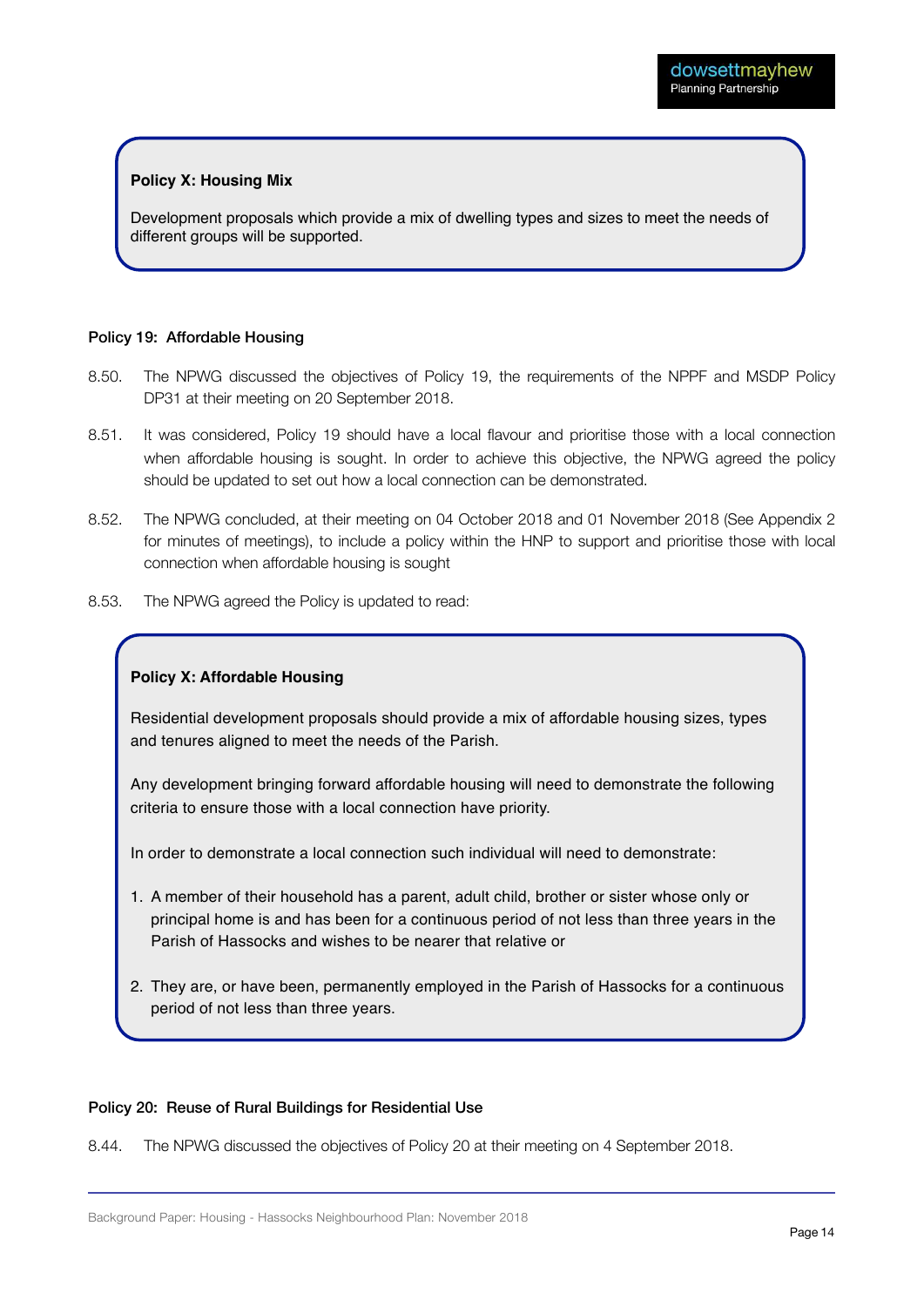#### **Policy X: Housing Mix**

Development proposals which provide a mix of dwelling types and sizes to meet the needs of different groups will be supported.

#### Policy 19: Affordable Housing

- 8.50. The NPWG discussed the objectives of Policy 19, the requirements of the NPPF and MSDP Policy DP31 at their meeting on 20 September 2018.
- 8.51. It was considered, Policy 19 should have a local flavour and prioritise those with a local connection when affordable housing is sought. In order to achieve this objective, the NPWG agreed the policy should be updated to set out how a local connection can be demonstrated.
- 8.52. The NPWG concluded, at their meeting on 04 October 2018 and 01 November 2018 (See Appendix 2 for minutes of meetings), to include a policy within the HNP to support and prioritise those with local connection when affordable housing is sought
- 8.53. The NPWG agreed the Policy is updated to read:

#### **Policy X: Affordable Housing**

Residential development proposals should provide a mix of affordable housing sizes, types and tenures aligned to meet the needs of the Parish.

Any development bringing forward affordable housing will need to demonstrate the following criteria to ensure those with a local connection have priority.

In order to demonstrate a local connection such individual will need to demonstrate:

- 1. A member of their household has a parent, adult child, brother or sister whose only or principal home is and has been for a continuous period of not less than three years in the Parish of Hassocks and wishes to be nearer that relative or
- 2. They are, or have been, permanently employed in the Parish of Hassocks for a continuous period of not less than three years.

#### Policy 20: Reuse of Rural Buildings for Residential Use

8.44. The NPWG discussed the objectives of Policy 20 at their meeting on 4 September 2018.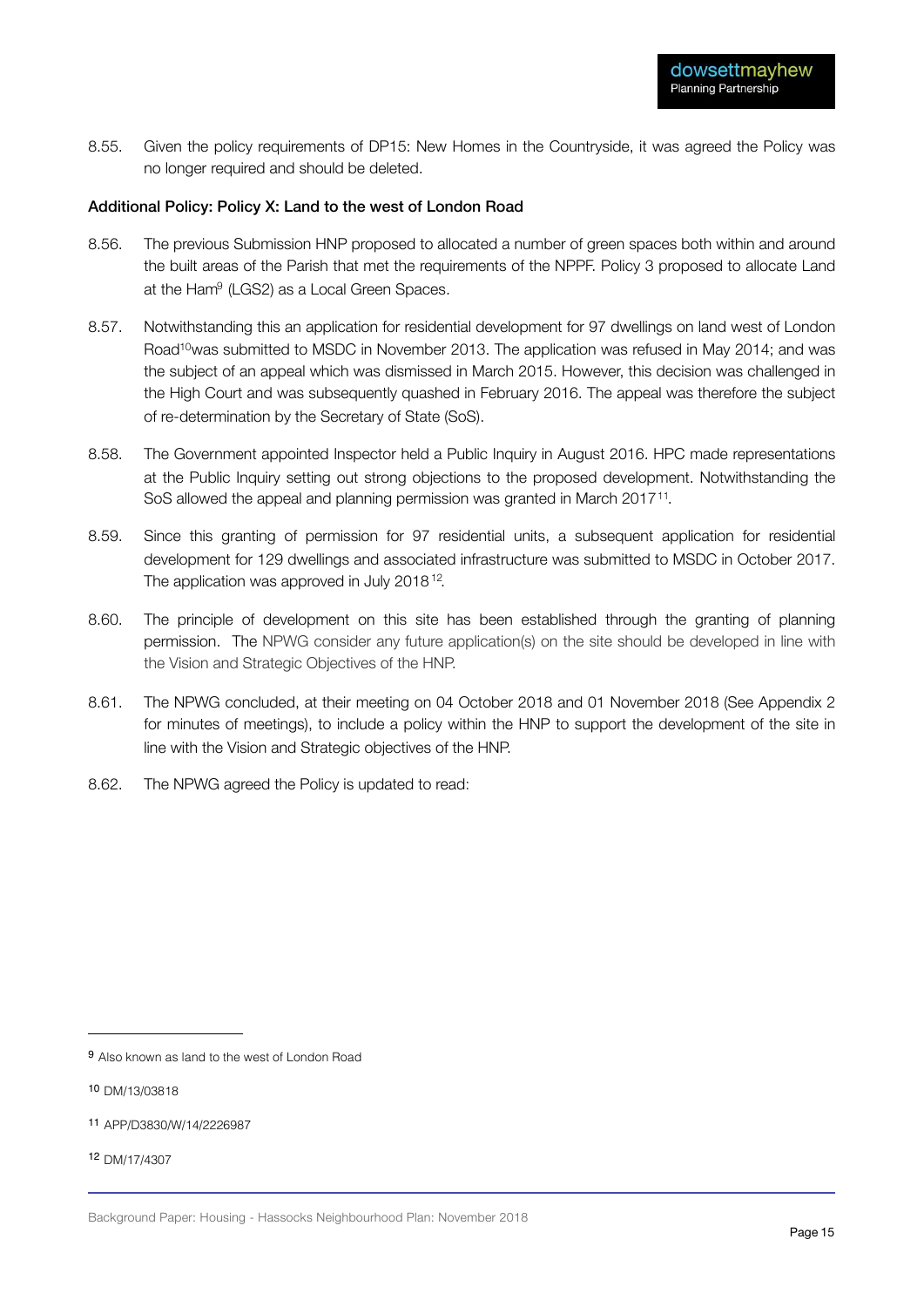8.55. Given the policy requirements of DP15: New Homes in the Countryside, it was agreed the Policy was no longer required and should be deleted.

#### Additional Policy: Policy X: Land to the west of London Road

- 8.56. The previous Submission HNP proposed to allocated a number of green spaces both within and around the built areas of the Parish that met the requirements of the NPPF. Policy 3 proposed to allocate Land at the Ham<sup>9</sup> (LGS2) as a Local Green Spaces.
- 8.57. Notwithstanding this an application for residential development for 97 dwellings on land west of London Road<sup>10</sup> was submitted to MSDC in November 2013. The application was refused in May 2014; and was the subject of an appeal which was dismissed in March 2015. However, this decision was challenged in the High Court and was subsequently quashed in February 2016. The appeal was therefore the subject of re-determination by the Secretary of State (SoS).
- 8.58. The Government appointed Inspector held a Public Inquiry in August 2016. HPC made representations at the Public Inquiry setting out strong objections to the proposed development. Notwithstanding the SoS allowed the appeal and planning permission was granted in March 2017<sup>11</sup>.
- 8.59. Since this granting of permission for 97 residential units, a subsequent application for residential development for 129 dwellings and associated infrastructure was submitted to MSDC in October 2017. The application was approved in July 2018<sup>12</sup>.
- 8.60. The principle of development on this site has been established through the granting of planning permission. The NPWG consider any future application(s) on the site should be developed in line with the Vision and Strategic Objectives of the HNP.
- 8.61. The NPWG concluded, at their meeting on 04 October 2018 and 01 November 2018 (See Appendix 2 for minutes of meetings), to include a policy within the HNP to support the development of the site in line with the Vision and Strategic objectives of the HNP.
- 8.62. The NPWG agreed the Policy is updated to read:

- <sup>11</sup> APP/D3830/W/14/2226987
- <sup>12</sup> DM/17/4307

<sup>9</sup> Also known as land to the west of London Road

<sup>10</sup> DM/13/03818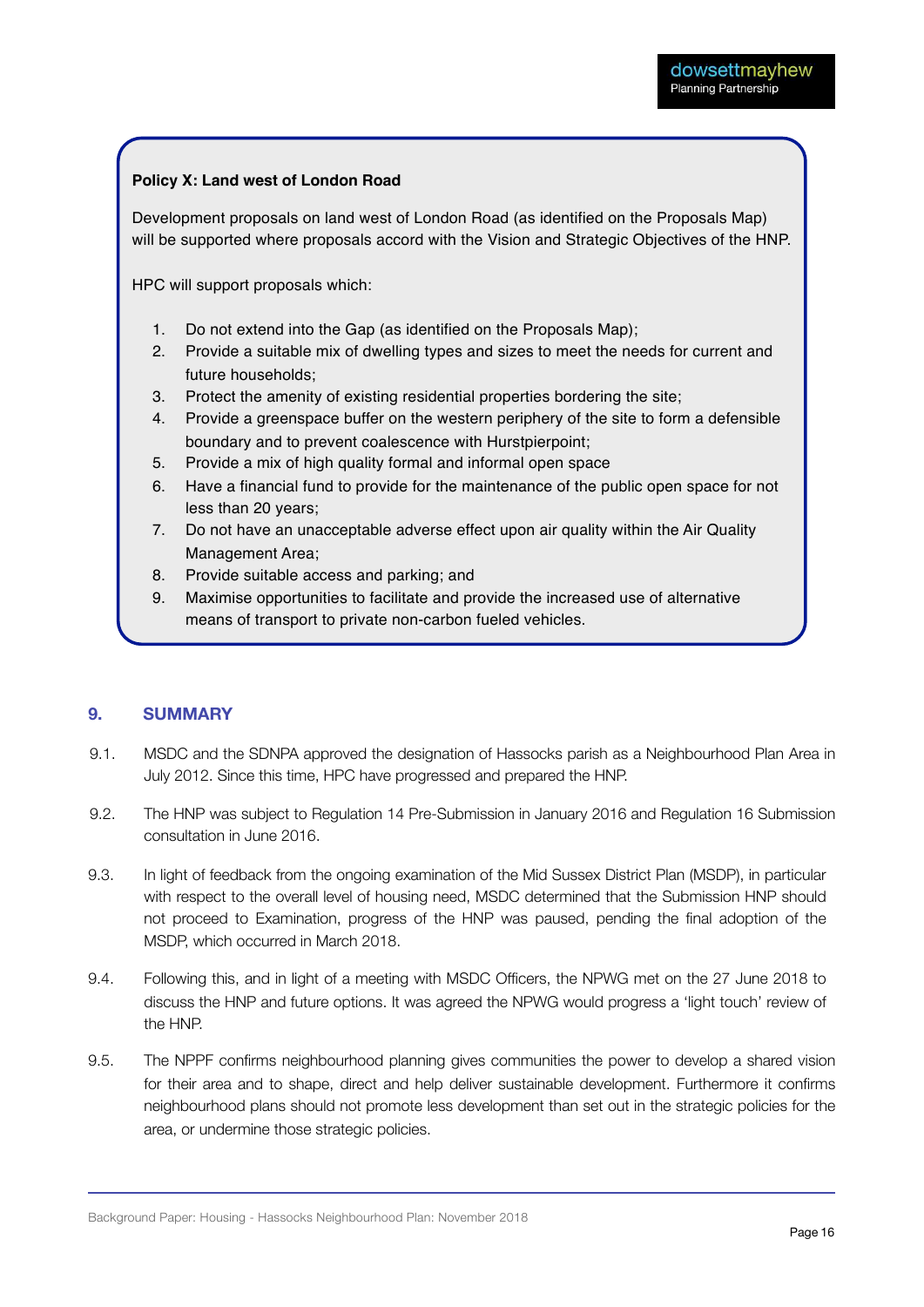#### **Policy X: Land west of London Road**

Development proposals on land west of London Road (as identified on the Proposals Map) will be supported where proposals accord with the Vision and Strategic Objectives of the HNP.

HPC will support proposals which:

- 1. Do not extend into the Gap (as identified on the Proposals Map);
- 2. Provide a suitable mix of dwelling types and sizes to meet the needs for current and future households;
- 3. Protect the amenity of existing residential properties bordering the site;
- 4. Provide a greenspace buffer on the western periphery of the site to form a defensible boundary and to prevent coalescence with Hurstpierpoint;
- 5. Provide a mix of high quality formal and informal open space
- 6. Have a financial fund to provide for the maintenance of the public open space for not less than 20 years;
- 7. Do not have an unacceptable adverse effect upon air quality within the Air Quality Management Area;
- 8. Provide suitable access and parking; and
- 9. Maximise opportunities to facilitate and provide the increased use of alternative means of transport to private non-carbon fueled vehicles.

#### **9. SUMMARY**

- 9.1. MSDC and the SDNPA approved the designation of Hassocks parish as a Neighbourhood Plan Area in July 2012. Since this time, HPC have progressed and prepared the HNP.
- 9.2. The HNP was subject to Regulation 14 Pre-Submission in January 2016 and Regulation 16 Submission consultation in June 2016.
- 9.3. In light of feedback from the ongoing examination of the Mid Sussex District Plan (MSDP), in particular with respect to the overall level of housing need, MSDC determined that the Submission HNP should not proceed to Examination, progress of the HNP was paused, pending the final adoption of the MSDP, which occurred in March 2018.
- 9.4. Following this, and in light of a meeting with MSDC Officers, the NPWG met on the 27 June 2018 to discuss the HNP and future options. It was agreed the NPWG would progress a 'light touch' review of the HNP.
- 9.5. The NPPF confirms neighbourhood planning gives communities the power to develop a shared vision for their area and to shape, direct and help deliver sustainable development. Furthermore it confirms neighbourhood plans should not promote less development than set out in the strategic policies for the area, or undermine those strategic policies.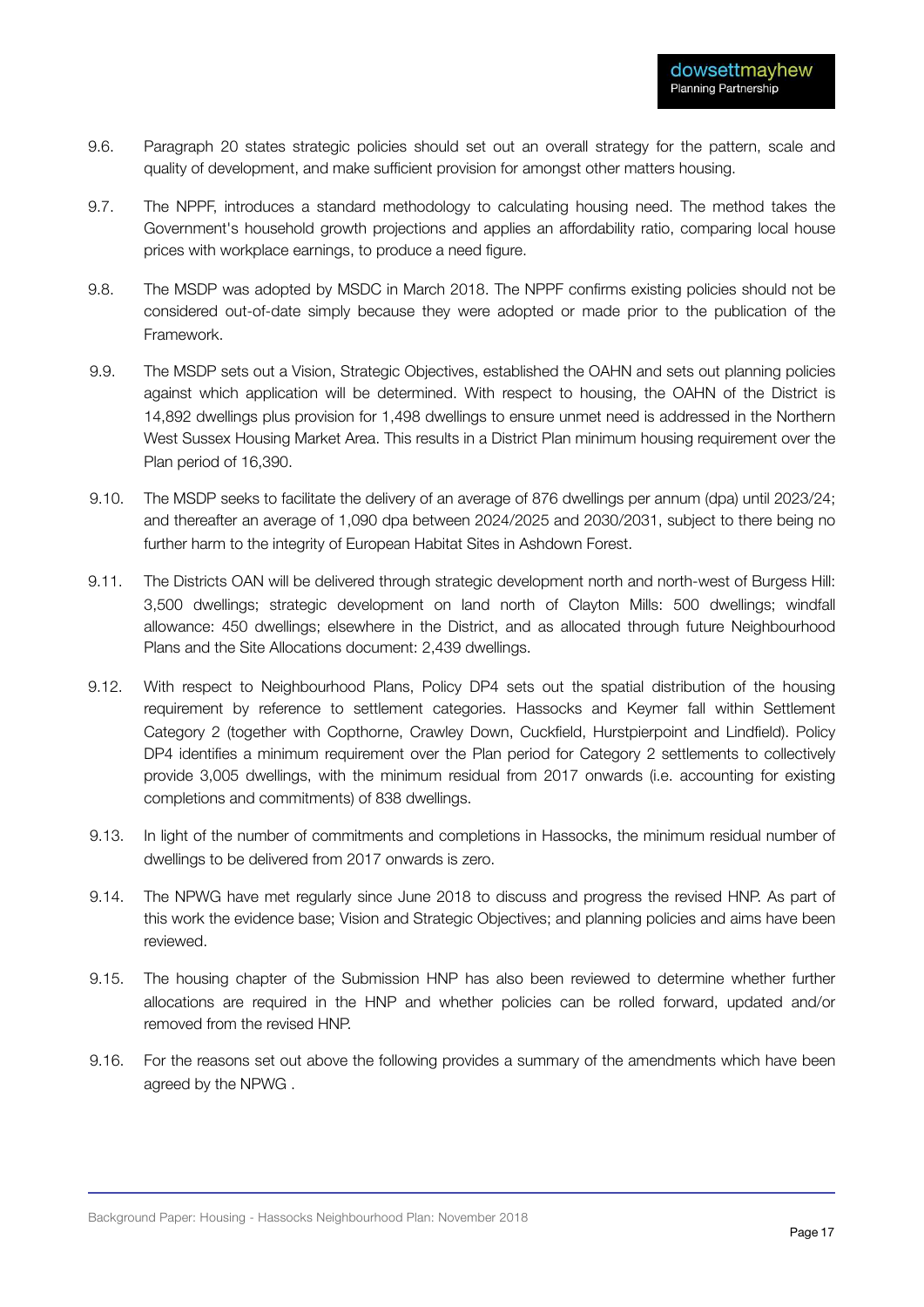- 9.6. Paragraph 20 states strategic policies should set out an overall strategy for the pattern, scale and quality of development, and make sufficient provision for amongst other matters housing.
- 9.7. The NPPF, introduces a standard methodology to calculating housing need. The method takes the Government's household growth projections and applies an affordability ratio, comparing local house prices with workplace earnings, to produce a need figure.
- 9.8. The MSDP was adopted by MSDC in March 2018. The NPPF confirms existing policies should not be considered out-of-date simply because they were adopted or made prior to the publication of the Framework.
- 9.9. The MSDP sets out a Vision, Strategic Objectives, established the OAHN and sets out planning policies against which application will be determined. With respect to housing, the OAHN of the District is 14,892 dwellings plus provision for 1,498 dwellings to ensure unmet need is addressed in the Northern West Sussex Housing Market Area. This results in a District Plan minimum housing requirement over the Plan period of 16,390.
- 9.10. The MSDP seeks to facilitate the delivery of an average of 876 dwellings per annum (dpa) until 2023/24; and thereafter an average of 1,090 dpa between 2024/2025 and 2030/2031, subject to there being no further harm to the integrity of European Habitat Sites in Ashdown Forest.
- 9.11. The Districts OAN will be delivered through strategic development north and north-west of Burgess Hill: 3,500 dwellings; strategic development on land north of Clayton Mills: 500 dwellings; windfall allowance: 450 dwellings; elsewhere in the District, and as allocated through future Neighbourhood Plans and the Site Allocations document: 2,439 dwellings.
- 9.12. With respect to Neighbourhood Plans, Policy DP4 sets out the spatial distribution of the housing requirement by reference to settlement categories. Hassocks and Keymer fall within Settlement Category 2 (together with Copthorne, Crawley Down, Cuckfield, Hurstpierpoint and Lindfield). Policy DP4 identifies a minimum requirement over the Plan period for Category 2 settlements to collectively provide 3,005 dwellings, with the minimum residual from 2017 onwards (i.e. accounting for existing completions and commitments) of 838 dwellings.
- 9.13. In light of the number of commitments and completions in Hassocks, the minimum residual number of dwellings to be delivered from 2017 onwards is zero.
- 9.14. The NPWG have met regularly since June 2018 to discuss and progress the revised HNP. As part of this work the evidence base; Vision and Strategic Objectives; and planning policies and aims have been reviewed.
- 9.15. The housing chapter of the Submission HNP has also been reviewed to determine whether further allocations are required in the HNP and whether policies can be rolled forward, updated and/or removed from the revised HNP.
- 9.16. For the reasons set out above the following provides a summary of the amendments which have been agreed by the NPWG .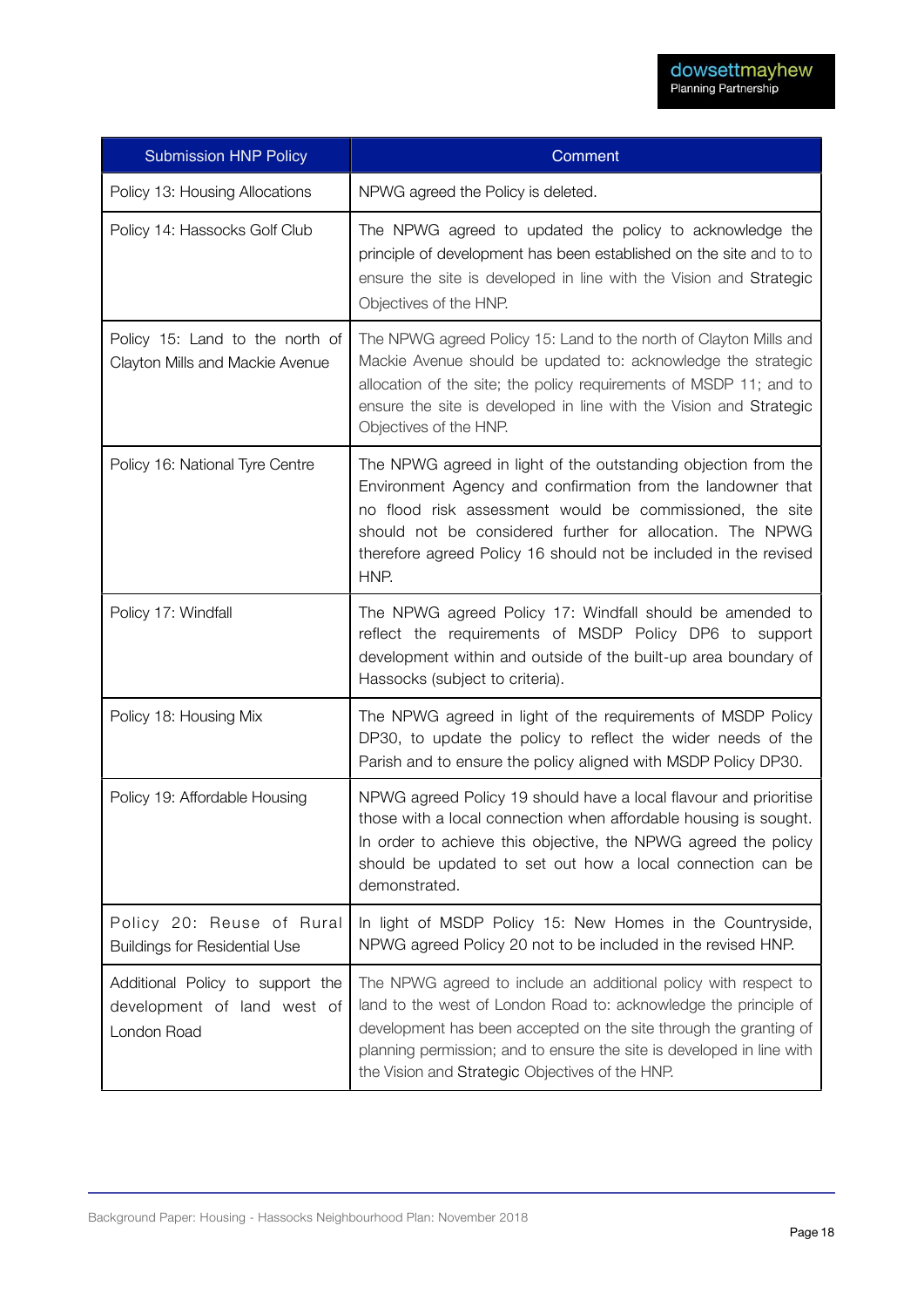| <b>Submission HNP Policy</b>                                                   | Comment                                                                                                                                                                                                                                                                                                                              |
|--------------------------------------------------------------------------------|--------------------------------------------------------------------------------------------------------------------------------------------------------------------------------------------------------------------------------------------------------------------------------------------------------------------------------------|
| Policy 13: Housing Allocations                                                 | NPWG agreed the Policy is deleted.                                                                                                                                                                                                                                                                                                   |
| Policy 14: Hassocks Golf Club                                                  | The NPWG agreed to updated the policy to acknowledge the<br>principle of development has been established on the site and to to<br>ensure the site is developed in line with the Vision and Strategic<br>Objectives of the HNP.                                                                                                      |
| Policy 15: Land to the north of<br>Clayton Mills and Mackie Avenue             | The NPWG agreed Policy 15: Land to the north of Clayton Mills and<br>Mackie Avenue should be updated to: acknowledge the strategic<br>allocation of the site; the policy requirements of MSDP 11; and to<br>ensure the site is developed in line with the Vision and Strategic<br>Objectives of the HNP.                             |
| Policy 16: National Tyre Centre                                                | The NPWG agreed in light of the outstanding objection from the<br>Environment Agency and confirmation from the landowner that<br>no flood risk assessment would be commissioned, the site<br>should not be considered further for allocation. The NPWG<br>therefore agreed Policy 16 should not be included in the revised<br>HNP.   |
| Policy 17: Windfall                                                            | The NPWG agreed Policy 17: Windfall should be amended to<br>reflect the requirements of MSDP Policy DP6 to support<br>development within and outside of the built-up area boundary of<br>Hassocks (subject to criteria).                                                                                                             |
| Policy 18: Housing Mix                                                         | The NPWG agreed in light of the requirements of MSDP Policy<br>DP30, to update the policy to reflect the wider needs of the<br>Parish and to ensure the policy aligned with MSDP Policy DP30.                                                                                                                                        |
| Policy 19: Affordable Housing                                                  | NPWG agreed Policy 19 should have a local flavour and prioritise<br>those with a local connection when affordable housing is sought.<br>In order to achieve this objective, the NPWG agreed the policy<br>should be updated to set out how a local connection can be<br>demonstrated.                                                |
| Policy 20: Reuse of Rural<br><b>Buildings for Residential Use</b>              | In light of MSDP Policy 15: New Homes in the Countryside,<br>NPWG agreed Policy 20 not to be included in the revised HNP.                                                                                                                                                                                                            |
| Additional Policy to support the<br>development of land west of<br>London Road | The NPWG agreed to include an additional policy with respect to<br>land to the west of London Road to: acknowledge the principle of<br>development has been accepted on the site through the granting of<br>planning permission; and to ensure the site is developed in line with<br>the Vision and Strategic Objectives of the HNP. |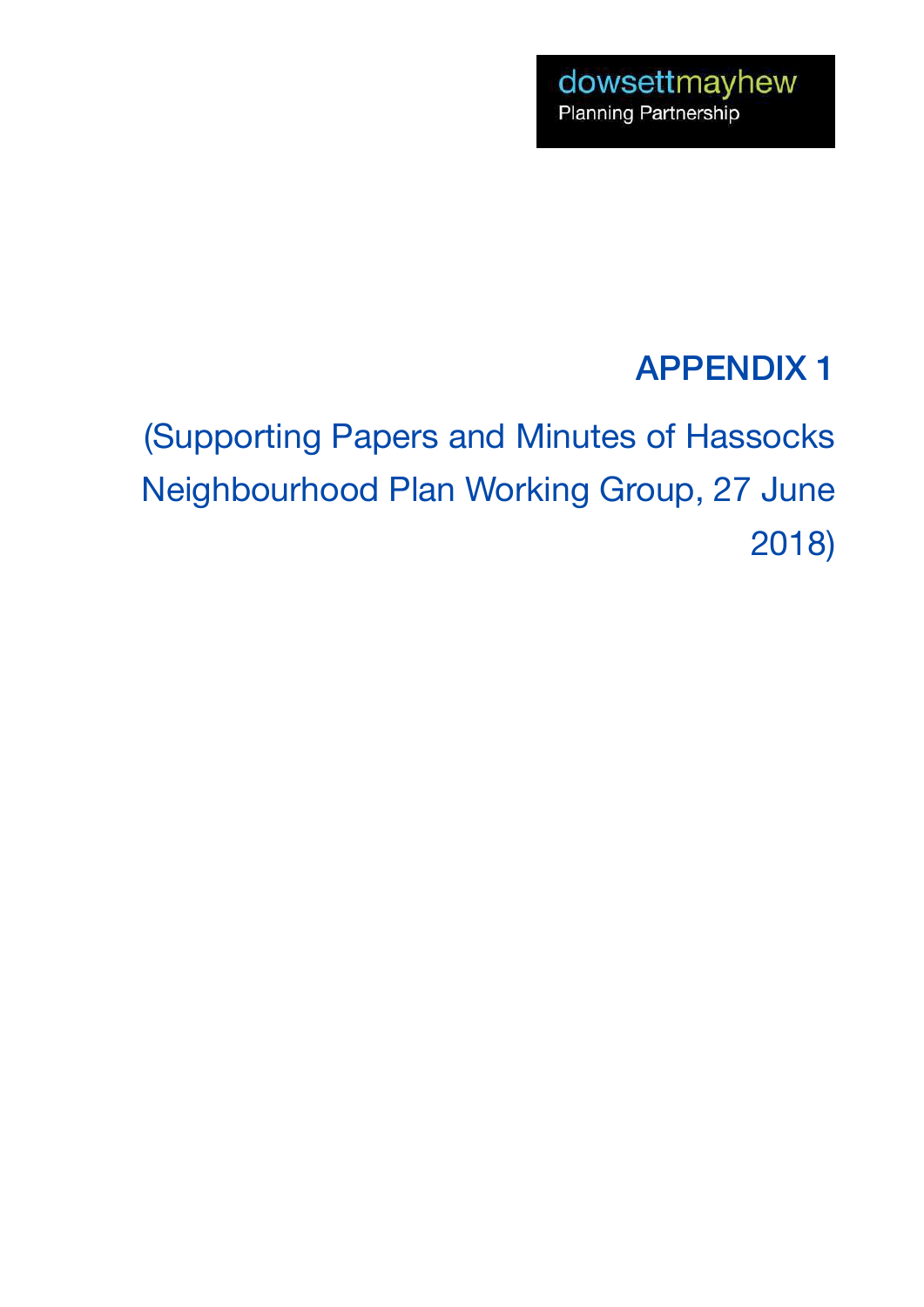### APPENDIX 1

(Supporting Papers and Minutes of Hassocks Neighbourhood Plan Working Group, 27 June 2018)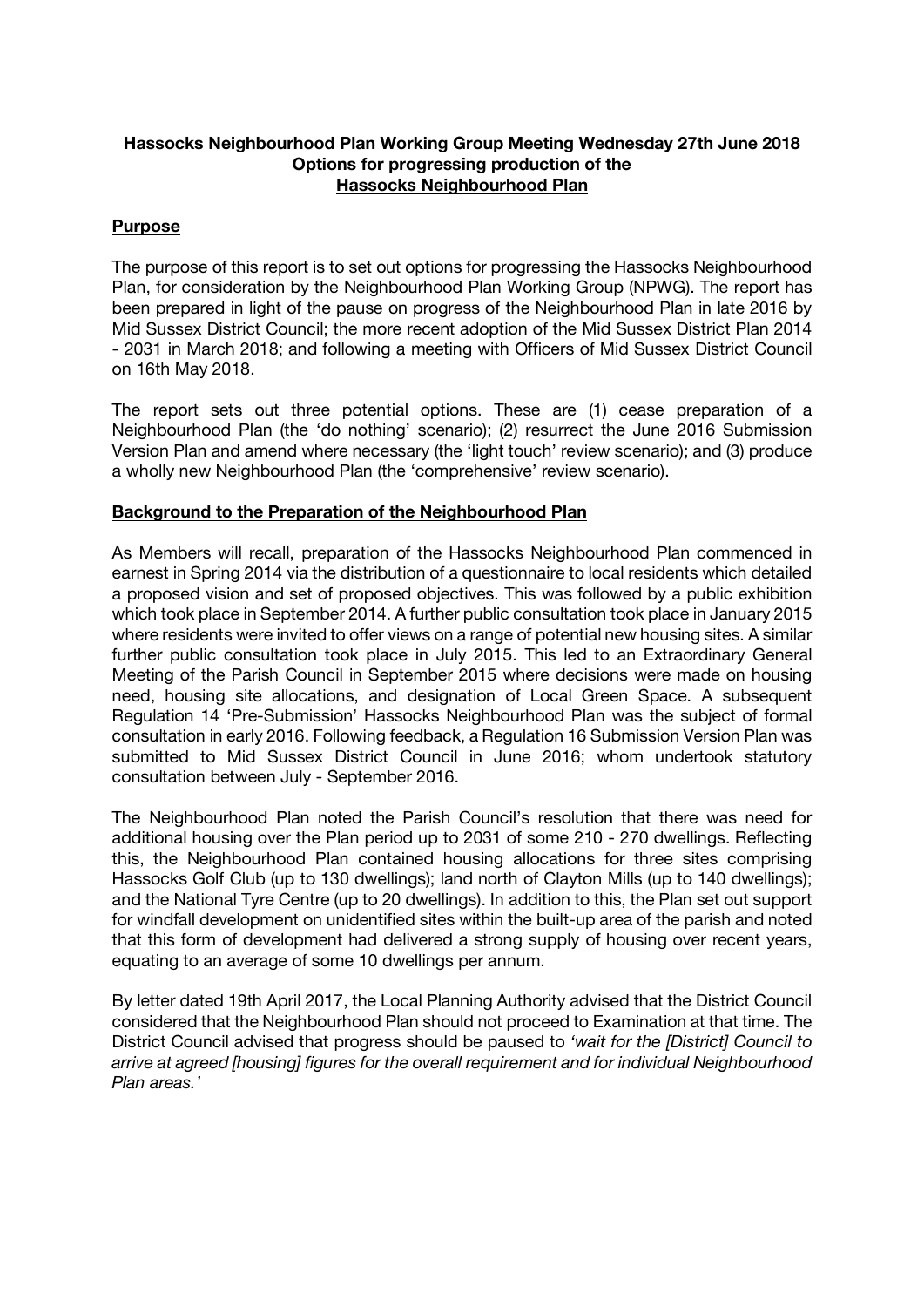#### Hassocks Neighbourhood Plan Working Group Meeting Wednesday 27th June 2018 Options for progressing production of the Hassocks Neighbourhood Plan

#### Purpose

The purpose of this report is to set out options for progressing the Hassocks Neighbourhood Plan, for consideration by the Neighbourhood Plan Working Group (NPWG). The report has been prepared in light of the pause on progress of the Neighbourhood Plan in late 2016 by Mid Sussex District Council; the more recent adoption of the Mid Sussex District Plan 2014 - 2031 in March 2018; and following a meeting with Officers of Mid Sussex District Council on 16th May 2018.

The report sets out three potential options. These are (1) cease preparation of a Neighbourhood Plan (the 'do nothing' scenario); (2) resurrect the June 2016 Submission Version Plan and amend where necessary (the 'light touch' review scenario); and (3) produce a wholly new Neighbourhood Plan (the 'comprehensive' review scenario).

#### Background to the Preparation of the Neighbourhood Plan

As Members will recall, preparation of the Hassocks Neighbourhood Plan commenced in earnest in Spring 2014 via the distribution of a questionnaire to local residents which detailed a proposed vision and set of proposed objectives. This was followed by a public exhibition which took place in September 2014. A further public consultation took place in January 2015 where residents were invited to offer views on a range of potential new housing sites. A similar further public consultation took place in July 2015. This led to an Extraordinary General Meeting of the Parish Council in September 2015 where decisions were made on housing need, housing site allocations, and designation of Local Green Space. A subsequent Regulation 14 'Pre-Submission' Hassocks Neighbourhood Plan was the subject of formal consultation in early 2016. Following feedback, a Regulation 16 Submission Version Plan was submitted to Mid Sussex District Council in June 2016; whom undertook statutory consultation between July - September 2016.

The Neighbourhood Plan noted the Parish Council's resolution that there was need for additional housing over the Plan period up to 2031 of some 210 - 270 dwellings. Reflecting this, the Neighbourhood Plan contained housing allocations for three sites comprising Hassocks Golf Club (up to 130 dwellings); land north of Clayton Mills (up to 140 dwellings); and the National Tyre Centre (up to 20 dwellings). In addition to this, the Plan set out support for windfall development on unidentified sites within the built-up area of the parish and noted that this form of development had delivered a strong supply of housing over recent years, equating to an average of some 10 dwellings per annum.

By letter dated 19th April 2017, the Local Planning Authority advised that the District Council considered that the Neighbourhood Plan should not proceed to Examination at that time. The District Council advised that progress should be paused to *'wait for the [District] Council to arrive at agreed [housing] figures for the overall requirement and for individual Neighbourhood Plan areas.'*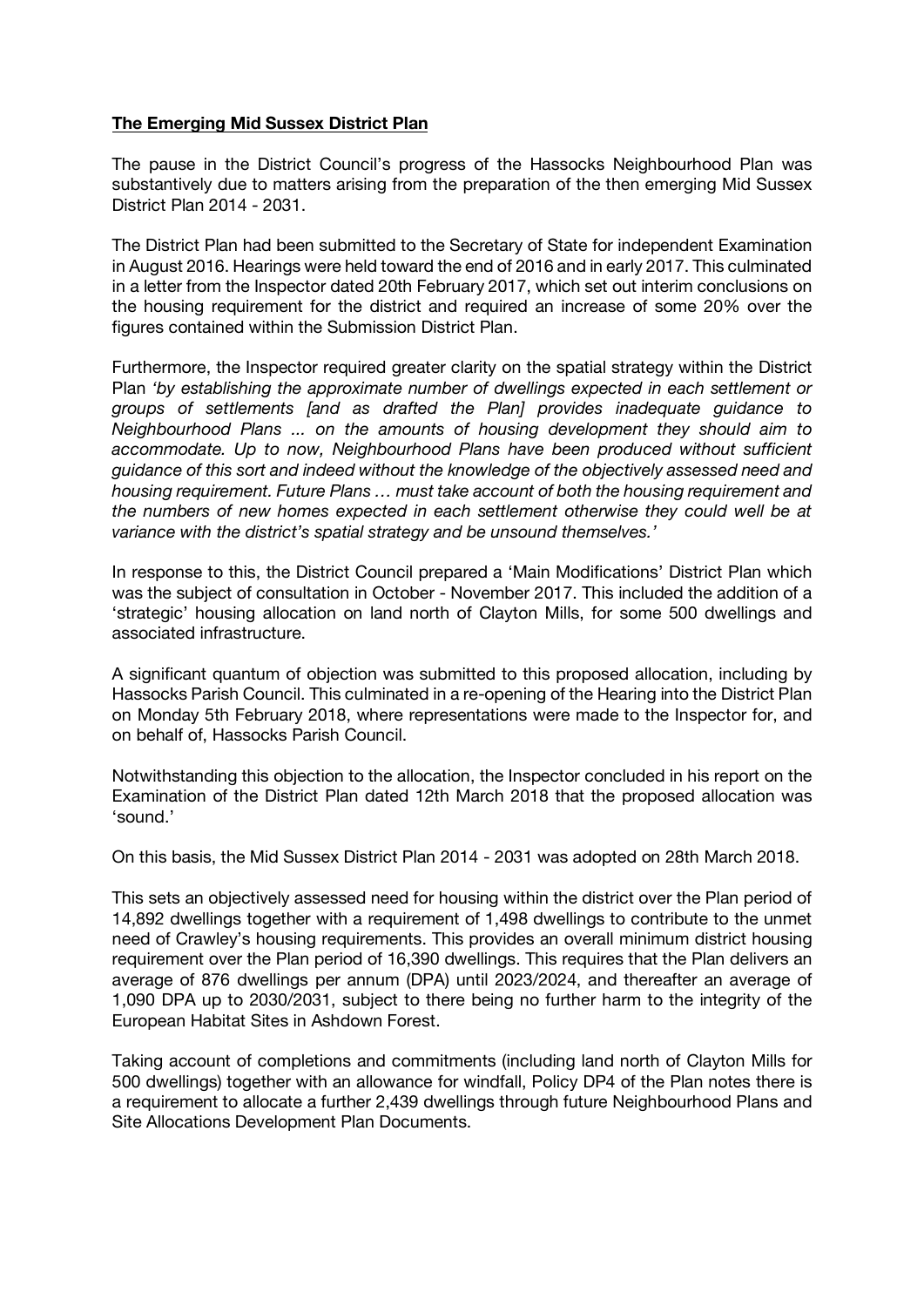#### The Emerging Mid Sussex District Plan

The pause in the District Council's progress of the Hassocks Neighbourhood Plan was substantively due to matters arising from the preparation of the then emerging Mid Sussex District Plan 2014 - 2031.

The District Plan had been submitted to the Secretary of State for independent Examination in August 2016. Hearings were held toward the end of 2016 and in early 2017. This culminated in a letter from the Inspector dated 20th February 2017, which set out interim conclusions on the housing requirement for the district and required an increase of some 20% over the figures contained within the Submission District Plan.

Furthermore, the Inspector required greater clarity on the spatial strategy within the District Plan *'by establishing the approximate number of dwellings expected in each settlement or groups of settlements [and as drafted the Plan] provides inadequate guidance to Neighbourhood Plans ... on the amounts of housing development they should aim to accommodate. Up to now, Neighbourhood Plans have been produced without sufficient guidance of this sort and indeed without the knowledge of the objectively assessed need and housing requirement. Future Plans … must take account of both the housing requirement and the numbers of new homes expected in each settlement otherwise they could well be at variance with the district's spatial strategy and be unsound themselves.'*

In response to this, the District Council prepared a 'Main Modifications' District Plan which was the subject of consultation in October - November 2017. This included the addition of a 'strategic' housing allocation on land north of Clayton Mills, for some 500 dwellings and associated infrastructure.

A significant quantum of objection was submitted to this proposed allocation, including by Hassocks Parish Council. This culminated in a re-opening of the Hearing into the District Plan on Monday 5th February 2018, where representations were made to the Inspector for, and on behalf of, Hassocks Parish Council.

Notwithstanding this objection to the allocation, the Inspector concluded in his report on the Examination of the District Plan dated 12th March 2018 that the proposed allocation was 'sound.'

On this basis, the Mid Sussex District Plan 2014 - 2031 was adopted on 28th March 2018.

This sets an objectively assessed need for housing within the district over the Plan period of 14,892 dwellings together with a requirement of 1,498 dwellings to contribute to the unmet need of Crawley's housing requirements. This provides an overall minimum district housing requirement over the Plan period of 16,390 dwellings. This requires that the Plan delivers an average of 876 dwellings per annum (DPA) until 2023/2024, and thereafter an average of 1,090 DPA up to 2030/2031, subject to there being no further harm to the integrity of the European Habitat Sites in Ashdown Forest.

Taking account of completions and commitments (including land north of Clayton Mills for 500 dwellings) together with an allowance for windfall, Policy DP4 of the Plan notes there is a requirement to allocate a further 2,439 dwellings through future Neighbourhood Plans and Site Allocations Development Plan Documents.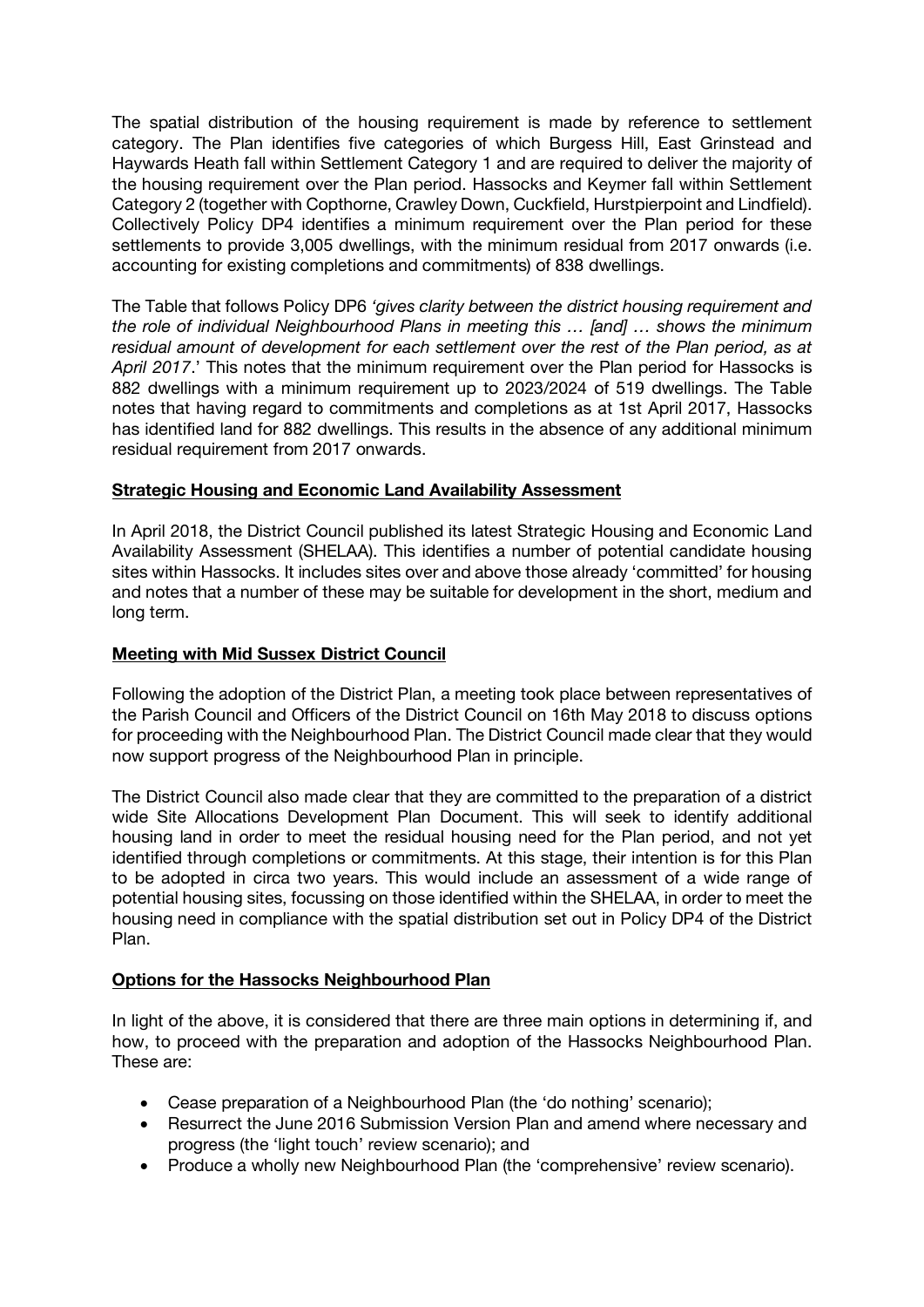The spatial distribution of the housing requirement is made by reference to settlement category. The Plan identifies five categories of which Burgess Hill, East Grinstead and Haywards Heath fall within Settlement Category 1 and are required to deliver the majority of the housing requirement over the Plan period. Hassocks and Keymer fall within Settlement Category 2 (together with Copthorne, Crawley Down, Cuckfield, Hurstpierpoint and Lindfield). Collectively Policy DP4 identifies a minimum requirement over the Plan period for these settlements to provide 3,005 dwellings, with the minimum residual from 2017 onwards (i.e. accounting for existing completions and commitments) of 838 dwellings.

The Table that follows Policy DP6 *'gives clarity between the district housing requirement and the role of individual Neighbourhood Plans in meeting this … [and] … shows the minimum residual amount of development for each settlement over the rest of the Plan period, as at April 2017*.' This notes that the minimum requirement over the Plan period for Hassocks is 882 dwellings with a minimum requirement up to 2023/2024 of 519 dwellings. The Table notes that having regard to commitments and completions as at 1st April 2017, Hassocks has identified land for 882 dwellings. This results in the absence of any additional minimum residual requirement from 2017 onwards.

#### Strategic Housing and Economic Land Availability Assessment

In April 2018, the District Council published its latest Strategic Housing and Economic Land Availability Assessment (SHELAA). This identifies a number of potential candidate housing sites within Hassocks. It includes sites over and above those already 'committed' for housing and notes that a number of these may be suitable for development in the short, medium and long term.

#### Meeting with Mid Sussex District Council

Following the adoption of the District Plan, a meeting took place between representatives of the Parish Council and Officers of the District Council on 16th May 2018 to discuss options for proceeding with the Neighbourhood Plan. The District Council made clear that they would now support progress of the Neighbourhood Plan in principle.

The District Council also made clear that they are committed to the preparation of a district wide Site Allocations Development Plan Document. This will seek to identify additional housing land in order to meet the residual housing need for the Plan period, and not yet identified through completions or commitments. At this stage, their intention is for this Plan to be adopted in circa two years. This would include an assessment of a wide range of potential housing sites, focussing on those identified within the SHELAA, in order to meet the housing need in compliance with the spatial distribution set out in Policy DP4 of the District Plan.

#### Options for the Hassocks Neighbourhood Plan

In light of the above, it is considered that there are three main options in determining if, and how, to proceed with the preparation and adoption of the Hassocks Neighbourhood Plan. These are:

- Cease preparation of a Neighbourhood Plan (the 'do nothing' scenario);
- Resurrect the June 2016 Submission Version Plan and amend where necessary and progress (the 'light touch' review scenario); and
- Produce a wholly new Neighbourhood Plan (the 'comprehensive' review scenario).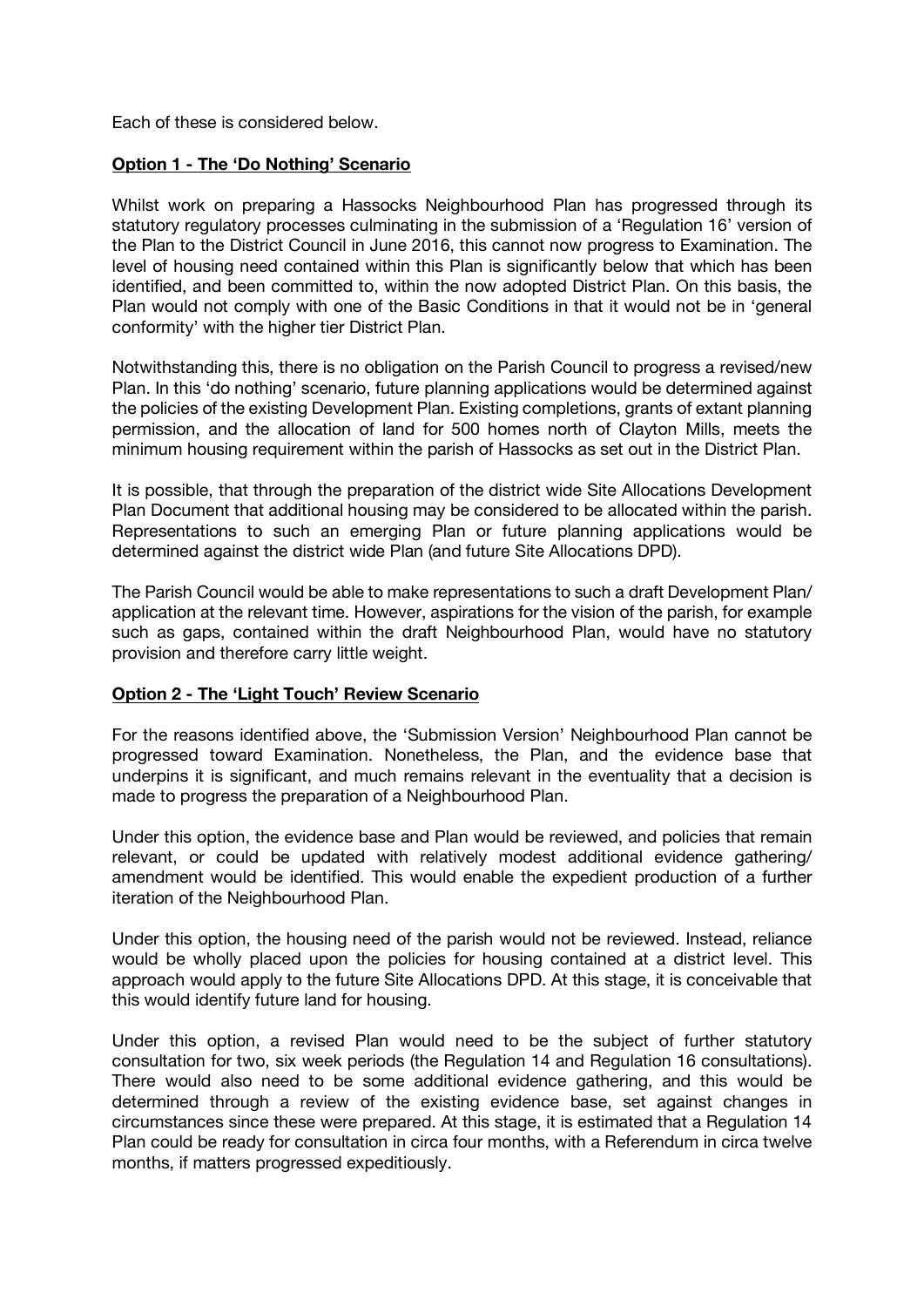Each of these is considered below.

#### Option 1 - The 'Do Nothing' Scenario

Whilst work on preparing a Hassocks Neighbourhood Plan has progressed through its statutory regulatory processes culminating in the submission of a 'Regulation 16' version of the Plan to the District Council in June 2016, this cannot now progress to Examination. The level of housing need contained within this Plan is significantly below that which has been identified, and been committed to, within the now adopted District Plan. On this basis, the Plan would not comply with one of the Basic Conditions in that it would not be in 'general conformity' with the higher tier District Plan.

Notwithstanding this, there is no obligation on the Parish Council to progress a revised/new Plan. In this 'do nothing' scenario, future planning applications would be determined against the policies of the existing Development Plan. Existing completions, grants of extant planning permission, and the allocation of land for 500 homes north of Clayton Mills, meets the minimum housing requirement within the parish of Hassocks as set out in the District Plan.

It is possible, that through the preparation of the district wide Site Allocations Development Plan Document that additional housing may be considered to be allocated within the parish. Representations to such an emerging Plan or future planning applications would be determined against the district wide Plan (and future Site Allocations DPD).

The Parish Council would be able to make representations to such a draft Development Plan/ application at the relevant time. However, aspirations for the vision of the parish, for example such as gaps, contained within the draft Neighbourhood Plan, would have no statutory provision and therefore carry little weight.

#### Option 2 - The 'Light Touch' Review Scenario

For the reasons identified above, the 'Submission Version' Neighbourhood Plan cannot be progressed toward Examination. Nonetheless, the Plan, and the evidence base that underpins it is significant, and much remains relevant in the eventuality that a decision is made to progress the preparation of a Neighbourhood Plan.

Under this option, the evidence base and Plan would be reviewed, and policies that remain relevant, or could be updated with relatively modest additional evidence gathering/ amendment would be identified. This would enable the expedient production of a further iteration of the Neighbourhood Plan.

Under this option, the housing need of the parish would not be reviewed. Instead, reliance would be wholly placed upon the policies for housing contained at a district level. This approach would apply to the future Site Allocations DPD. At this stage, it is conceivable that this would identify future land for housing.

Under this option, a revised Plan would need to be the subject of further statutory consultation for two, six week periods (the Regulation 14 and Regulation 16 consultations). There would also need to be some additional evidence gathering, and this would be determined through a review of the existing evidence base, set against changes in circumstances since these were prepared. At this stage, it is estimated that a Regulation 14 Plan could be ready for consultation in circa four months, with a Referendum in circa twelve months, if matters progressed expeditiously.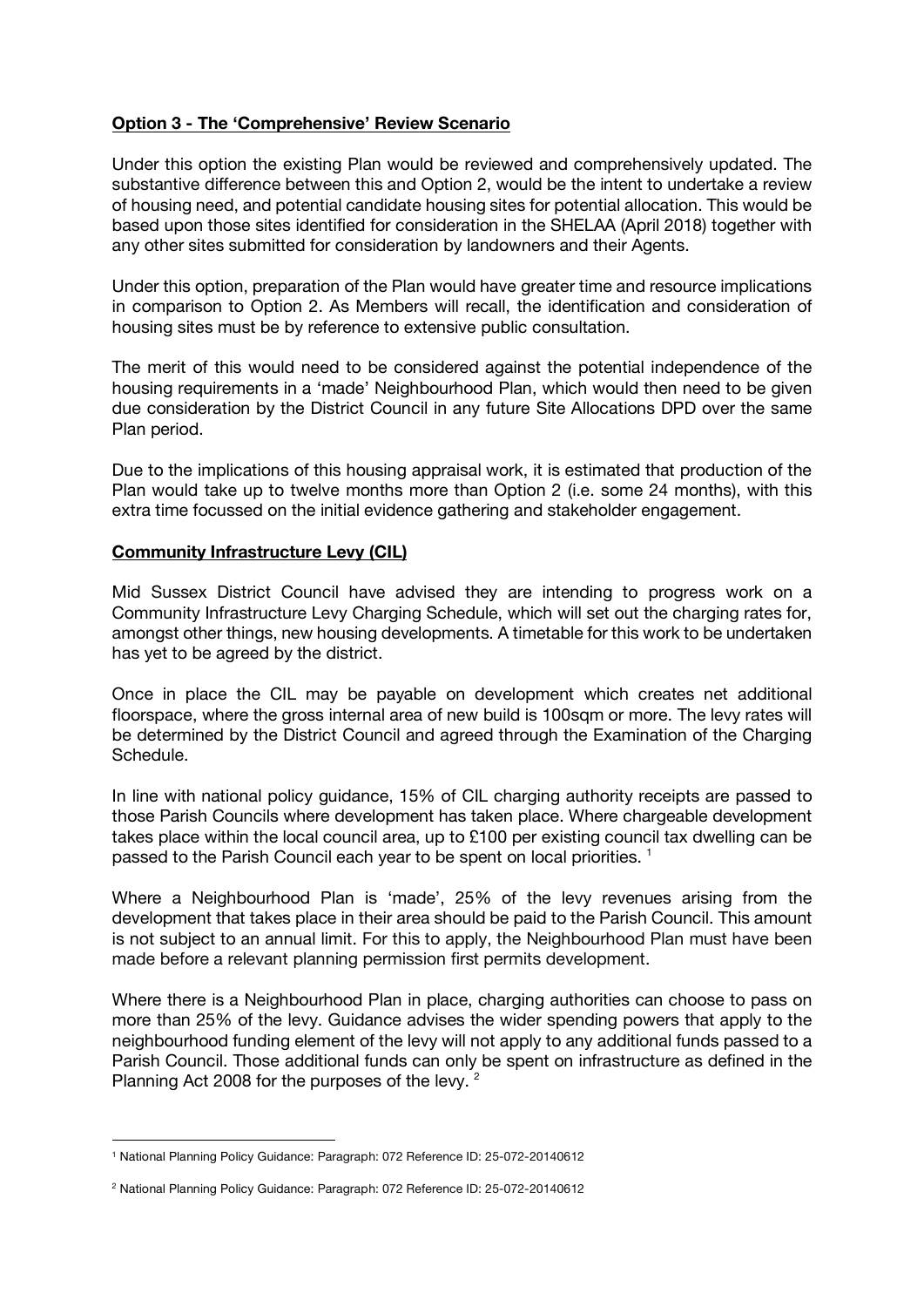#### Option 3 - The 'Comprehensive' Review Scenario

Under this option the existing Plan would be reviewed and comprehensively updated. The substantive difference between this and Option 2, would be the intent to undertake a review of housing need, and potential candidate housing sites for potential allocation. This would be based upon those sites identified for consideration in the SHELAA (April 2018) together with any other sites submitted for consideration by landowners and their Agents.

Under this option, preparation of the Plan would have greater time and resource implications in comparison to Option 2. As Members will recall, the identification and consideration of housing sites must be by reference to extensive public consultation.

The merit of this would need to be considered against the potential independence of the housing requirements in a 'made' Neighbourhood Plan, which would then need to be given due consideration by the District Council in any future Site Allocations DPD over the same Plan period.

Due to the implications of this housing appraisal work, it is estimated that production of the Plan would take up to twelve months more than Option 2 (i.e. some 24 months), with this extra time focussed on the initial evidence gathering and stakeholder engagement.

#### Community Infrastructure Levy (CIL)

Mid Sussex District Council have advised they are intending to progress work on a Community Infrastructure Levy Charging Schedule, which will set out the charging rates for, amongst other things, new housing developments. A timetable for this work to be undertaken has yet to be agreed by the district.

Once in place the CIL may be payable on development which creates net additional floorspace, where the gross internal area of new build is 100sqm or more. The levy rates will be determined by the District Council and agreed through the Examination of the Charging Schedule.

In line with national policy guidance, 15% of CIL charging authority receipts are passed to those Parish Councils where development has taken place. Where chargeable development takes place within the local council area, up to £100 per existing council tax dwelling can be passed to the Parish Council each year to be spent on local priorities.<sup>1</sup>

Where a Neighbourhood Plan is 'made', 25% of the levy revenues arising from the development that takes place in their area should be paid to the Parish Council. This amount is not subject to an annual limit. For this to apply, the Neighbourhood Plan must have been made before a relevant planning permission first permits development.

Where there is a Neighbourhood Plan in place, charging authorities can choose to pass on more than 25% of the levy. Guidance advises the wider spending powers that apply to the neighbourhood funding element of the levy will not apply to any additional funds passed to a Parish Council. Those additional funds can only be spent on infrastructure as defined in the Planning Act 2008 for the purposes of the levy.<sup>2</sup>

 $\overline{a}$ 

<sup>1</sup> National Planning Policy Guidance: Paragraph: 072 Reference ID: 25-072-20140612

<sup>2</sup> National Planning Policy Guidance: Paragraph: 072 Reference ID: 25-072-20140612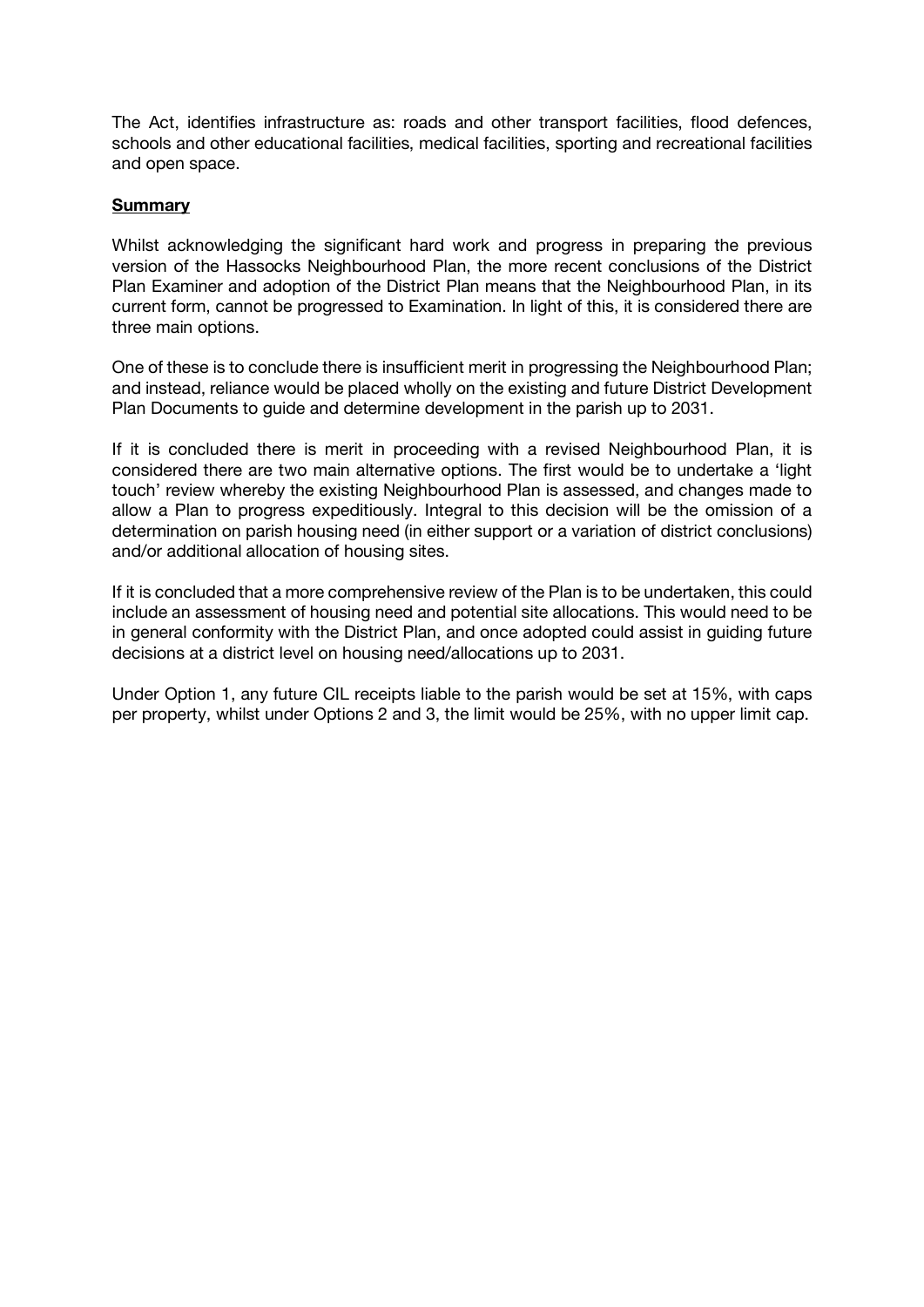The Act, identifies infrastructure as: roads and other transport facilities, flood defences, schools and other educational facilities, medical facilities, sporting and recreational facilities and open space.

#### **Summary**

Whilst acknowledging the significant hard work and progress in preparing the previous version of the Hassocks Neighbourhood Plan, the more recent conclusions of the District Plan Examiner and adoption of the District Plan means that the Neighbourhood Plan, in its current form, cannot be progressed to Examination. In light of this, it is considered there are three main options.

One of these is to conclude there is insufficient merit in progressing the Neighbourhood Plan; and instead, reliance would be placed wholly on the existing and future District Development Plan Documents to guide and determine development in the parish up to 2031.

If it is concluded there is merit in proceeding with a revised Neighbourhood Plan, it is considered there are two main alternative options. The first would be to undertake a 'light touch' review whereby the existing Neighbourhood Plan is assessed, and changes made to allow a Plan to progress expeditiously. Integral to this decision will be the omission of a determination on parish housing need (in either support or a variation of district conclusions) and/or additional allocation of housing sites.

If it is concluded that a more comprehensive review of the Plan is to be undertaken, this could include an assessment of housing need and potential site allocations. This would need to be in general conformity with the District Plan, and once adopted could assist in guiding future decisions at a district level on housing need/allocations up to 2031.

Under Option 1, any future CIL receipts liable to the parish would be set at 15%, with caps per property, whilst under Options 2 and 3, the limit would be 25%, with no upper limit cap.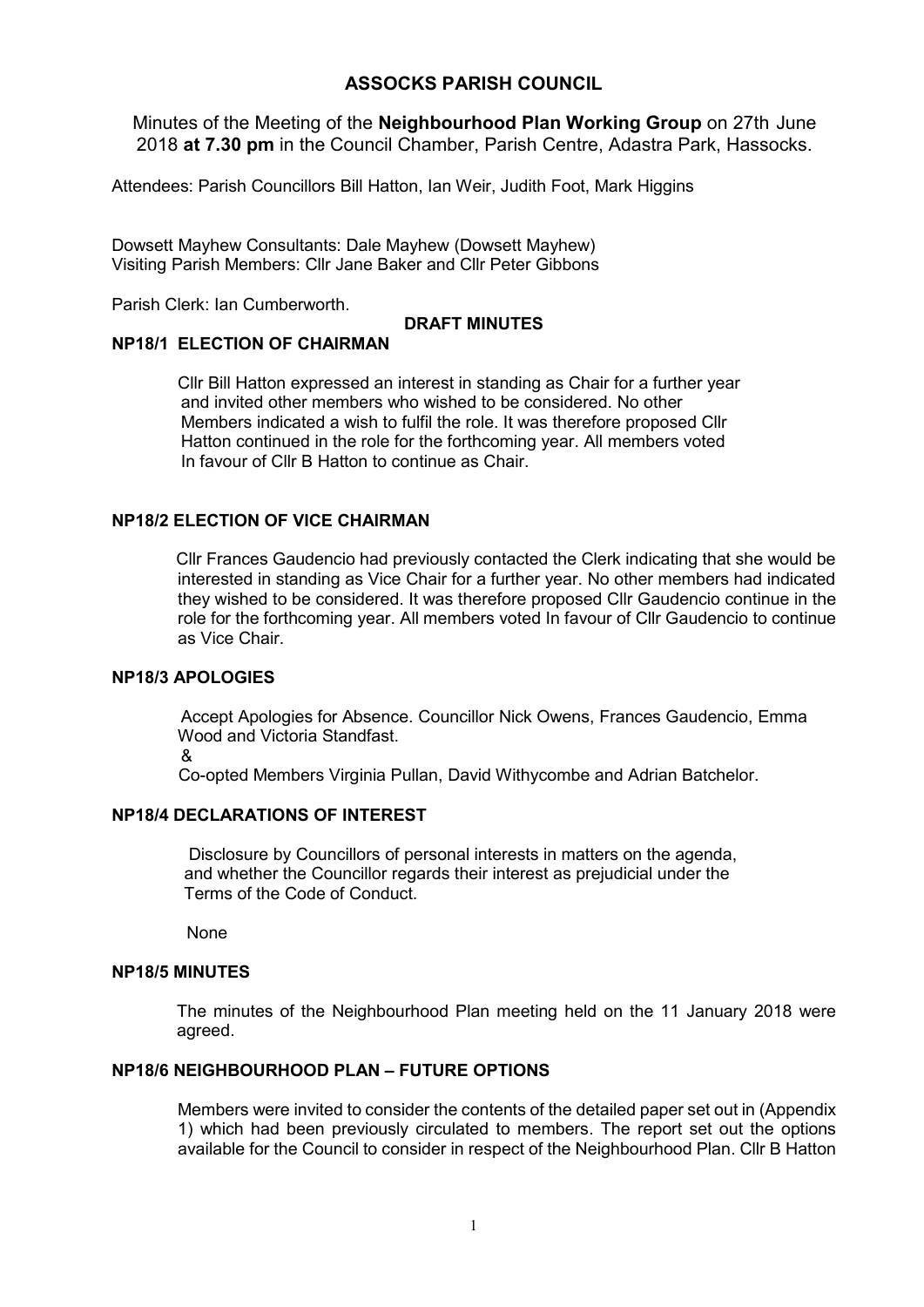#### ASSOCKS PARISH COUNCIL

Minutes of the Meeting of the Neighbourhood Plan Working Group on 27th June 2018 at 7.30 pm in the Council Chamber, Parish Centre, Adastra Park, Hassocks.

Attendees: Parish Councillors Bill Hatton, Ian Weir, Judith Foot, Mark Higgins

Dowsett Mayhew Consultants: Dale Mayhew (Dowsett Mayhew) Visiting Parish Members: Cllr Jane Baker and Cllr Peter Gibbons

Parish Clerk: Ian Cumberworth.

#### DRAFT MINUTES

#### NP18/1 ELECTION OF CHAIRMAN

Cllr Bill Hatton expressed an interest in standing as Chair for a further year and invited other members who wished to be considered. No other Members indicated a wish to fulfil the role. It was therefore proposed Cllr Hatton continued in the role for the forthcoming year. All members voted In favour of Cllr B Hatton to continue as Chair.

#### NP18/2 ELECTION OF VICE CHAIRMAN

 Cllr Frances Gaudencio had previously contacted the Clerk indicating that she would be interested in standing as Vice Chair for a further year. No other members had indicated they wished to be considered. It was therefore proposed Cllr Gaudencio continue in the role for the forthcoming year. All members voted In favour of Cllr Gaudencio to continue as Vice Chair.

#### NP18/3 APOLOGIES

 Accept Apologies for Absence. Councillor Nick Owens, Frances Gaudencio, Emma Wood and Victoria Standfast.

&

Co-opted Members Virginia Pullan, David Withycombe and Adrian Batchelor.

#### NP18/4 DECLARATIONS OF INTEREST

Disclosure by Councillors of personal interests in matters on the agenda, and whether the Councillor regards their interest as prejudicial under the Terms of the Code of Conduct.

None

#### NP18/5 MINUTES

The minutes of the Neighbourhood Plan meeting held on the 11 January 2018 were agreed.

#### NP18/6 NEIGHBOURHOOD PLAN – FUTURE OPTIONS

Members were invited to consider the contents of the detailed paper set out in (Appendix 1) which had been previously circulated to members. The report set out the options available for the Council to consider in respect of the Neighbourhood Plan. Cllr B Hatton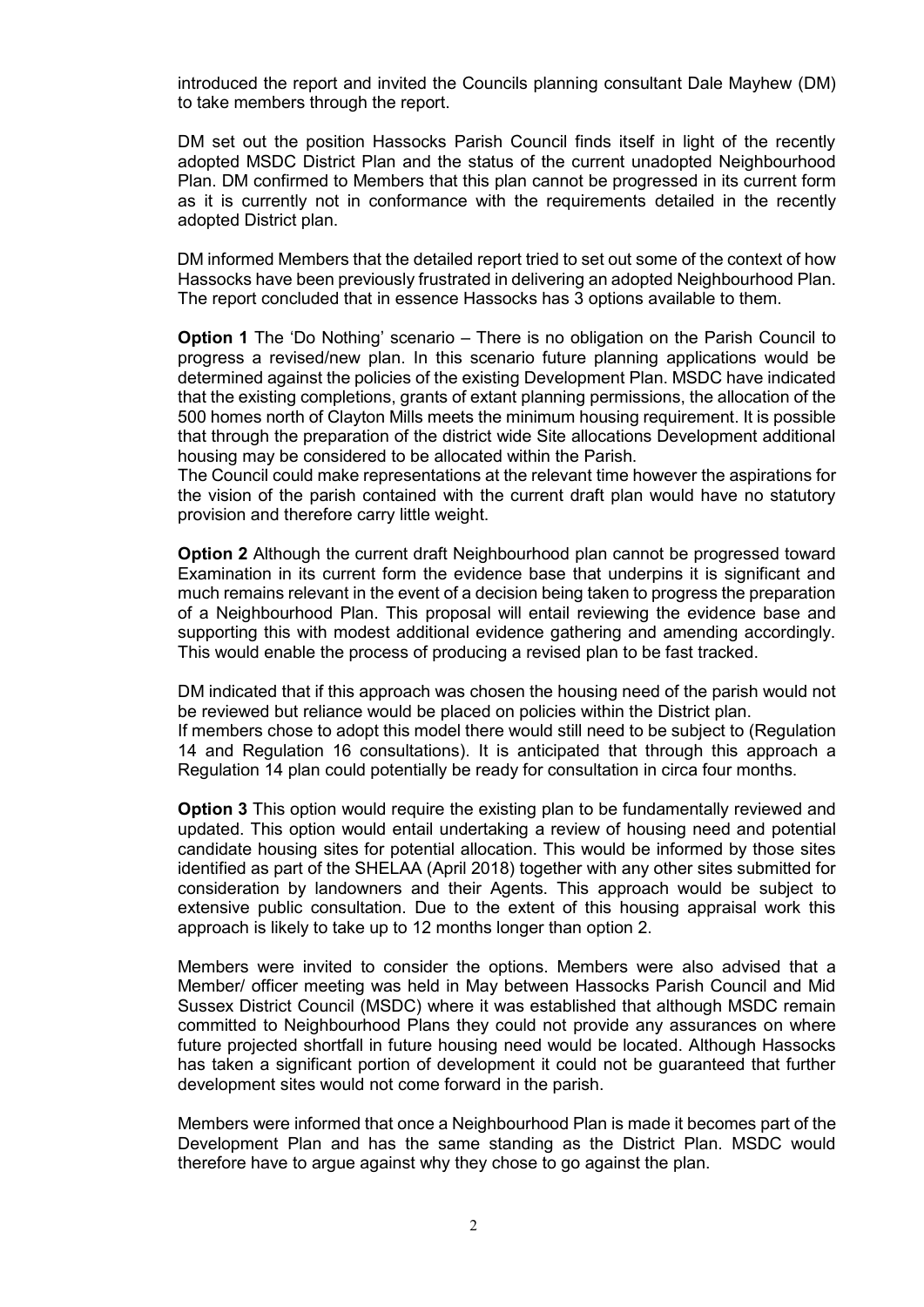introduced the report and invited the Councils planning consultant Dale Mayhew (DM) to take members through the report.

DM set out the position Hassocks Parish Council finds itself in light of the recently adopted MSDC District Plan and the status of the current unadopted Neighbourhood Plan. DM confirmed to Members that this plan cannot be progressed in its current form as it is currently not in conformance with the requirements detailed in the recently adopted District plan.

 DM informed Members that the detailed report tried to set out some of the context of how Hassocks have been previously frustrated in delivering an adopted Neighbourhood Plan. The report concluded that in essence Hassocks has 3 options available to them.

Option 1 The 'Do Nothing' scenario – There is no obligation on the Parish Council to progress a revised/new plan. In this scenario future planning applications would be determined against the policies of the existing Development Plan. MSDC have indicated that the existing completions, grants of extant planning permissions, the allocation of the 500 homes north of Clayton Mills meets the minimum housing requirement. It is possible that through the preparation of the district wide Site allocations Development additional housing may be considered to be allocated within the Parish.

The Council could make representations at the relevant time however the aspirations for the vision of the parish contained with the current draft plan would have no statutory provision and therefore carry little weight.

**Option 2** Although the current draft Neighbourhood plan cannot be progressed toward Examination in its current form the evidence base that underpins it is significant and much remains relevant in the event of a decision being taken to progress the preparation of a Neighbourhood Plan. This proposal will entail reviewing the evidence base and supporting this with modest additional evidence gathering and amending accordingly. This would enable the process of producing a revised plan to be fast tracked.

DM indicated that if this approach was chosen the housing need of the parish would not be reviewed but reliance would be placed on policies within the District plan. If members chose to adopt this model there would still need to be subject to (Regulation 14 and Regulation 16 consultations). It is anticipated that through this approach a Regulation 14 plan could potentially be ready for consultation in circa four months.

**Option 3** This option would require the existing plan to be fundamentally reviewed and updated. This option would entail undertaking a review of housing need and potential candidate housing sites for potential allocation. This would be informed by those sites identified as part of the SHELAA (April 2018) together with any other sites submitted for consideration by landowners and their Agents. This approach would be subject to extensive public consultation. Due to the extent of this housing appraisal work this approach is likely to take up to 12 months longer than option 2.

Members were invited to consider the options. Members were also advised that a Member/ officer meeting was held in May between Hassocks Parish Council and Mid Sussex District Council (MSDC) where it was established that although MSDC remain committed to Neighbourhood Plans they could not provide any assurances on where future projected shortfall in future housing need would be located. Although Hassocks has taken a significant portion of development it could not be guaranteed that further development sites would not come forward in the parish.

Members were informed that once a Neighbourhood Plan is made it becomes part of the Development Plan and has the same standing as the District Plan. MSDC would therefore have to argue against why they chose to go against the plan.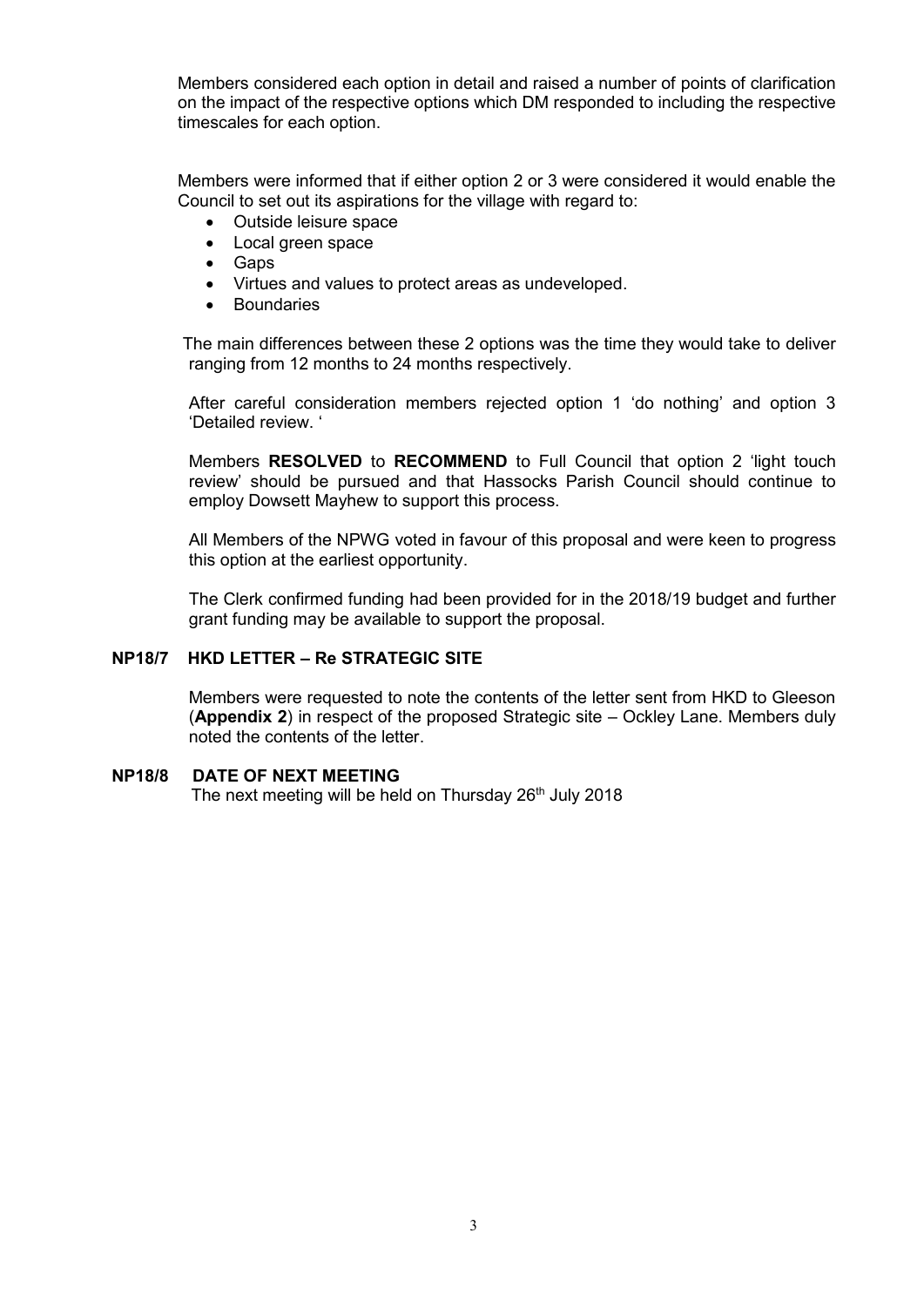Members considered each option in detail and raised a number of points of clarification on the impact of the respective options which DM responded to including the respective timescales for each option.

Members were informed that if either option 2 or 3 were considered it would enable the Council to set out its aspirations for the village with regard to:

- Outside leisure space
- Local green space
- Gaps
- Virtues and values to protect areas as undeveloped.
- **Boundaries**

 The main differences between these 2 options was the time they would take to deliver ranging from 12 months to 24 months respectively.

After careful consideration members rejected option 1 'do nothing' and option 3 'Detailed review. '

Members RESOLVED to RECOMMEND to Full Council that option 2 'light touch review' should be pursued and that Hassocks Parish Council should continue to employ Dowsett Mayhew to support this process.

All Members of the NPWG voted in favour of this proposal and were keen to progress this option at the earliest opportunity.

The Clerk confirmed funding had been provided for in the 2018/19 budget and further grant funding may be available to support the proposal.

#### NP18/7 HKD LETTER – Re STRATEGIC SITE

Members were requested to note the contents of the letter sent from HKD to Gleeson (Appendix 2) in respect of the proposed Strategic site – Ockley Lane. Members duly noted the contents of the letter.

#### NP18/8 DATE OF NEXT MEETING

The next meeting will be held on Thursday  $26<sup>th</sup>$  July 2018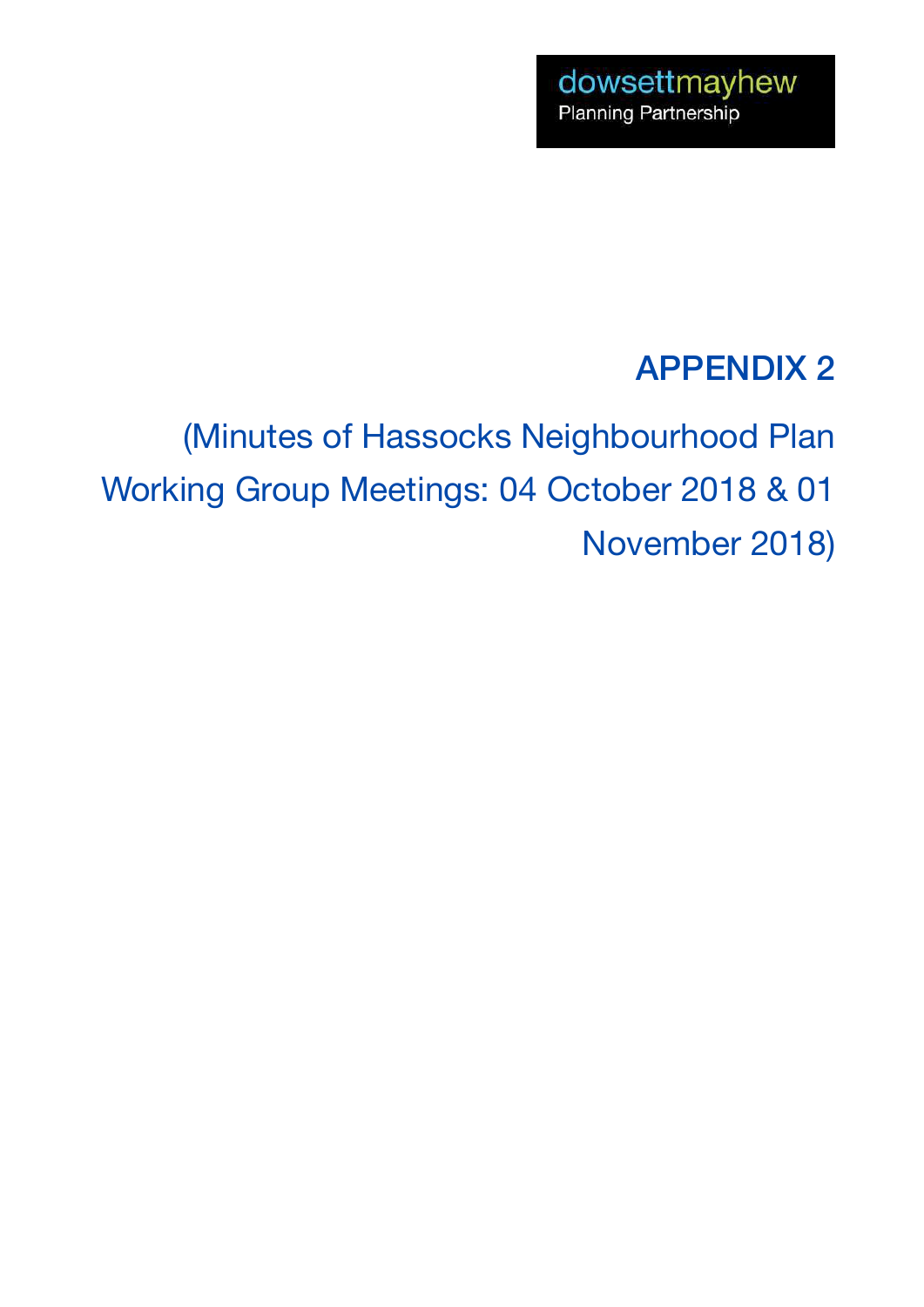## APPENDIX 2

(Minutes of Hassocks Neighbourhood Plan Working Group Meetings: 04 October 2018 & 01 November 2018)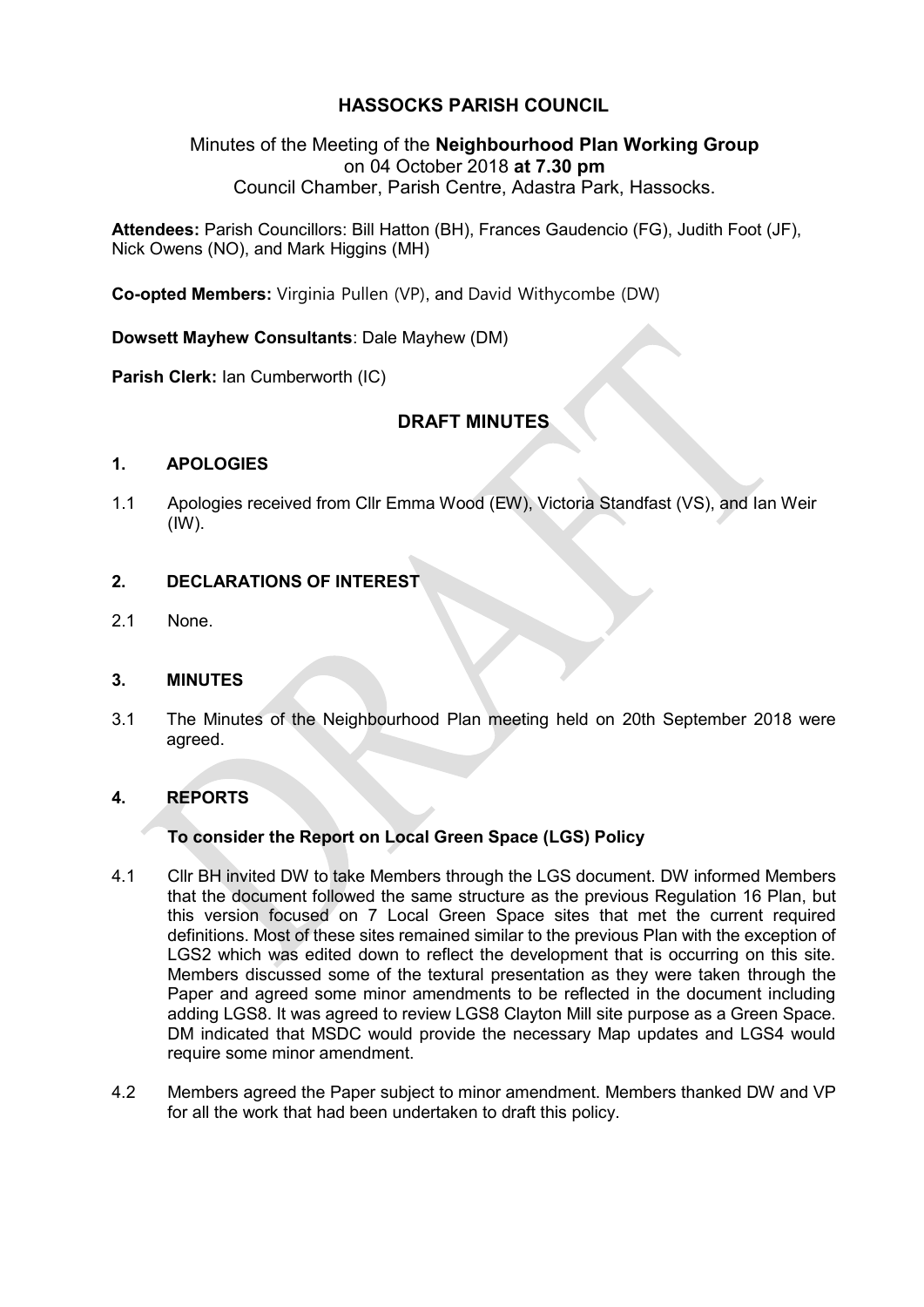#### HASSOCKS PARISH COUNCIL

#### Minutes of the Meeting of the Neighbourhood Plan Working Group on 04 October 2018 at 7.30 pm Council Chamber, Parish Centre, Adastra Park, Hassocks.

Attendees: Parish Councillors: Bill Hatton (BH), Frances Gaudencio (FG), Judith Foot (JF), Nick Owens (NO), and Mark Higgins (MH)

Co-opted Members: Virginia Pullen (VP), and David Withycombe (DW)

Dowsett Mayhew Consultants: Dale Mayhew (DM)

Parish Clerk: Ian Cumberworth (IC)

#### DRAFT MINUTES

#### 1. APOLOGIES

1.1 Apologies received from Cllr Emma Wood (EW), Victoria Standfast (VS), and Ian Weir  $(1)$ .

#### 2. DECLARATIONS OF INTEREST

2.1 None.

#### 3. MINUTES

3.1 The Minutes of the Neighbourhood Plan meeting held on 20th September 2018 were agreed.

#### 4. REPORTS

#### To consider the Report on Local Green Space (LGS) Policy

- 4.1 Cllr BH invited DW to take Members through the LGS document. DW informed Members that the document followed the same structure as the previous Regulation 16 Plan, but this version focused on 7 Local Green Space sites that met the current required definitions. Most of these sites remained similar to the previous Plan with the exception of LGS2 which was edited down to reflect the development that is occurring on this site. Members discussed some of the textural presentation as they were taken through the Paper and agreed some minor amendments to be reflected in the document including adding LGS8. It was agreed to review LGS8 Clayton Mill site purpose as a Green Space. DM indicated that MSDC would provide the necessary Map updates and LGS4 would require some minor amendment.
- 4.2 Members agreed the Paper subject to minor amendment. Members thanked DW and VP for all the work that had been undertaken to draft this policy.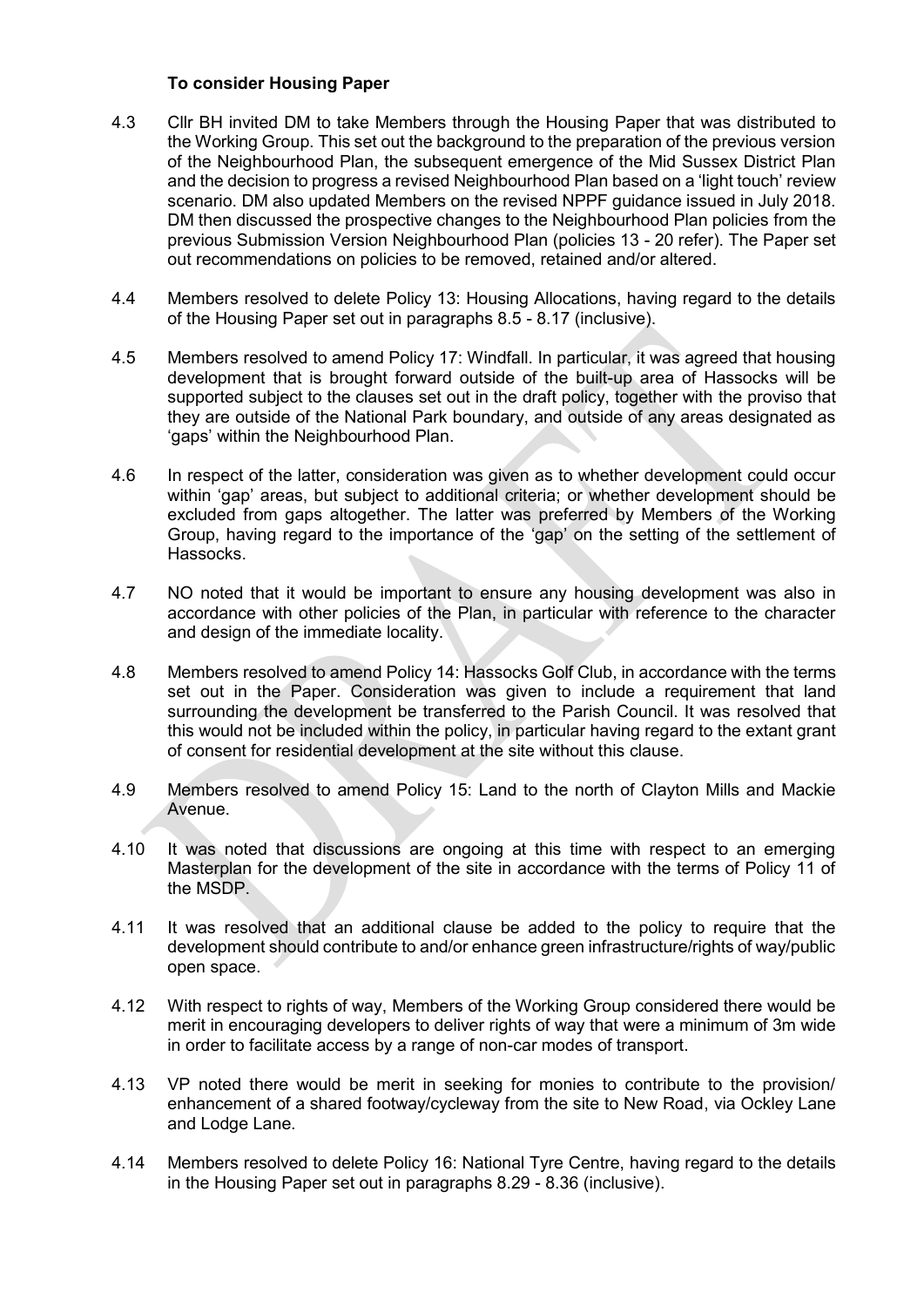#### To consider Housing Paper

- 4.3 Cllr BH invited DM to take Members through the Housing Paper that was distributed to the Working Group. This set out the background to the preparation of the previous version of the Neighbourhood Plan, the subsequent emergence of the Mid Sussex District Plan and the decision to progress a revised Neighbourhood Plan based on a 'light touch' review scenario. DM also updated Members on the revised NPPF guidance issued in July 2018. DM then discussed the prospective changes to the Neighbourhood Plan policies from the previous Submission Version Neighbourhood Plan (policies 13 - 20 refer). The Paper set out recommendations on policies to be removed, retained and/or altered.
- 4.4 Members resolved to delete Policy 13: Housing Allocations, having regard to the details of the Housing Paper set out in paragraphs 8.5 - 8.17 (inclusive).
- 4.5 Members resolved to amend Policy 17: Windfall. In particular, it was agreed that housing development that is brought forward outside of the built-up area of Hassocks will be supported subject to the clauses set out in the draft policy, together with the proviso that they are outside of the National Park boundary, and outside of any areas designated as 'gaps' within the Neighbourhood Plan.
- 4.6 In respect of the latter, consideration was given as to whether development could occur within 'gap' areas, but subject to additional criteria; or whether development should be excluded from gaps altogether. The latter was preferred by Members of the Working Group, having regard to the importance of the 'gap' on the setting of the settlement of Hassocks.
- 4.7 NO noted that it would be important to ensure any housing development was also in accordance with other policies of the Plan, in particular with reference to the character and design of the immediate locality.
- 4.8 Members resolved to amend Policy 14: Hassocks Golf Club, in accordance with the terms set out in the Paper. Consideration was given to include a requirement that land surrounding the development be transferred to the Parish Council. It was resolved that this would not be included within the policy, in particular having regard to the extant grant of consent for residential development at the site without this clause.
- 4.9 Members resolved to amend Policy 15: Land to the north of Clayton Mills and Mackie Avenue.
- 4.10 It was noted that discussions are ongoing at this time with respect to an emerging Masterplan for the development of the site in accordance with the terms of Policy 11 of the MSDP.
- 4.11 It was resolved that an additional clause be added to the policy to require that the development should contribute to and/or enhance green infrastructure/rights of way/public open space.
- 4.12 With respect to rights of way, Members of the Working Group considered there would be merit in encouraging developers to deliver rights of way that were a minimum of 3m wide in order to facilitate access by a range of non-car modes of transport.
- 4.13 VP noted there would be merit in seeking for monies to contribute to the provision/ enhancement of a shared footway/cycleway from the site to New Road, via Ockley Lane and Lodge Lane.
- 4.14 Members resolved to delete Policy 16: National Tyre Centre, having regard to the details in the Housing Paper set out in paragraphs 8.29 - 8.36 (inclusive).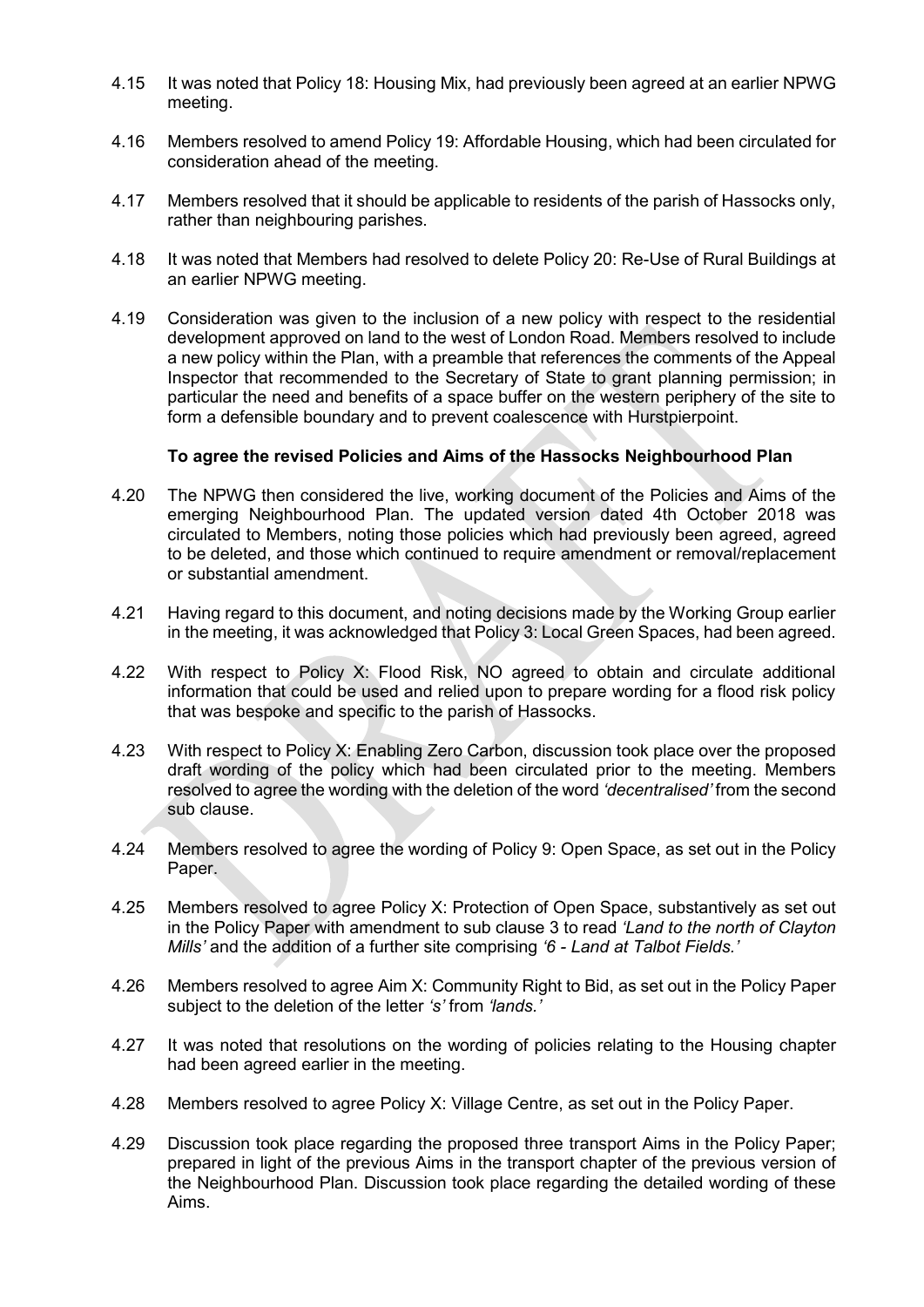- 4.15 It was noted that Policy 18: Housing Mix, had previously been agreed at an earlier NPWG meeting.
- 4.16 Members resolved to amend Policy 19: Affordable Housing, which had been circulated for consideration ahead of the meeting.
- 4.17 Members resolved that it should be applicable to residents of the parish of Hassocks only, rather than neighbouring parishes.
- 4.18 It was noted that Members had resolved to delete Policy 20: Re-Use of Rural Buildings at an earlier NPWG meeting.
- 4.19 Consideration was given to the inclusion of a new policy with respect to the residential development approved on land to the west of London Road. Members resolved to include a new policy within the Plan, with a preamble that references the comments of the Appeal Inspector that recommended to the Secretary of State to grant planning permission; in particular the need and benefits of a space buffer on the western periphery of the site to form a defensible boundary and to prevent coalescence with Hurstpierpoint.

#### To agree the revised Policies and Aims of the Hassocks Neighbourhood Plan

- 4.20 The NPWG then considered the live, working document of the Policies and Aims of the emerging Neighbourhood Plan. The updated version dated 4th October 2018 was circulated to Members, noting those policies which had previously been agreed, agreed to be deleted, and those which continued to require amendment or removal/replacement or substantial amendment.
- 4.21 Having regard to this document, and noting decisions made by the Working Group earlier in the meeting, it was acknowledged that Policy 3: Local Green Spaces, had been agreed.
- 4.22 With respect to Policy X: Flood Risk, NO agreed to obtain and circulate additional information that could be used and relied upon to prepare wording for a flood risk policy that was bespoke and specific to the parish of Hassocks.
- 4.23 With respect to Policy X: Enabling Zero Carbon, discussion took place over the proposed draft wording of the policy which had been circulated prior to the meeting. Members resolved to agree the wording with the deletion of the word 'decentralised' from the second sub clause.
- 4.24 Members resolved to agree the wording of Policy 9: Open Space, as set out in the Policy Paper.
- 4.25 Members resolved to agree Policy X: Protection of Open Space, substantively as set out in the Policy Paper with amendment to sub clause 3 to read '*Land to the north of Clayton*  Mills' and the addition of a further site comprising '6 *-* Land at Talbot Fields.'
- 4.26 Members resolved to agree Aim X: Community Right to Bid, as set out in the Policy Paper subject to the deletion of the letter 's' from 'lands.'
- 4.27 It was noted that resolutions on the wording of policies relating to the Housing chapter had been agreed earlier in the meeting.
- 4.28 Members resolved to agree Policy X: Village Centre, as set out in the Policy Paper.
- 4.29 Discussion took place regarding the proposed three transport Aims in the Policy Paper; prepared in light of the previous Aims in the transport chapter of the previous version of the Neighbourhood Plan. Discussion took place regarding the detailed wording of these Aims.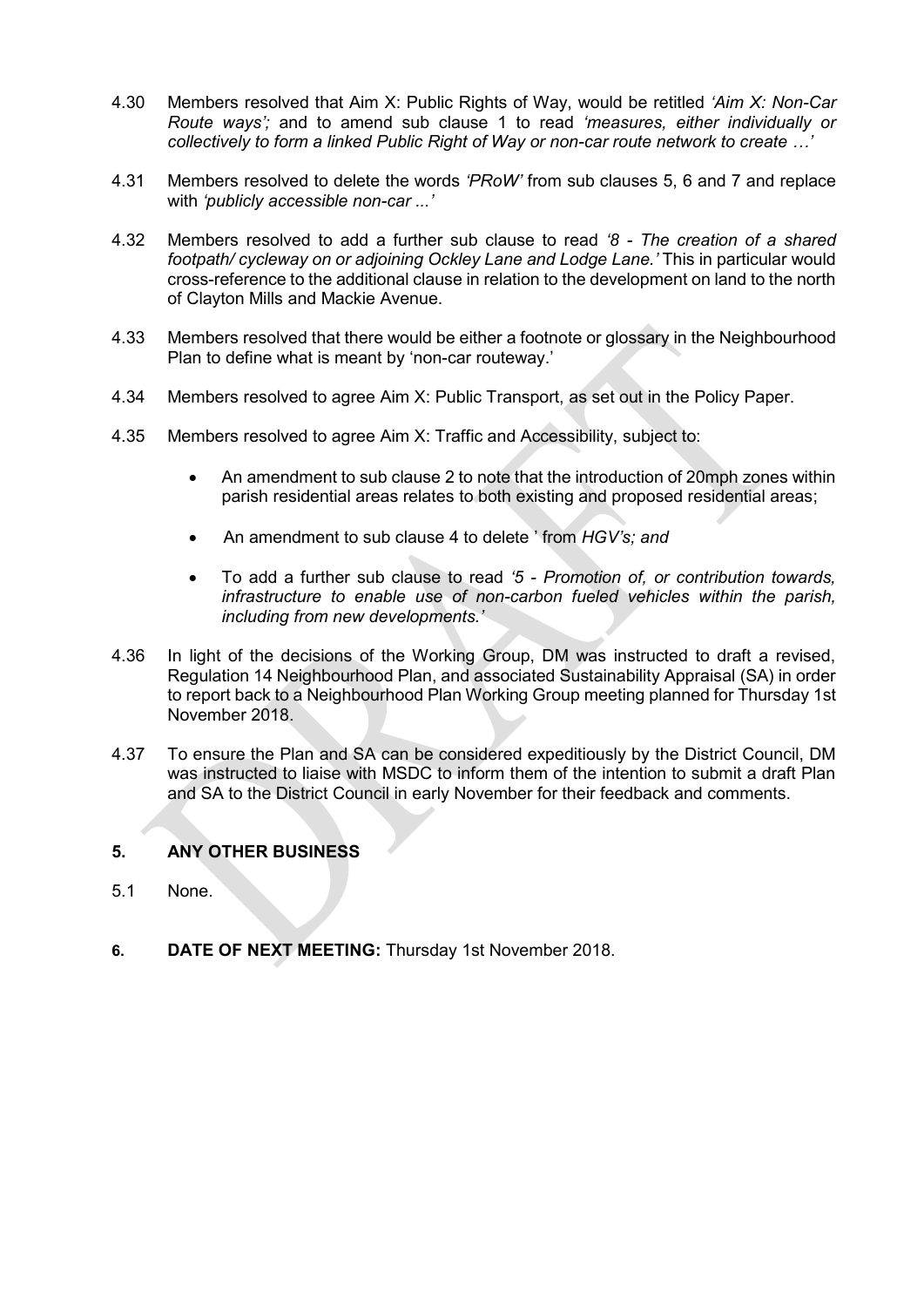- 4.30 Members resolved that Aim X: Public Rights of Way, would be retitled 'Aim X: Non*-Car Route ways*'*;* and to amend sub clause 1 to read 'measures, either individually or *collectively to form a linked Public Right of Way or non-car route* network to create …'
- 4.31 Members resolved to delete the words 'PRoW' from sub clauses 5, 6 and 7 and replace with 'publicly accessible non*-car ..*.'
- 4.32 Members resolved to add a further sub clause to read '8 *- The creation of a shared footpath/ cycleway on or adjoining Ockley Lane and Lodge Lane.*' This in particular would cross-reference to the additional clause in relation to the development on land to the north of Clayton Mills and Mackie Avenue.
- 4.33 Members resolved that there would be either a footnote or glossary in the Neighbourhood Plan to define what is meant by 'non-car routeway.'
- 4.34 Members resolved to agree Aim X: Public Transport, as set out in the Policy Paper.
- 4.35 Members resolved to agree Aim X: Traffic and Accessibility, subject to:
	- An amendment to sub clause 2 to note that the introduction of 20mph zones within parish residential areas relates to both existing and proposed residential areas;
	- An amendment to sub clause 4 to delete ' from *HGV*'*s; and*
	- To add a further sub clause to read '5 *- Promotion of, or contribution towards, infrastructure to enable use of non-carbon fueled vehicles within the parish,*  including from new developments.'
- 4.36 In light of the decisions of the Working Group, DM was instructed to draft a revised, Regulation 14 Neighbourhood Plan, and associated Sustainability Appraisal (SA) in order to report back to a Neighbourhood Plan Working Group meeting planned for Thursday 1st November 2018.
- 4.37 To ensure the Plan and SA can be considered expeditiously by the District Council, DM was instructed to liaise with MSDC to inform them of the intention to submit a draft Plan and SA to the District Council in early November for their feedback and comments.

#### 5. ANY OTHER BUSINESS

- 5.1 None.
- 6. DATE OF NEXT MEETING: Thursday 1st November 2018.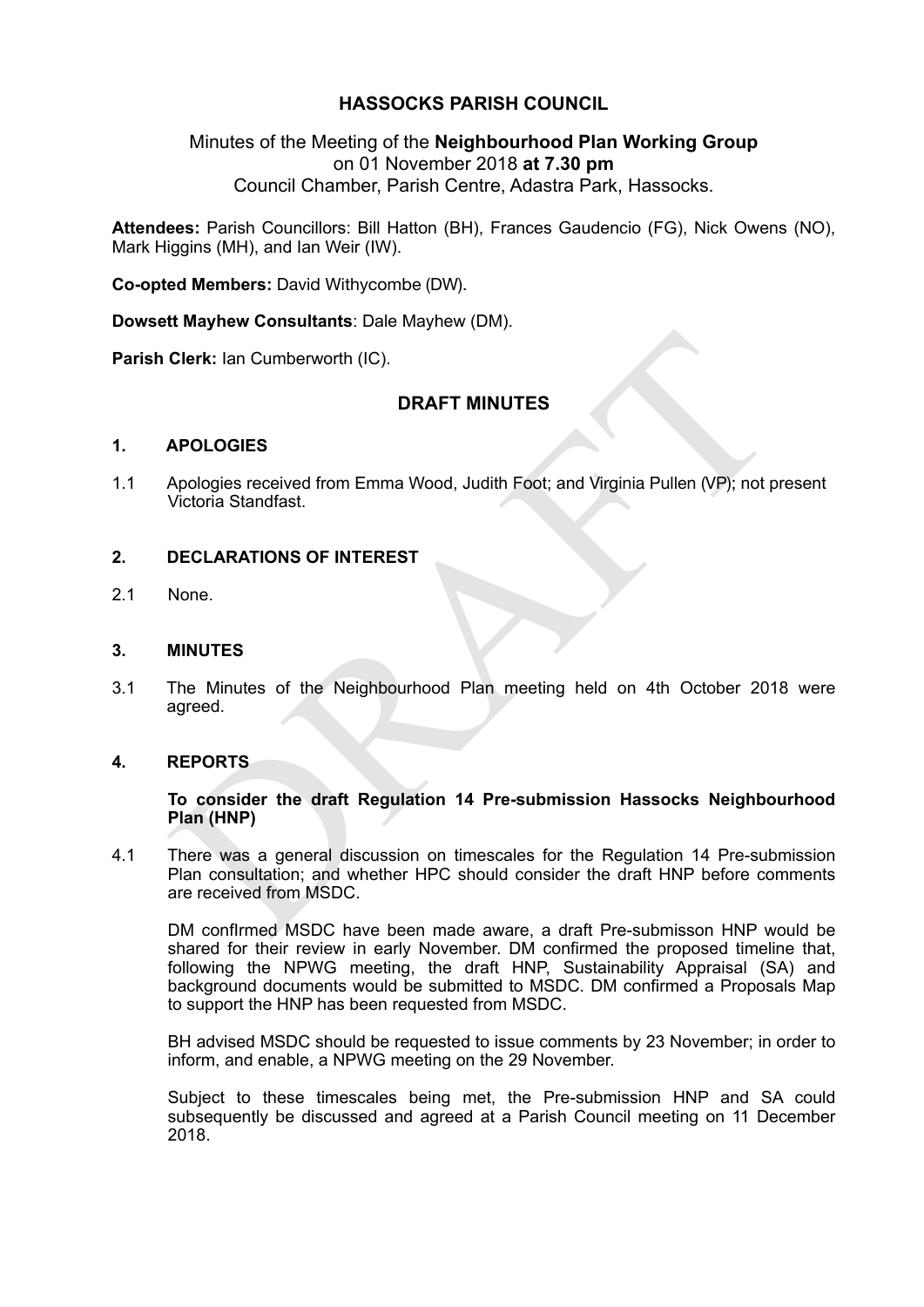#### **HASSOCKS PARISH COUNCIL**

#### Minutes of the Meeting of the **Neighbourhood Plan Working Group**  on 01 November 2018 **at 7.30 pm**  Council Chamber, Parish Centre, Adastra Park, Hassocks.

**Attendees:** Parish Councillors: Bill Hatton (BH), Frances Gaudencio (FG), Nick Owens (NO), Mark Higgins (MH), and Ian Weir (IW).

**Co-opted Members:** David Withycombe (DW).

**Dowsett Mayhew Consultants**: Dale Mayhew (DM).

**Parish Clerk: Ian Cumberworth (IC).** 

#### **DRAFT MINUTES**

#### **1. APOLOGIES**

1.1 Apologies received from Emma Wood, Judith Foot; and Virginia Pullen (VP); not present Victoria Standfast.

#### **2. DECLARATIONS OF INTEREST**

2.1 None.

#### **3. MINUTES**

3.1 The Minutes of the Neighbourhood Plan meeting held on 4th October 2018 were agreed.

#### **4. REPORTS**

#### **To consider the draft Regulation 14 Pre-submission Hassocks Neighbourhood Plan (HNP)**

Clerk: lan Cumberworth (IC).<br>
DRAFT MINUTES<br>
Apologies received from Emma Wood, Judith Foot; and Virginia Pullen (VP); not p<br>
Victoria Standfast.<br>
DECLARATIONS OF INTEREST<br>
None.<br>
MINUTES<br>
The Minutes of the Neighbourhood 4.1 There was a general discussion on timescales for the Regulation 14 Pre-submission Plan consultation; and whether HPC should consider the draft HNP before comments are received from MSDC.

DM confirmed MSDC have been made aware, a draft Pre-submisson HNP would be shared for their review in early November. DM confirmed the proposed timeline that, following the NPWG meeting, the draft HNP, Sustainability Appraisal (SA) and background documents would be submitted to MSDC. DM confirmed a Proposals Map to support the HNP has been requested from MSDC.

BH advised MSDC should be requested to issue comments by 23 November; in order to inform, and enable, a NPWG meeting on the 29 November.

Subject to these timescales being met, the Pre-submission HNP and SA could subsequently be discussed and agreed at a Parish Council meeting on 11 December 2018.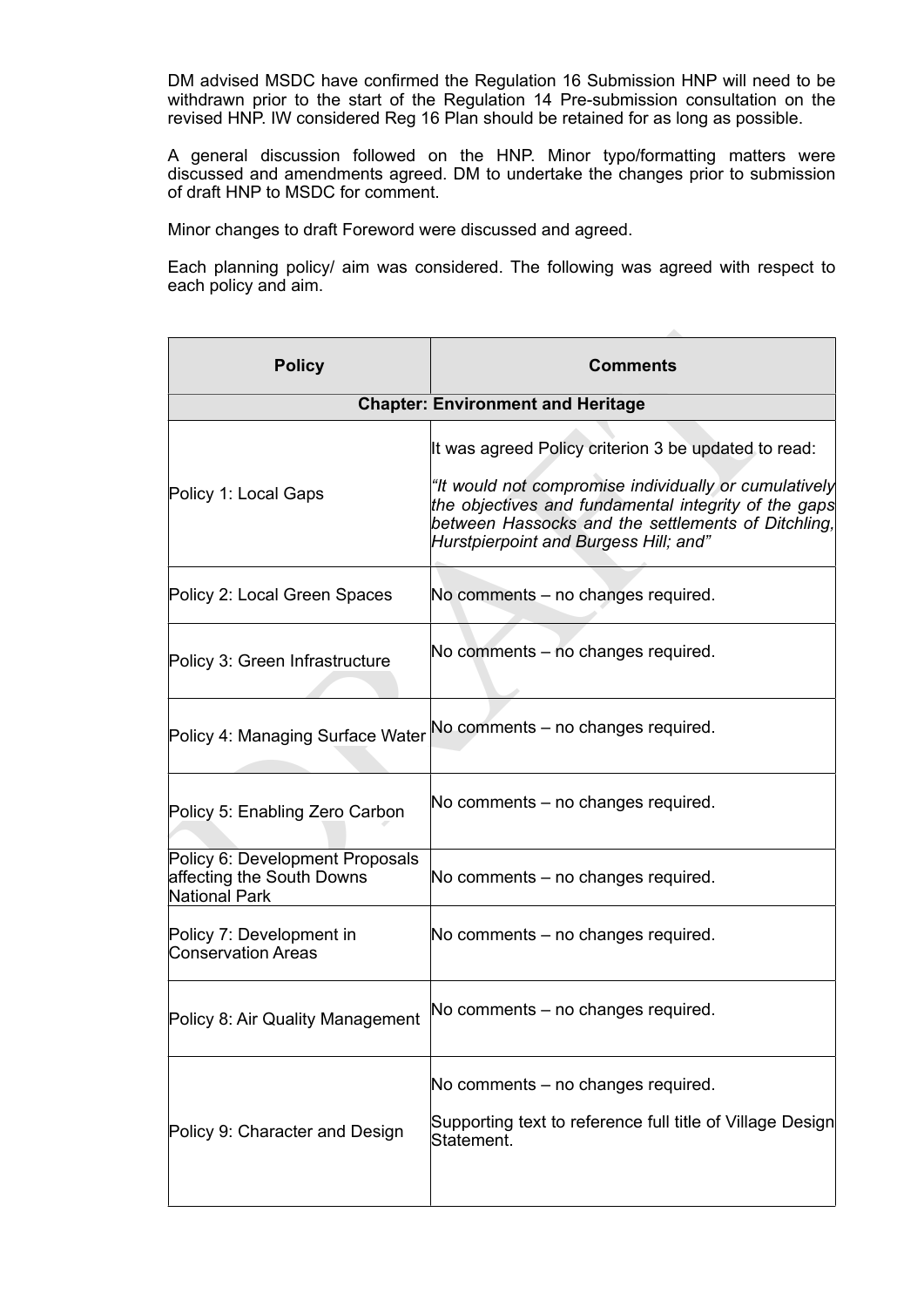DM advised MSDC have confirmed the Regulation 16 Submission HNP will need to be withdrawn prior to the start of the Regulation 14 Pre-submission consultation on the revised HNP. IW considered Reg 16 Plan should be retained for as long as possible.

A general discussion followed on the HNP. Minor typo/formatting matters were discussed and amendments agreed. DM to undertake the changes prior to submission of draft HNP to MSDC for comment.

Minor changes to draft Foreword were discussed and agreed.

Each planning policy/ aim was considered. The following was agreed with respect to each policy and aim.

| <b>Policy</b>                                                                 | <b>Comments</b>                                                                                                                                                                                              |
|-------------------------------------------------------------------------------|--------------------------------------------------------------------------------------------------------------------------------------------------------------------------------------------------------------|
|                                                                               | <b>Chapter: Environment and Heritage</b>                                                                                                                                                                     |
|                                                                               | It was agreed Policy criterion 3 be updated to read:                                                                                                                                                         |
| Policy 1: Local Gaps                                                          | "It would not compromise individually or cumulatively<br>the objectives and fundamental integrity of the gaps<br>between Hassocks and the settlements of Ditchling,<br>Hurstpierpoint and Burgess Hill; and" |
| Policy 2: Local Green Spaces                                                  | No comments – no changes required.                                                                                                                                                                           |
| Policy 3: Green Infrastructure                                                | No comments – no changes required.                                                                                                                                                                           |
| Policy 4: Managing Surface Water                                              | No comments – no changes required.                                                                                                                                                                           |
| Policy 5: Enabling Zero Carbon                                                | No comments – no changes required.                                                                                                                                                                           |
| Policy 6: Development Proposals<br>affecting the South Downs<br>National Park | No comments – no changes required.                                                                                                                                                                           |
| Policy 7: Development in<br><b>Conservation Areas</b>                         | No comments – no changes required.                                                                                                                                                                           |
| Policy 8: Air Quality Management                                              | No comments - no changes required.                                                                                                                                                                           |
|                                                                               | No comments - no changes required.<br>Supporting text to reference full title of Village Design                                                                                                              |
| Policy 9: Character and Design                                                | Statement.                                                                                                                                                                                                   |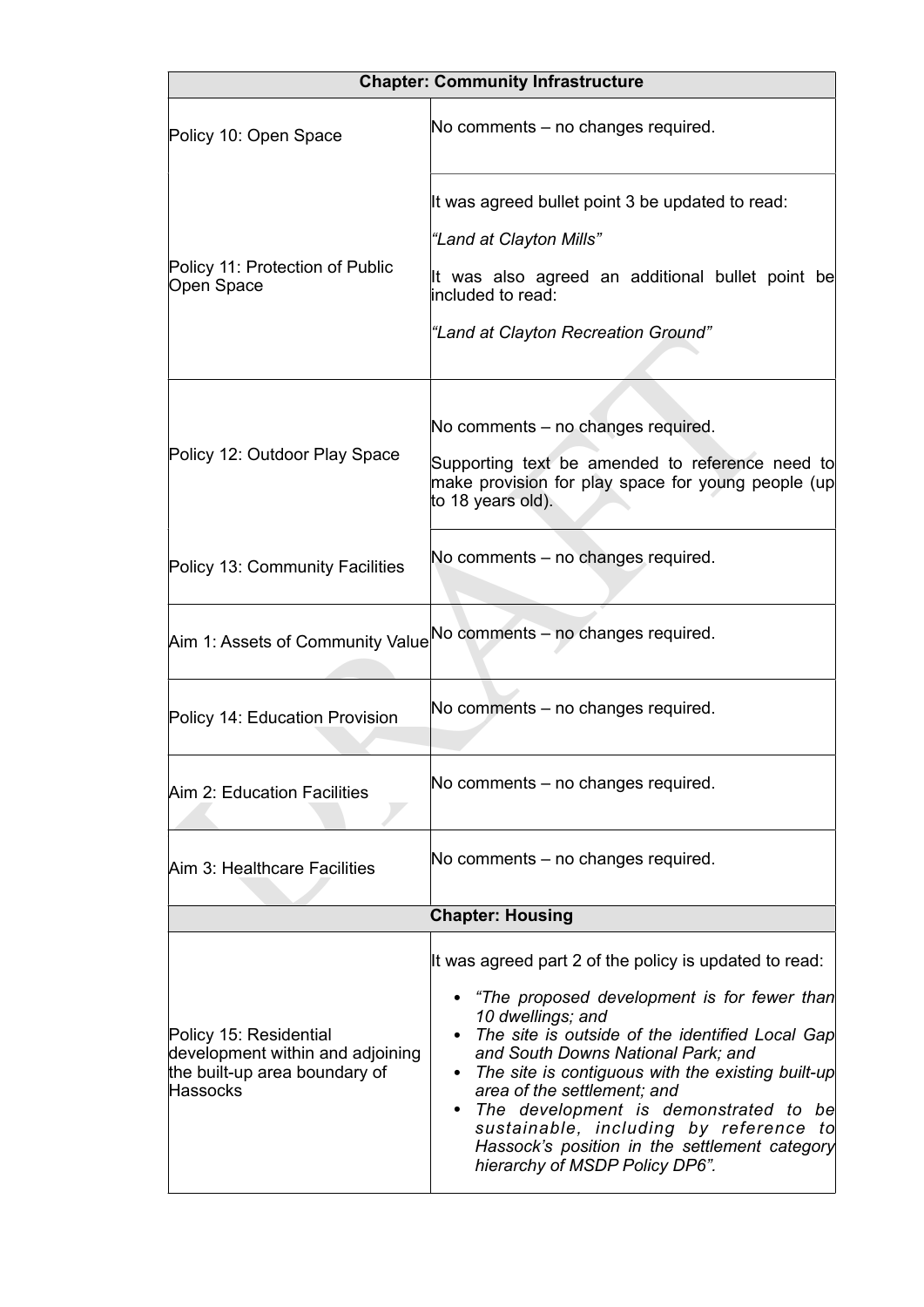|                                                                                                         | <b>Chapter: Community Infrastructure</b>                                                                                                                                                                                                                                                                                                                                                                                                                                           |  |
|---------------------------------------------------------------------------------------------------------|------------------------------------------------------------------------------------------------------------------------------------------------------------------------------------------------------------------------------------------------------------------------------------------------------------------------------------------------------------------------------------------------------------------------------------------------------------------------------------|--|
| Policy 10: Open Space                                                                                   | No comments – no changes required.                                                                                                                                                                                                                                                                                                                                                                                                                                                 |  |
| Policy 11: Protection of Public<br>Open Space                                                           | It was agreed bullet point 3 be updated to read:<br>"Land at Clayton Mills"<br>It was also agreed an additional bullet point be<br>included to read:<br>"Land at Clayton Recreation Ground"                                                                                                                                                                                                                                                                                        |  |
| Policy 12: Outdoor Play Space                                                                           | No comments - no changes required.<br>Supporting text be amended to reference need to<br>make provision for play space for young people (up<br>to 18 years old).                                                                                                                                                                                                                                                                                                                   |  |
| Policy 13: Community Facilities                                                                         | No comments – no changes required.                                                                                                                                                                                                                                                                                                                                                                                                                                                 |  |
| Aim 1: Assets of Community Value No comments - no changes required.                                     |                                                                                                                                                                                                                                                                                                                                                                                                                                                                                    |  |
| Policy 14: Education Provision                                                                          | No comments – no changes required.                                                                                                                                                                                                                                                                                                                                                                                                                                                 |  |
| Aim 2: Education Facilities                                                                             | No comments – no changes required.                                                                                                                                                                                                                                                                                                                                                                                                                                                 |  |
| Aim 3: Healthcare Facilities                                                                            | No comments - no changes required.                                                                                                                                                                                                                                                                                                                                                                                                                                                 |  |
| <b>Chapter: Housing</b>                                                                                 |                                                                                                                                                                                                                                                                                                                                                                                                                                                                                    |  |
| Policy 15: Residential<br>development within and adjoining<br>the built-up area boundary of<br>Hassocks | It was agreed part 2 of the policy is updated to read:<br>"The proposed development is for fewer than<br>10 dwellings; and<br>The site is outside of the identified Local Gap<br>and South Downs National Park; and<br>The site is contiguous with the existing built-up<br>area of the settlement; and<br>The development is demonstrated to be<br>٠<br>sustainable, including by reference to<br>Hassock's position in the settlement category<br>hierarchy of MSDP Policy DP6". |  |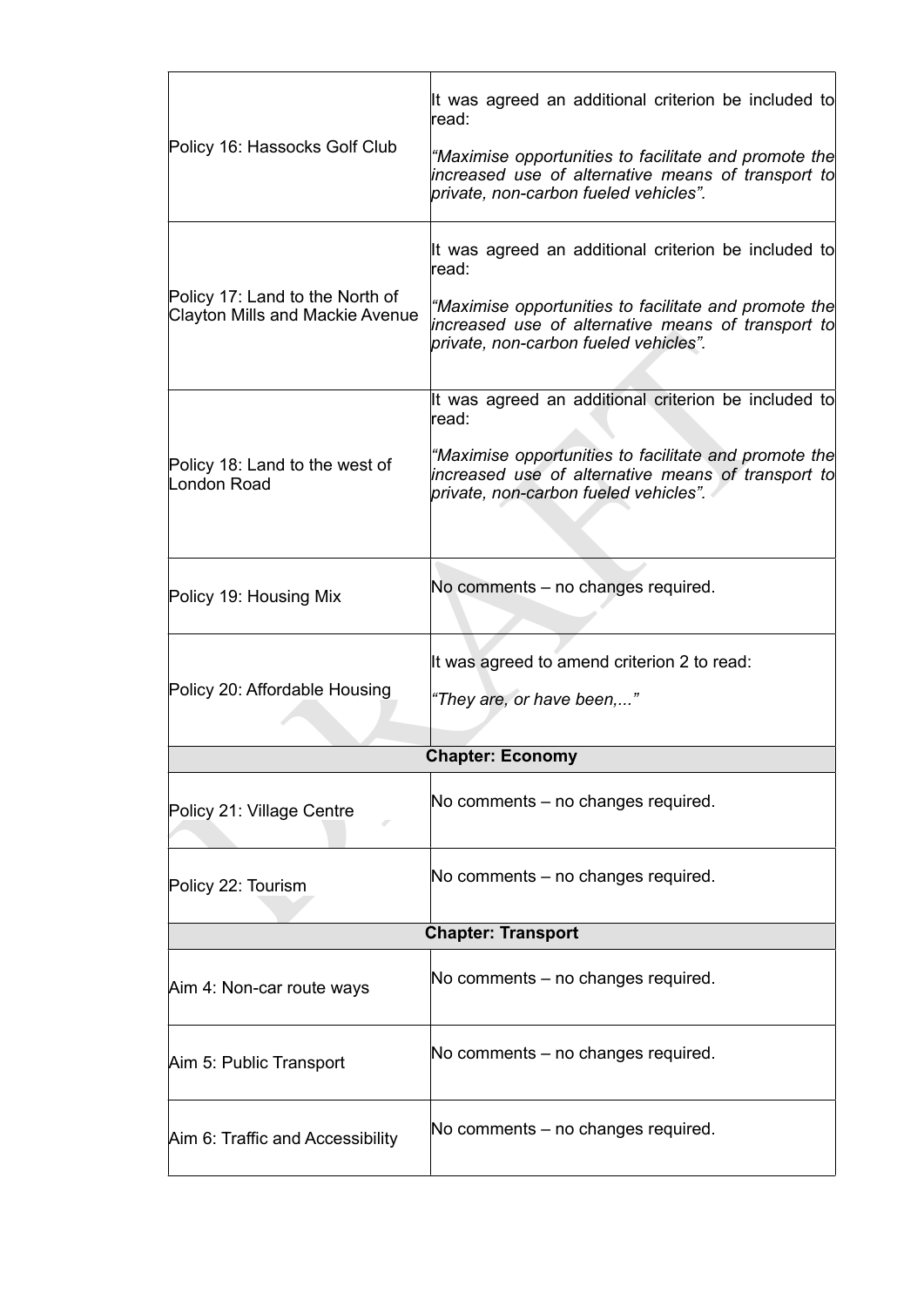|                                                                           | It was agreed an additional criterion be included to<br>read:                                                                                        |  |  |  |  |
|---------------------------------------------------------------------------|------------------------------------------------------------------------------------------------------------------------------------------------------|--|--|--|--|
| Policy 16: Hassocks Golf Club                                             | "Maximise opportunities to facilitate and promote the<br>increased use of alternative means of transport to<br>private, non-carbon fueled vehicles". |  |  |  |  |
|                                                                           | It was agreed an additional criterion be included to<br>read:                                                                                        |  |  |  |  |
| Policy 17: Land to the North of<br><b>Clayton Mills and Mackie Avenue</b> | "Maximise opportunities to facilitate and promote the<br>increased use of alternative means of transport to<br>private, non-carbon fueled vehicles". |  |  |  |  |
|                                                                           | It was agreed an additional criterion be included to<br>read:                                                                                        |  |  |  |  |
| Policy 18: Land to the west of<br>London Road                             | "Maximise opportunities to facilitate and promote the<br>increased use of alternative means of transport to<br>private, non-carbon fueled vehicles". |  |  |  |  |
|                                                                           |                                                                                                                                                      |  |  |  |  |
| Policy 19: Housing Mix                                                    | No comments – no changes required.                                                                                                                   |  |  |  |  |
|                                                                           | It was agreed to amend criterion 2 to read:                                                                                                          |  |  |  |  |
| Policy 20: Affordable Housing                                             | "They are, or have been,"                                                                                                                            |  |  |  |  |
|                                                                           | <b>Chapter: Economy</b>                                                                                                                              |  |  |  |  |
| Policy 21: Village Centre                                                 | No comments - no changes required.                                                                                                                   |  |  |  |  |
| Policy 22: Tourism                                                        | No comments – no changes required.                                                                                                                   |  |  |  |  |
| <b>Chapter: Transport</b>                                                 |                                                                                                                                                      |  |  |  |  |
| Aim 4: Non-car route ways                                                 | No comments – no changes required.                                                                                                                   |  |  |  |  |
| Aim 5: Public Transport                                                   | No comments – no changes required.                                                                                                                   |  |  |  |  |
| Aim 6: Traffic and Accessibility                                          | No comments – no changes required.                                                                                                                   |  |  |  |  |